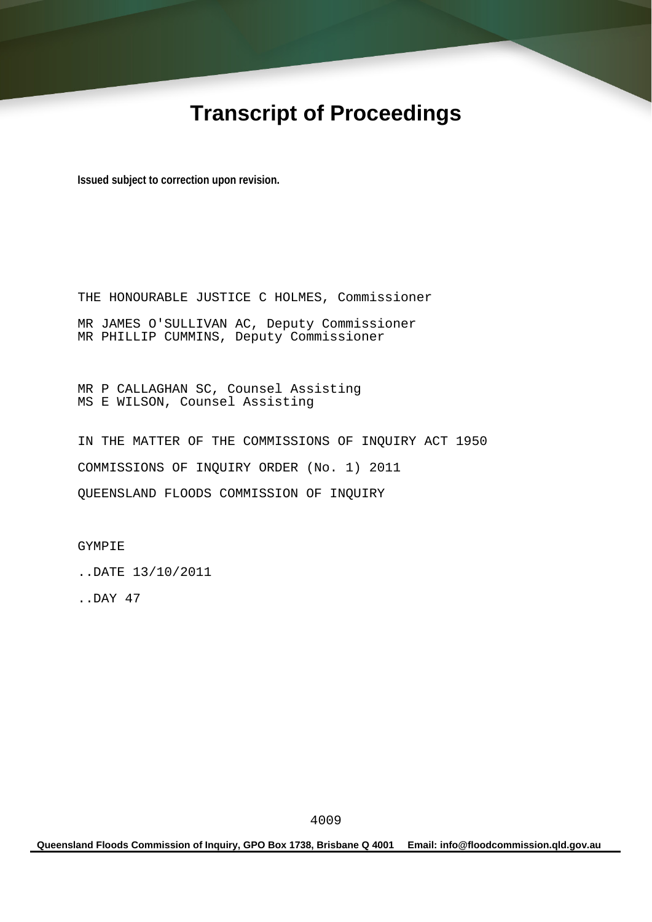# **Transcript of Proceedings**

**Issued subject to correction upon revision.** 

THE HONOURABLE JUSTICE C HOLMES, Commissioner MR JAMES O'SULLIVAN AC, Deputy Commissioner MR PHILLIP CUMMINS, Deputy Commissioner

MR P CALLAGHAN SC, Counsel Assisting MS E WILSON, Counsel Assisting

IN THE MATTER OF THE COMMISSIONS OF INQUIRY ACT 1950 COMMISSIONS OF INQUIRY ORDER (No. 1) 2011 QUEENSLAND FLOODS COMMISSION OF INQUIRY

GYMPIE

..DATE 13/10/2011

..DAY 47

**Queensland Floods Commission of Inquiry, GPO Box 1738, Brisbane Q 4001 Email: info@floodcommission.qld.gov.au**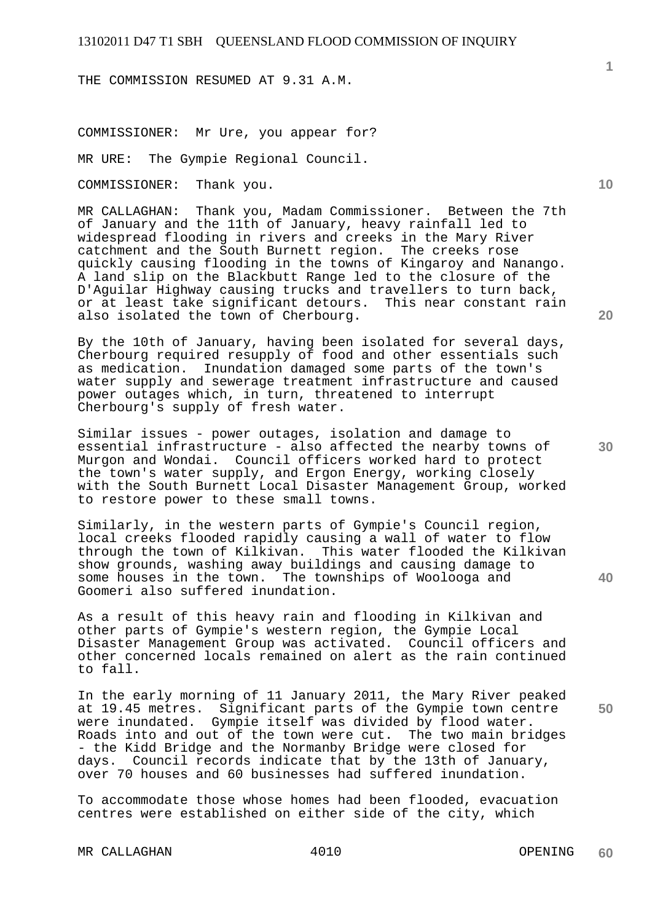THE COMMISSION RESUMED AT 9.31 A.M.

COMMISSIONER: Mr Ure, you appear for?

MR URE: The Gympie Regional Council.

COMMISSIONER: Thank you.

MR CALLAGHAN: Thank you, Madam Commissioner. Between the 7th of January and the 11th of January, heavy rainfall led to widespread flooding in rivers and creeks in the Mary River catchment and the South Burnett region. The creeks rose quickly causing flooding in the towns of Kingaroy and Nanango. A land slip on the Blackbutt Range led to the closure of the D'Aguilar Highway causing trucks and travellers to turn back, or at least take significant detours. This near constant rain also isolated the town of Cherbourg.

By the 10th of January, having been isolated for several days, Cherbourg required resupply of food and other essentials such as medication. Inundation damaged some parts of the town's water supply and sewerage treatment infrastructure and caused power outages which, in turn, threatened to interrupt Cherbourg's supply of fresh water.

Similar issues - power outages, isolation and damage to essential infrastructure - also affected the nearby towns of Murgon and Wondai. Council officers worked hard to protect the town's water supply, and Ergon Energy, working closely with the South Burnett Local Disaster Management Group, worked to restore power to these small towns.

Similarly, in the western parts of Gympie's Council region, local creeks flooded rapidly causing a wall of water to flow through the town of Kilkivan. This water flooded the Kilkivan show grounds, washing away buildings and causing damage to some houses in the town. The townships of Woolooga and Goomeri also suffered inundation.

As a result of this heavy rain and flooding in Kilkivan and other parts of Gympie's western region, the Gympie Local Disaster Management Group was activated. Council officers and other concerned locals remained on alert as the rain continued to fall.

In the early morning of 11 January 2011, the Mary River peaked at 19.45 metres. Significant parts of the Gympie town centre were inundated. Gympie itself was divided by flood water. Roads into and out of the town were cut. The two main bridges - the Kidd Bridge and the Normanby Bridge were closed for days. Council records indicate that by the 13th of January, over 70 houses and 60 businesses had suffered inundation.

To accommodate those whose homes had been flooded, evacuation centres were established on either side of the city, which

MR CALLAGHAN 4010 4010 OPENING

**60** 

**40** 

**50** 

**20** 

**10**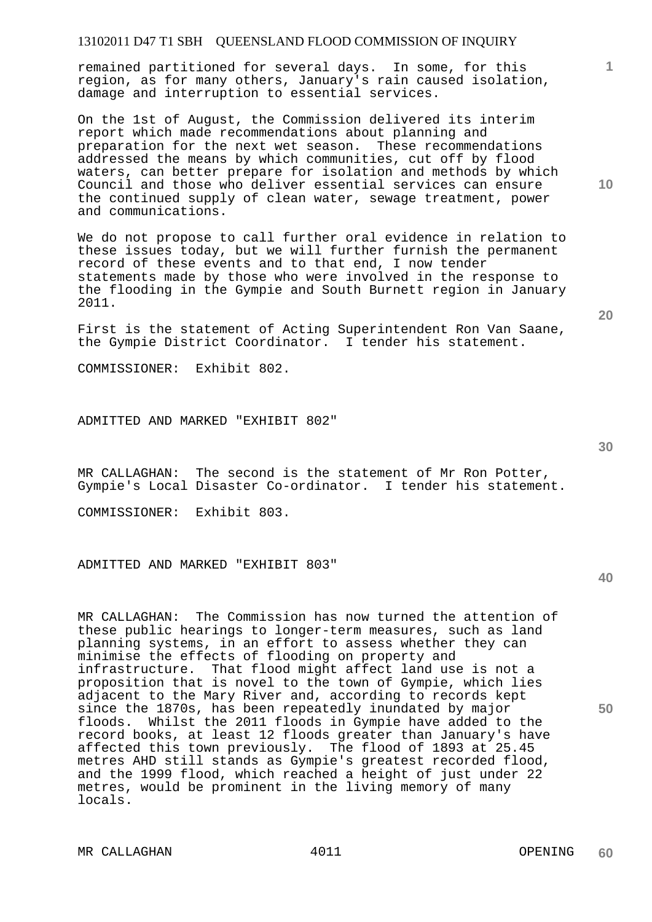remained partitioned for several days. In some, for this region, as for many others, January's rain caused isolation, damage and interruption to essential services.

On the 1st of August, the Commission delivered its interim report which made recommendations about planning and preparation for the next wet season. These recommendations addressed the means by which communities, cut off by flood waters, can better prepare for isolation and methods by which Council and those who deliver essential services can ensure the continued supply of clean water, sewage treatment, power and communications.

We do not propose to call further oral evidence in relation to these issues today, but we will further furnish the permanent record of these events and to that end, I now tender statements made by those who were involved in the response to the flooding in the Gympie and South Burnett region in January 2011.

First is the statement of Acting Superintendent Ron Van Saane, the Gympie District Coordinator. I tender his statement.

COMMISSIONER: Exhibit 802.

ADMITTED AND MARKED "EXHIBIT 802"

MR CALLAGHAN: The second is the statement of Mr Ron Potter, Gympie's Local Disaster Co-ordinator. I tender his statement.

COMMISSIONER: Exhibit 803.

ADMITTED AND MARKED "EXHIBIT 803"

MR CALLAGHAN: The Commission has now turned the attention of these public hearings to longer-term measures, such as land planning systems, in an effort to assess whether they can minimise the effects of flooding on property and infrastructure. That flood might affect land use is not a proposition that is novel to the town of Gympie, which lies adjacent to the Mary River and, according to records kept since the 1870s, has been repeatedly inundated by major floods. Whilst the 2011 floods in Gympie have added to the record books, at least 12 floods greater than January's have affected this town previously. The flood of 1893 at 25.45 metres AHD still stands as Gympie's greatest recorded flood, and the 1999 flood, which reached a height of just under 22 metres, would be prominent in the living memory of many locals.

**10** 

**20** 

**1**

**30**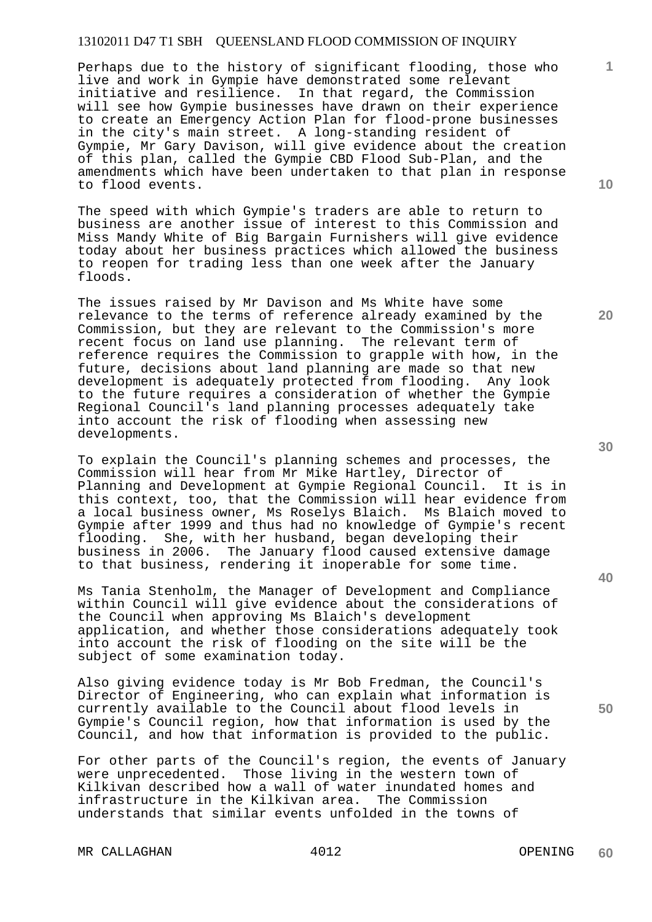Perhaps due to the history of significant flooding, those who live and work in Gympie have demonstrated some relevant initiative and resilience. In that regard, the Commission will see how Gympie businesses have drawn on their experience to create an Emergency Action Plan for flood-prone businesses in the city's main street. A long-standing resident of Gympie, Mr Gary Davison, will give evidence about the creation of this plan, called the Gympie CBD Flood Sub-Plan, and the amendments which have been undertaken to that plan in response to flood events.

The speed with which Gympie's traders are able to return to business are another issue of interest to this Commission and Miss Mandy White of Big Bargain Furnishers will give evidence today about her business practices which allowed the business to reopen for trading less than one week after the January floods.

The issues raised by Mr Davison and Ms White have some relevance to the terms of reference already examined by the Commission, but they are relevant to the Commission's more recent focus on land use planning. The relevant term of reference requires the Commission to grapple with how, in the future, decisions about land planning are made so that new development is adequately protected from flooding. Any look to the future requires a consideration of whether the Gympie Regional Council's land planning processes adequately take into account the risk of flooding when assessing new developments.

To explain the Council's planning schemes and processes, the Commission will hear from Mr Mike Hartley, Director of<br>Planning and Development at Gympie Regional Council. It is in Planning and Development at Gympie Regional Council. this context, too, that the Commission will hear evidence from a local business owner, Ms Roselys Blaich. Ms Blaich moved to Gympie after 1999 and thus had no knowledge of Gympie's recent flooding. She, with her husband, began developing their business in 2006. The January flood caused extensive damage to that business, rendering it inoperable for some time.

Ms Tania Stenholm, the Manager of Development and Compliance within Council will give evidence about the considerations of the Council when approving Ms Blaich's development application, and whether those considerations adequately took into account the risk of flooding on the site will be the subject of some examination today.

Also giving evidence today is Mr Bob Fredman, the Council's Director of Engineering, who can explain what information is currently available to the Council about flood levels in Gympie's Council region, how that information is used by the Council, and how that information is provided to the public.

For other parts of the Council's region, the events of January were unprecedented. Those living in the western town of Kilkivan described how a wall of water inundated homes and infrastructure in the Kilkivan area. The Commission understands that similar events unfolded in the towns of

MR CALLAGHAN 4012 4002 40012

**60** 

**30** 

**40** 

**50** 

**10** 

**20**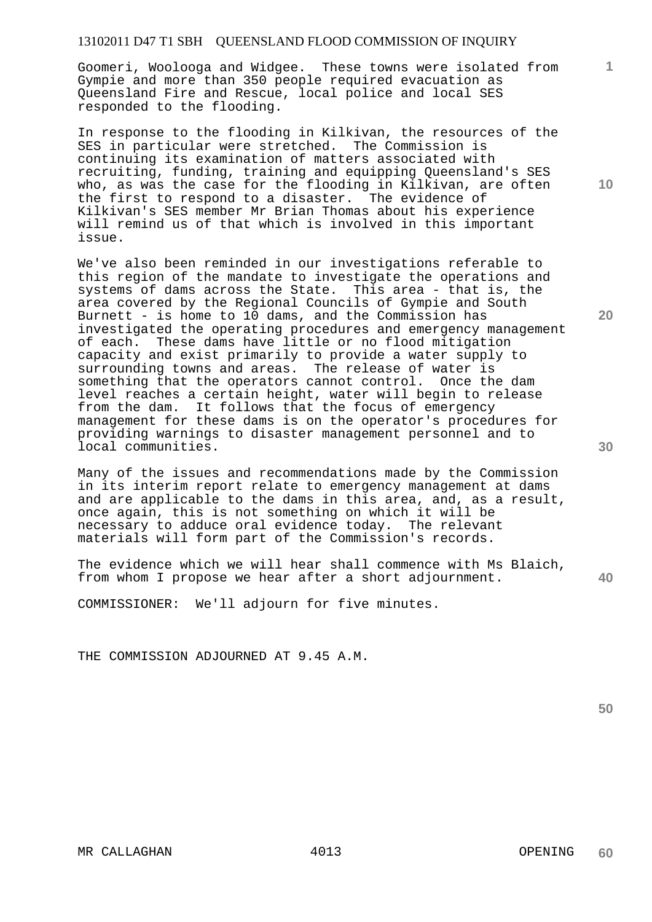Goomeri, Woolooga and Widgee. These towns were isolated from Gympie and more than 350 people required evacuation as Queensland Fire and Rescue, local police and local SES responded to the flooding.

In response to the flooding in Kilkivan, the resources of the SES in particular were stretched. The Commission is continuing its examination of matters associated with recruiting, funding, training and equipping Queensland's SES who, as was the case for the flooding in Kilkivan, are often the first to respond to a disaster. The evidence of Kilkivan's SES member Mr Brian Thomas about his experience will remind us of that which is involved in this important issue.

We've also been reminded in our investigations referable to this region of the mandate to investigate the operations and systems of dams across the State. This area - that is, the area covered by the Regional Councils of Gympie and South Burnett - is home to 10 dams, and the Commission has investigated the operating procedures and emergency management of each. These dams have little or no flood mitigation capacity and exist primarily to provide a water supply to surrounding towns and areas. The release of water is something that the operators cannot control. Once the dam level reaches a certain height, water will begin to release from the dam. It follows that the focus of emergency management for these dams is on the operator's procedures for providing warnings to disaster management personnel and to local communities.

Many of the issues and recommendations made by the Commission in its interim report relate to emergency management at dams and are applicable to the dams in this area, and, as a result, once again, this is not something on which it will be necessary to adduce oral evidence today. The relevant materials will form part of the Commission's records.

The evidence which we will hear shall commence with Ms Blaich, from whom I propose we hear after a short adjournment.

COMMISSIONER: We'll adjourn for five minutes.

THE COMMISSION ADJOURNED AT 9.45 A.M.

**50** 

**40** 

**30** 

**10** 

**20**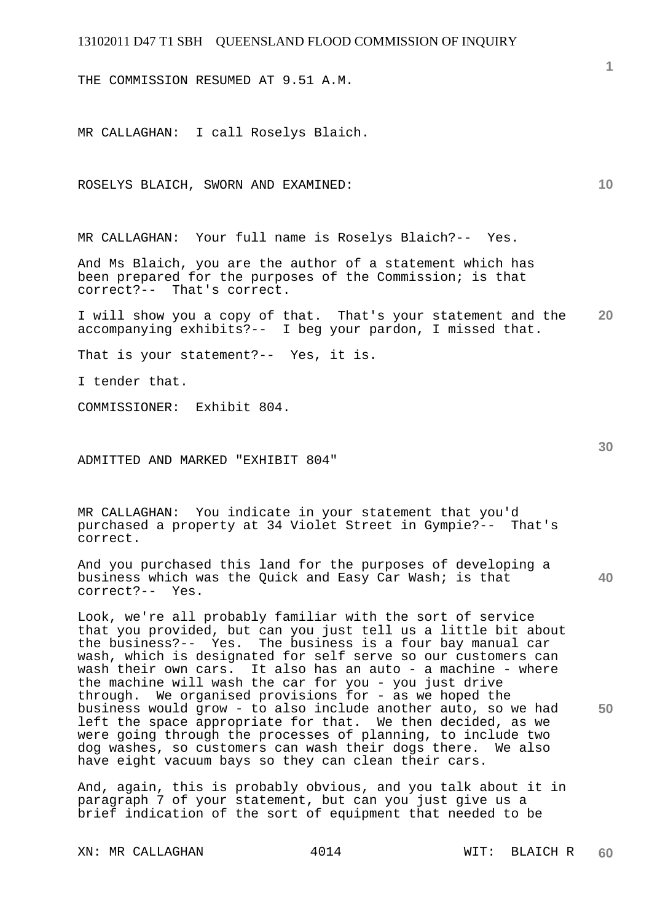THE COMMISSION RESUMED AT 9.51 A.M.

MR CALLAGHAN: I call Roselys Blaich.

ROSELYS BLAICH, SWORN AND EXAMINED:

MR CALLAGHAN: Your full name is Roselys Blaich?-- Yes.

And Ms Blaich, you are the author of a statement which has been prepared for the purposes of the Commission; is that correct?-- That's correct.

**20**  I will show you a copy of that. That's your statement and the accompanying exhibits?-- I beg your pardon, I missed that.

That is your statement?-- Yes, it is.

I tender that.

COMMISSIONER: Exhibit 804.

ADMITTED AND MARKED "EXHIBIT 804"

MR CALLAGHAN: You indicate in your statement that you'd purchased a property at 34 Violet Street in Gympie?-- That's correct.

And you purchased this land for the purposes of developing a business which was the Quick and Easy Car Wash; is that correct?-- Yes.

Look, we're all probably familiar with the sort of service that you provided, but can you just tell us a little bit about the business?-- Yes. The business is a four bay manual car wash, which is designated for self serve so our customers can wash their own cars. It also has an auto - a machine - where the machine will wash the car for you - you just drive through. We organised provisions for - as we hoped the business would grow - to also include another auto, so we had left the space appropriate for that. We then decided, as we were going through the processes of planning, to include two dog washes, so customers can wash their dogs there. We also have eight vacuum bays so they can clean their cars.

And, again, this is probably obvious, and you talk about it in paragraph 7 of your statement, but can you just give us a brief indication of the sort of equipment that needed to be

**40** 

**50** 

**10**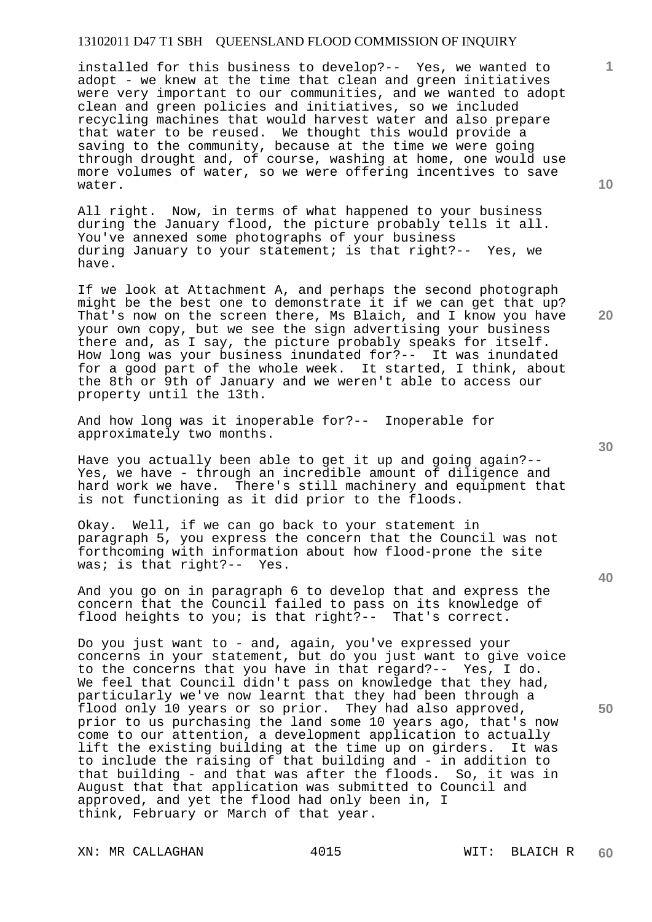installed for this business to develop?-- Yes, we wanted to adopt - we knew at the time that clean and green initiatives were very important to our communities, and we wanted to adopt clean and green policies and initiatives, so we included recycling machines that would harvest water and also prepare that water to be reused. We thought this would provide a saving to the community, because at the time we were going through drought and, of course, washing at home, one would use more volumes of water, so we were offering incentives to save water.

All right. Now, in terms of what happened to your business during the January flood, the picture probably tells it all. You've annexed some photographs of your business during January to your statement; is that right?-- Yes, we have.

If we look at Attachment A, and perhaps the second photograph might be the best one to demonstrate it if we can get that up? That's now on the screen there, Ms Blaich, and I know you have your own copy, but we see the sign advertising your business there and, as I say, the picture probably speaks for itself. How long was your business inundated for?-- It was inundated for a good part of the whole week. It started, I think, about the 8th or 9th of January and we weren't able to access our property until the 13th.

And how long was it inoperable for?-- Inoperable for approximately two months.

Have you actually been able to get it up and going again?-- Yes, we have - through an incredible amount of diligence and hard work we have. There's still machinery and equipment that is not functioning as it did prior to the floods.

Okay. Well, if we can go back to your statement in paragraph 5, you express the concern that the Council was not forthcoming with information about how flood-prone the site was; is that right?-- Yes.

And you go on in paragraph 6 to develop that and express the concern that the Council failed to pass on its knowledge of flood heights to you; is that right?-- That's correct.

Do you just want to - and, again, you've expressed your concerns in your statement, but do you just want to give voice to the concerns that you have in that regard?-- Yes, I do. We feel that Council didn't pass on knowledge that they had, particularly we've now learnt that they had been through a flood only 10 years or so prior. They had also approved, prior to us purchasing the land some 10 years ago, that's now come to our attention, a development application to actually lift the existing building at the time up on girders. It was to include the raising of that building and - in addition to that building - and that was after the floods. So, it was in August that that application was submitted to Council and approved, and yet the flood had only been in, I think, February or March of that year.

XN: MR CALLAGHAN 4015 WIT: BLAICH R

**20** 

**40** 

**50** 

**1**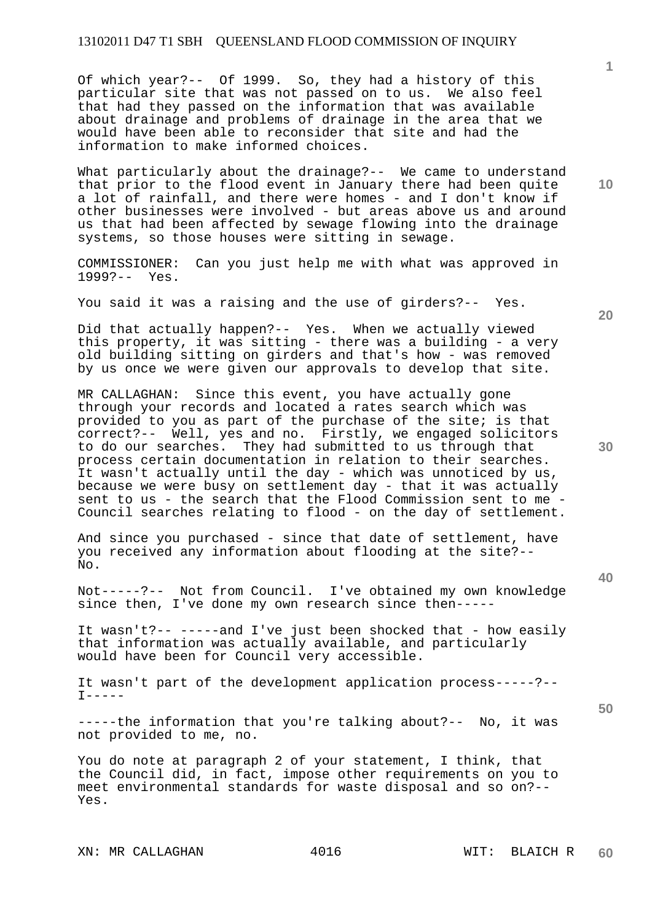Of which year?-- Of 1999. So, they had a history of this particular site that was not passed on to us. We also feel that had they passed on the information that was available about drainage and problems of drainage in the area that we would have been able to reconsider that site and had the information to make informed choices.

What particularly about the drainage?-- We came to understand that prior to the flood event in January there had been quite a lot of rainfall, and there were homes - and I don't know if other businesses were involved - but areas above us and around us that had been affected by sewage flowing into the drainage systems, so those houses were sitting in sewage.

COMMISSIONER: Can you just help me with what was approved in 1999?-- Yes.

You said it was a raising and the use of girders?-- Yes.

Did that actually happen?-- Yes. When we actually viewed this property, it was sitting - there was a building - a very old building sitting on girders and that's how - was removed by us once we were given our approvals to develop that site.

MR CALLAGHAN: Since this event, you have actually gone through your records and located a rates search which was provided to you as part of the purchase of the site; is that correct?-- Well, yes and no. Firstly, we engaged solicitors to do our searches. They had submitted to us through that process certain documentation in relation to their searches. It wasn't actually until the day - which was unnoticed by us, because we were busy on settlement day - that it was actually sent to us - the search that the Flood Commission sent to me - Council searches relating to flood - on the day of settlement.

And since you purchased - since that date of settlement, have you received any information about flooding at the site?-- No.

Not-----?-- Not from Council. I've obtained my own knowledge since then, I've done my own research since then-----

It wasn't?-- -----and I've just been shocked that - how easily that information was actually available, and particularly would have been for Council very accessible.

It wasn't part of the development application process-----?--  $T-----$ 

-----the information that you're talking about?-- No, it was not provided to me, no.

You do note at paragraph 2 of your statement, I think, that the Council did, in fact, impose other requirements on you to meet environmental standards for waste disposal and so on?-- Yes.

**20** 

**10** 

**50** 

**30**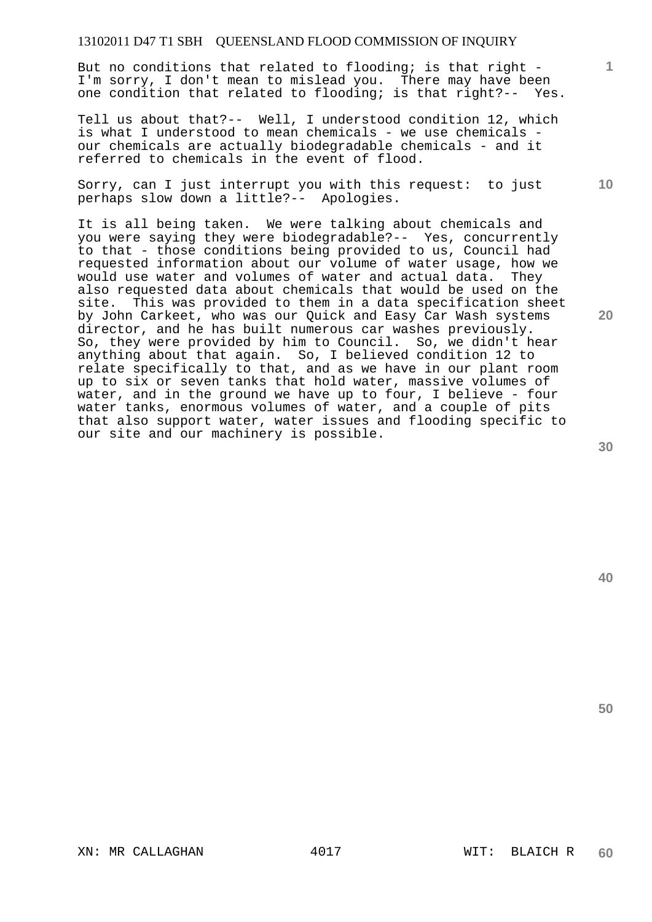But no conditions that related to flooding; is that right - I'm sorry, I don't mean to mislead you. There may have been one condition that related to flooding; is that right?-- Yes.

Tell us about that?-- Well, I understood condition 12, which is what I understood to mean chemicals - we use chemicals our chemicals are actually biodegradable chemicals - and it referred to chemicals in the event of flood.

Sorry, can I just interrupt you with this request: to just perhaps slow down a little?-- Apologies.

It is all being taken. We were talking about chemicals and you were saying they were biodegradable?-- Yes, concurrently to that - those conditions being provided to us, Council had requested information about our volume of water usage, how we would use water and volumes of water and actual data. They also requested data about chemicals that would be used on the site. This was provided to them in a data specification sheet by John Carkeet, who was our Quick and Easy Car Wash systems director, and he has built numerous car washes previously. So, they were provided by him to Council. So, we didn't hear anything about that again. So, I believed condition 12 to relate specifically to that, and as we have in our plant room up to six or seven tanks that hold water, massive volumes of water, and in the ground we have up to four, I believe - four water tanks, enormous volumes of water, and a couple of pits that also support water, water issues and flooding specific to our site and our machinery is possible.

**30** 

**20** 

**50** 

**1**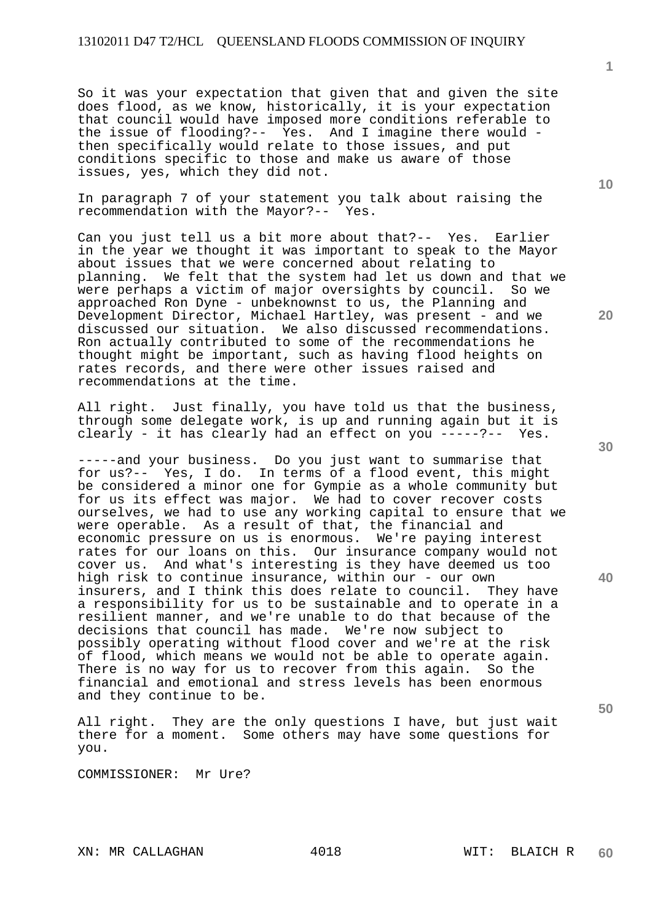So it was your expectation that given that and given the site does flood, as we know, historically, it is your expectation that council would have imposed more conditions referable to the issue of flooding?-- Yes. And I imagine there would then specifically would relate to those issues, and put conditions specific to those and make us aware of those issues, yes, which they did not.

In paragraph 7 of your statement you talk about raising the recommendation with the Mayor?-- Yes.

Can you just tell us a bit more about that?-- Yes. Earlier in the year we thought it was important to speak to the Mayor about issues that we were concerned about relating to planning. We felt that the system had let us down and that we were perhaps a victim of major oversights by council. So we approached Ron Dyne - unbeknownst to us, the Planning and Development Director, Michael Hartley, was present - and we discussed our situation. We also discussed recommendations. Ron actually contributed to some of the recommendations he thought might be important, such as having flood heights on rates records, and there were other issues raised and recommendations at the time.

All right. Just finally, you have told us that the business, through some delegate work, is up and running again but it is clearly - it has clearly had an effect on you -----?-- Yes.

-----and your business. Do you just want to summarise that for us?-- Yes, I do. In terms of a flood event, this might be considered a minor one for Gympie as a whole community but for us its effect was major. We had to cover recover costs ourselves, we had to use any working capital to ensure that we were operable. As a result of that, the financial and economic pressure on us is enormous. We're paying interest rates for our loans on this. Our insurance company would not cover us. And what's interesting is they have deemed us too high risk to continue insurance, within our - our own insurers, and I think this does relate to council. They have a responsibility for us to be sustainable and to operate in a resilient manner, and we're unable to do that because of the decisions that council has made. We're now subject to possibly operating without flood cover and we're at the risk of flood, which means we would not be able to operate again. There is no way for us to recover from this again. So the financial and emotional and stress levels has been enormous and they continue to be.

All right. They are the only questions I have, but just wait there for a moment. Some others may have some questions for you.

COMMISSIONER: Mr Ure?

**1**

**20** 

**30** 

**50**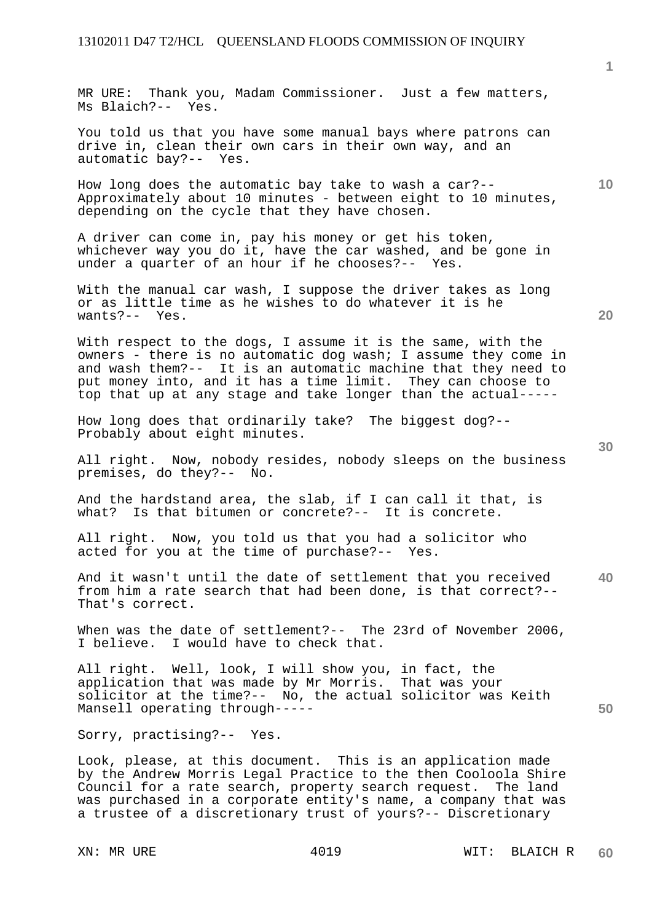MR URE: Thank you, Madam Commissioner. Just a few matters, Ms Blaich?-- Yes.

You told us that you have some manual bays where patrons can drive in, clean their own cars in their own way, and an automatic bay?-- Yes.

How long does the automatic bay take to wash a car?-- Approximately about 10 minutes - between eight to 10 minutes, depending on the cycle that they have chosen.

A driver can come in, pay his money or get his token, whichever way you do it, have the car washed, and be gone in under a quarter of an hour if he chooses?-- Yes.

With the manual car wash, I suppose the driver takes as long or as little time as he wishes to do whatever it is he wants?-- Yes.

With respect to the dogs, I assume it is the same, with the owners - there is no automatic dog wash; I assume they come in and wash them?-- It is an automatic machine that they need to put money into, and it has a time limit. They can choose to top that up at any stage and take longer than the actual-----

How long does that ordinarily take? The biggest dog?-- Probably about eight minutes.

All right. Now, nobody resides, nobody sleeps on the business premises, do they?-- No.

And the hardstand area, the slab, if I can call it that, is what? Is that bitumen or concrete?-- It is concrete.

All right. Now, you told us that you had a solicitor who acted for you at the time of purchase?-- Yes.

**40**  And it wasn't until the date of settlement that you received from him a rate search that had been done, is that correct?-- That's correct.

When was the date of settlement?-- The 23rd of November 2006, I believe. I would have to check that.

All right. Well, look, I will show you, in fact, the application that was made by Mr Morris. That was your solicitor at the time?-- No, the actual solicitor was Keith Mansell operating through-----

Sorry, practising?-- Yes.

Look, please, at this document. This is an application made by the Andrew Morris Legal Practice to the then Cooloola Shire Council for a rate search, property search request. The land was purchased in a corporate entity's name, a company that was a trustee of a discretionary trust of yours?-- Discretionary

**1**

**10** 

**20**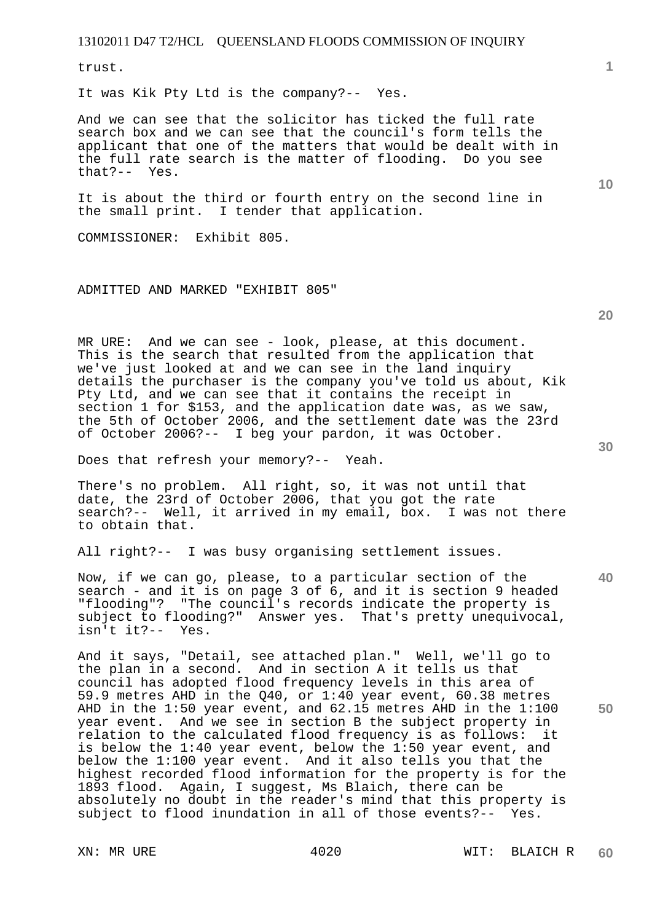trust.

It was Kik Pty Ltd is the company?-- Yes.

And we can see that the solicitor has ticked the full rate search box and we can see that the council's form tells the applicant that one of the matters that would be dealt with in the full rate search is the matter of flooding. Do you see that?-- Yes.

It is about the third or fourth entry on the second line in the small print. I tender that application.

COMMISSIONER: Exhibit 805.

ADMITTED AND MARKED "EXHIBIT 805"

MR URE: And we can see - look, please, at this document. This is the search that resulted from the application that we've just looked at and we can see in the land inquiry details the purchaser is the company you've told us about, Kik Pty Ltd, and we can see that it contains the receipt in section 1 for \$153, and the application date was, as we saw, the 5th of October 2006, and the settlement date was the 23rd of October 2006?-- I beg your pardon, it was October.

Does that refresh your memory?-- Yeah.

There's no problem. All right, so, it was not until that date, the 23rd of October 2006, that you got the rate search?-- Well, it arrived in my email, box. I was not there to obtain that.

All right?-- I was busy organising settlement issues.

Now, if we can go, please, to a particular section of the search - and it is on page 3 of 6, and it is section 9 headed "flooding"? "The council's records indicate the property is subject to flooding?" Answer yes. That's pretty unequivocal, isn't it?-- Yes.

And it says, "Detail, see attached plan." Well, we'll go to the plan in a second. And in section A it tells us that council has adopted flood frequency levels in this area of 59.9 metres AHD in the Q40, or 1:40 year event, 60.38 metres AHD in the 1:50 year event, and 62.15 metres AHD in the 1:100 year event. And we see in section B the subject property in relation to the calculated flood frequency is as follows: it is below the 1:40 year event, below the 1:50 year event, and below the 1:100 year event. And it also tells you that the highest recorded flood information for the property is for the 1893 flood. Again, I suggest, Ms Blaich, there can be absolutely no doubt in the reader's mind that this property is subject to flood inundation in all of those events?-- Yes.

**10** 

**20** 

**1**

**30**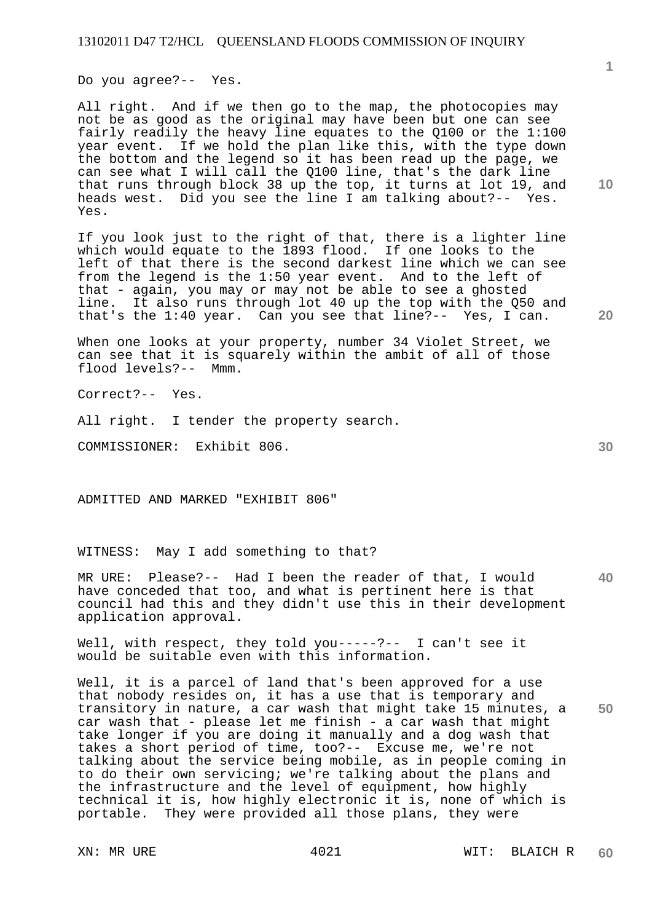Do you agree?-- Yes.

All right. And if we then go to the map, the photocopies may not be as good as the original may have been but one can see fairly readily the heavy line equates to the Q100 or the 1:100 year event. If we hold the plan like this, with the type down the bottom and the legend so it has been read up the page, we can see what I will call the Q100 line, that's the dark line that runs through block 38 up the top, it turns at lot 19, and heads west. Did you see the line I am talking about?-- Yes. Yes.

If you look just to the right of that, there is a lighter line which would equate to the 1893 flood. If one looks to the left of that there is the second darkest line which we can see from the legend is the 1:50 year event. And to the left of that - again, you may or may not be able to see a ghosted line. It also runs through lot 40 up the top with the Q50 and that's the 1:40 year. Can you see that line?-- Yes, I can.

When one looks at your property, number 34 Violet Street, we can see that it is squarely within the ambit of all of those flood levels?-- Mmm.

Correct?-- Yes.

All right. I tender the property search.

COMMISSIONER: Exhibit 806.

ADMITTED AND MARKED "EXHIBIT 806"

WITNESS: May I add something to that?

MR URE: Please?-- Had I been the reader of that, I would have conceded that too, and what is pertinent here is that council had this and they didn't use this in their development application approval.

Well, with respect, they told you-----?-- I can't see it would be suitable even with this information.

Well, it is a parcel of land that's been approved for a use that nobody resides on, it has a use that is temporary and transitory in nature, a car wash that might take 15 minutes, a car wash that - please let me finish - a car wash that might take longer if you are doing it manually and a dog wash that takes a short period of time, too?-- Excuse me, we're not talking about the service being mobile, as in people coming in to do their own servicing; we're talking about the plans and the infrastructure and the level of equipment, how highly technical it is, how highly electronic it is, none of which is portable. They were provided all those plans, they were

**10** 

**1**

**40**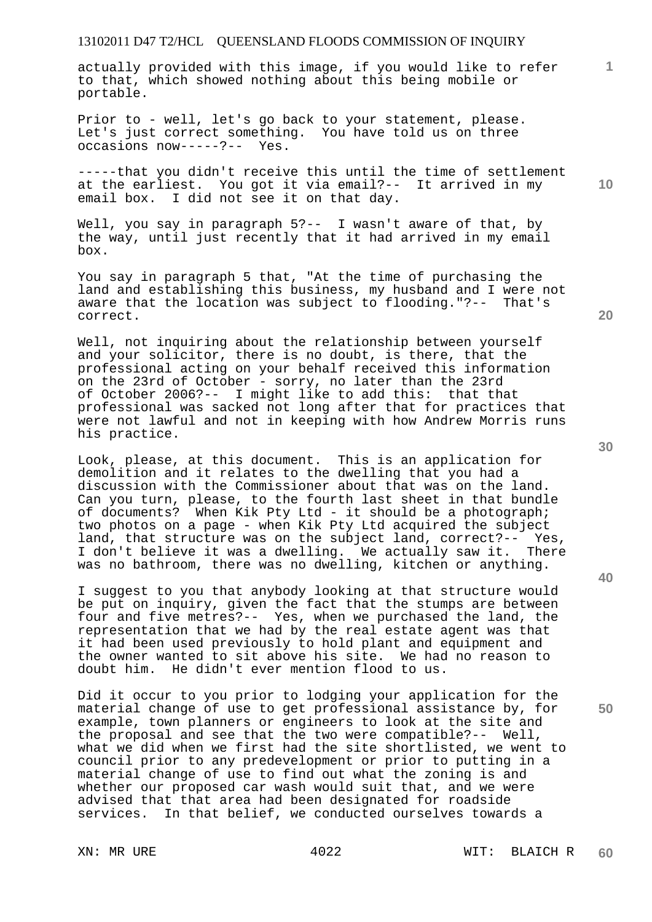actually provided with this image, if you would like to refer to that, which showed nothing about this being mobile or portable.

Prior to - well, let's go back to your statement, please. Let's just correct something. You have told us on three occasions now-----?-- Yes.

-----that you didn't receive this until the time of settlement at the earliest. You got it via email?-- It arrived in my email box. I did not see it on that day.

Well, you say in paragraph 5?-- I wasn't aware of that, by the way, until just recently that it had arrived in my email box.

You say in paragraph 5 that, "At the time of purchasing the land and establishing this business, my husband and I were not aware that the location was subject to flooding."?-- That's correct.

Well, not inquiring about the relationship between yourself and your solicitor, there is no doubt, is there, that the professional acting on your behalf received this information on the 23rd of October - sorry, no later than the 23rd of October 2006?-- I might like to add this: that that professional was sacked not long after that for practices that were not lawful and not in keeping with how Andrew Morris runs his practice.

Look, please, at this document. This is an application for demolition and it relates to the dwelling that you had a discussion with the Commissioner about that was on the land. Can you turn, please, to the fourth last sheet in that bundle of documents? When Kik Pty Ltd - it should be a photograph; two photos on a page - when Kik Pty Ltd acquired the subject land, that structure was on the subject land, correct?-- Yes, I don't believe it was a dwelling. We actually saw it. There was no bathroom, there was no dwelling, kitchen or anything.

I suggest to you that anybody looking at that structure would be put on inquiry, given the fact that the stumps are between four and five metres?-- Yes, when we purchased the land, the representation that we had by the real estate agent was that it had been used previously to hold plant and equipment and the owner wanted to sit above his site. We had no reason to doubt him. He didn't ever mention flood to us.

Did it occur to you prior to lodging your application for the material change of use to get professional assistance by, for example, town planners or engineers to look at the site and the proposal and see that the two were compatible?-- Well, what we did when we first had the site shortlisted, we went to council prior to any predevelopment or prior to putting in a material change of use to find out what the zoning is and whether our proposed car wash would suit that, and we were advised that that area had been designated for roadside services. In that belief, we conducted ourselves towards a

**30** 

**20** 

**50** 

**40** 

**10**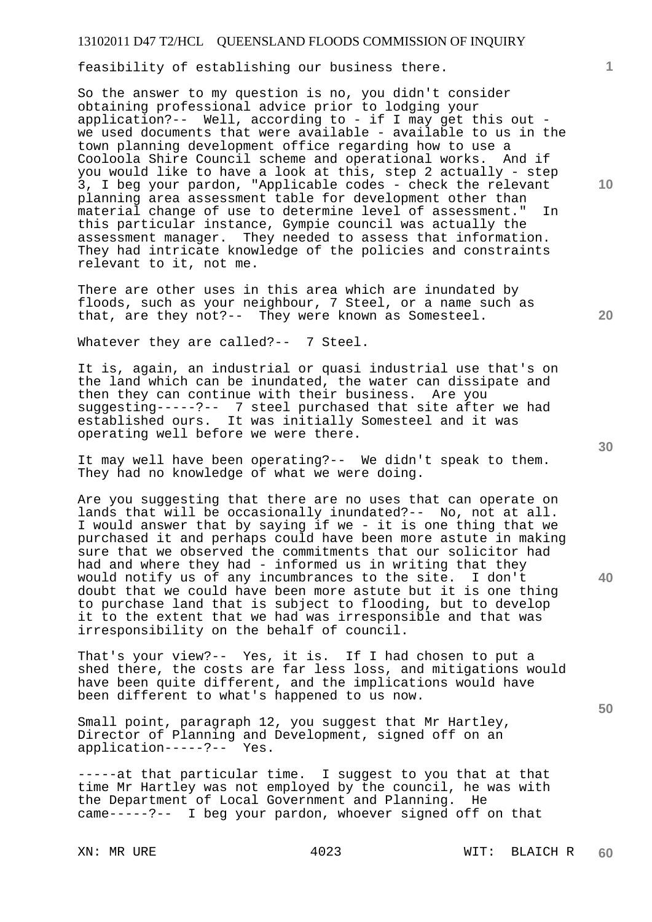feasibility of establishing our business there.

So the answer to my question is no, you didn't consider obtaining professional advice prior to lodging your application?-- Well, according to - if I may get this out we used documents that were available - available to us in the town planning development office regarding how to use a Cooloola Shire Council scheme and operational works. And if you would like to have a look at this, step 2 actually - step 3, I beg your pardon, "Applicable codes - check the relevant planning area assessment table for development other than material change of use to determine level of assessment." In this particular instance, Gympie council was actually the assessment manager. They needed to assess that information. They had intricate knowledge of the policies and constraints relevant to it, not me.

There are other uses in this area which are inundated by floods, such as your neighbour, 7 Steel, or a name such as that, are they not?-- They were known as Somesteel.

Whatever they are called?-- 7 Steel.

It is, again, an industrial or quasi industrial use that's on the land which can be inundated, the water can dissipate and then they can continue with their business. Are you suggesting-----?-- 7 steel purchased that site after we had established ours. It was initially Somesteel and it was operating well before we were there.

It may well have been operating?-- We didn't speak to them. They had no knowledge of what we were doing.

Are you suggesting that there are no uses that can operate on lands that will be occasionally inundated?-- No, not at all. I would answer that by saying if we - it is one thing that we purchased it and perhaps could have been more astute in making sure that we observed the commitments that our solicitor had had and where they had - informed us in writing that they would notify us of any incumbrances to the site. I don't doubt that we could have been more astute but it is one thing to purchase land that is subject to flooding, but to develop it to the extent that we had was irresponsible and that was irresponsibility on the behalf of council.

That's your view?-- Yes, it is. If I had chosen to put a shed there, the costs are far less loss, and mitigations would have been quite different, and the implications would have been different to what's happened to us now.

Small point, paragraph 12, you suggest that Mr Hartley, Director of Planning and Development, signed off on an application-----?-- Yes.

-----at that particular time. I suggest to you that at that time Mr Hartley was not employed by the council, he was with the Department of Local Government and Planning. He came-----?-- I beg your pardon, whoever signed off on that

**10** 

**1**

**30** 

**20** 

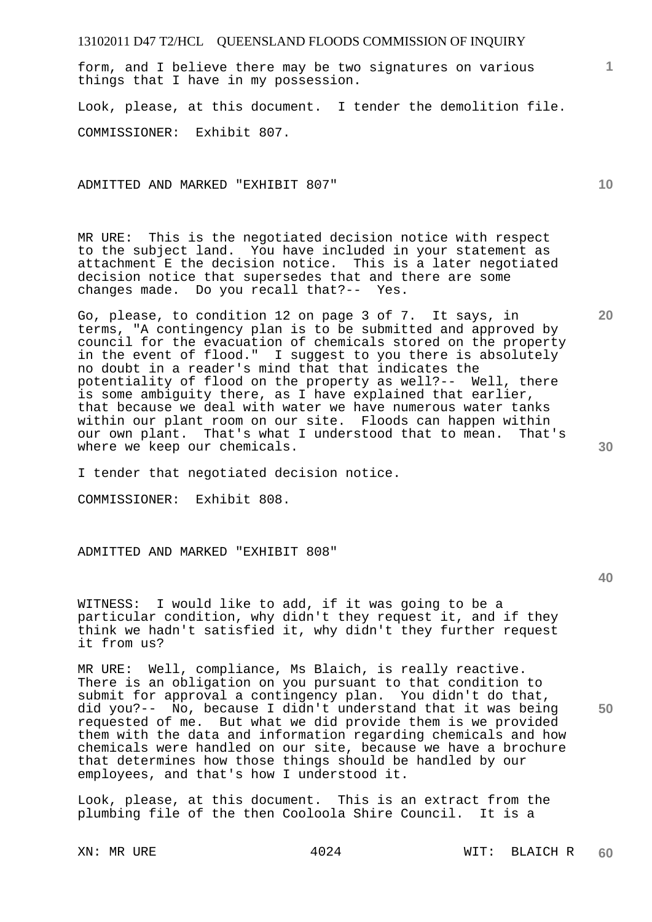form, and I believe there may be two signatures on various things that I have in my possession.

Look, please, at this document. I tender the demolition file.

COMMISSIONER: Exhibit 807.

ADMITTED AND MARKED "EXHIBIT 807"

MR URE: This is the negotiated decision notice with respect to the subject land. You have included in your statement as attachment E the decision notice. This is a later negotiated decision notice that supersedes that and there are some changes made. Do you recall that?-- Yes.

Go, please, to condition 12 on page 3 of 7. It says, in terms, "A contingency plan is to be submitted and approved by council for the evacuation of chemicals stored on the property in the event of flood." I suggest to you there is absolutely no doubt in a reader's mind that that indicates the potentiality of flood on the property as well?-- Well, there is some ambiguity there, as I have explained that earlier, that because we deal with water we have numerous water tanks within our plant room on our site. Floods can happen within our own plant. That's what I understood that to mean. That's where we keep our chemicals.

I tender that negotiated decision notice.

COMMISSIONER: Exhibit 808.

ADMITTED AND MARKED "EXHIBIT 808"

WITNESS: I would like to add, if it was going to be a particular condition, why didn't they request it, and if they think we hadn't satisfied it, why didn't they further request it from us?

MR URE: Well, compliance, Ms Blaich, is really reactive. There is an obligation on you pursuant to that condition to submit for approval a contingency plan. You didn't do that, did you?-- No, because I didn't understand that it was being requested of me. But what we did provide them is we provided them with the data and information regarding chemicals and how chemicals were handled on our site, because we have a brochure that determines how those things should be handled by our employees, and that's how I understood it.

Look, please, at this document. This is an extract from the plumbing file of the then Cooloola Shire Council. It is a

**10** 

**20** 

**1**

**40** 

**50**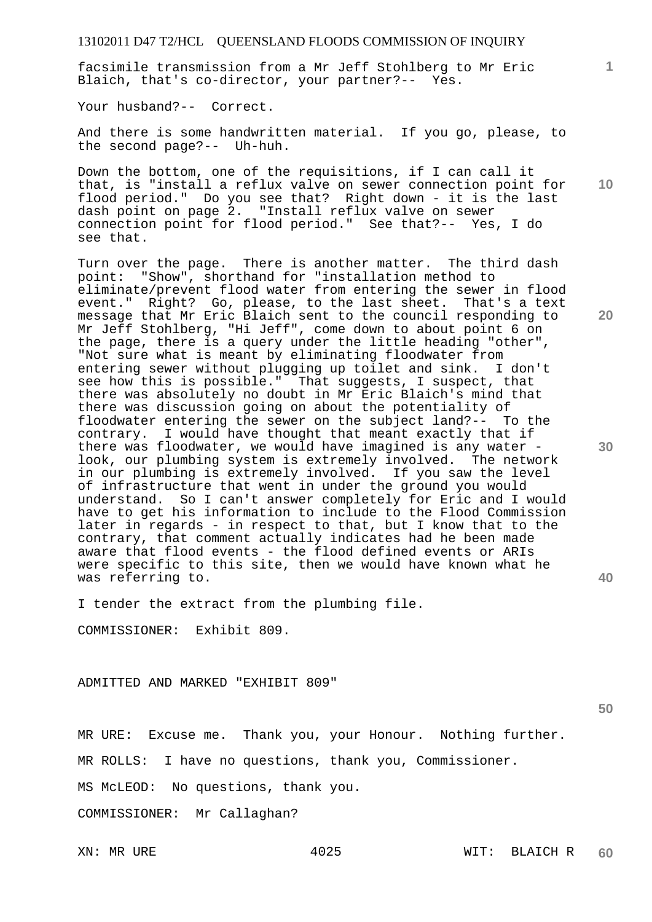facsimile transmission from a Mr Jeff Stohlberg to Mr Eric Blaich, that's co-director, your partner?-- Yes.

Your husband?-- Correct.

And there is some handwritten material. If you go, please, to the second page?-- Uh-huh.

Down the bottom, one of the requisitions, if I can call it that, is "install a reflux valve on sewer connection point for flood period." Do you see that? Right down - it is the last dash point on page 2. "Install reflux valve on sewer connection point for flood period." See that?-- Yes, I do see that.

Turn over the page. There is another matter. The third dash point: "Show", shorthand for "installation method to eliminate/prevent flood water from entering the sewer in flood event." Right? Go, please, to the last sheet. That's a text message that Mr Eric Blaich sent to the council responding to Mr Jeff Stohlberg, "Hi Jeff", come down to about point 6 on the page, there is a query under the little heading "other", "Not sure what is meant by eliminating floodwater from entering sewer without plugging up toilet and sink. I don't see how this is possible." That suggests, I suspect, that there was absolutely no doubt in Mr Eric Blaich's mind that there was discussion going on about the potentiality of floodwater entering the sewer on the subject land?-- To the contrary. I would have thought that meant exactly that if there was floodwater, we would have imagined is any water look, our plumbing system is extremely involved. The network in our plumbing is extremely involved. If you saw the level of infrastructure that went in under the ground you would understand. So I can't answer completely for Eric and I would have to get his information to include to the Flood Commission later in regards - in respect to that, but I know that to the contrary, that comment actually indicates had he been made aware that flood events - the flood defined events or ARIs were specific to this site, then we would have known what he was referring to.

I tender the extract from the plumbing file.

COMMISSIONER: Exhibit 809.

ADMITTED AND MARKED "EXHIBIT 809"

**50** 

**1**

**10** 

**20** 

**30** 

**40** 

MR URE: Excuse me. Thank you, your Honour. Nothing further.

MR ROLLS: I have no questions, thank you, Commissioner.

MS McLEOD: No questions, thank you.

COMMISSIONER: Mr Callaghan?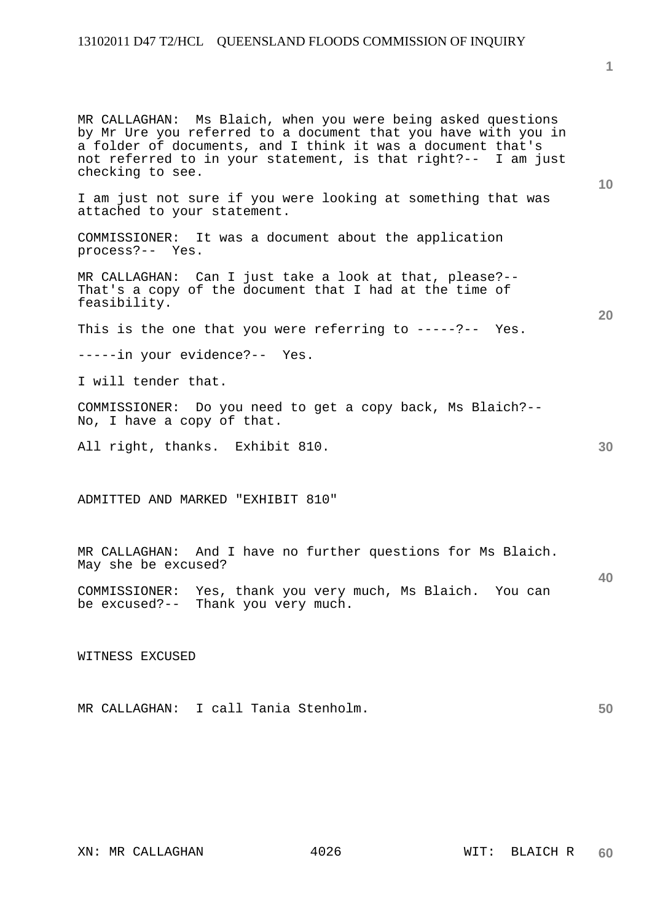MR CALLAGHAN: Ms Blaich, when you were being asked questions by Mr Ure you referred to a document that you have with you in a folder of documents, and I think it was a document that's not referred to in your statement, is that right?-- I am just checking to see.

I am just not sure if you were looking at something that was attached to your statement.

COMMISSIONER: It was a document about the application process?-- Yes.

MR CALLAGHAN: Can I just take a look at that, please?-- That's a copy of the document that I had at the time of feasibility.

This is the one that you were referring to -----?-- Yes.

-----in your evidence?-- Yes.

I will tender that.

COMMISSIONER: Do you need to get a copy back, Ms Blaich?-- No, I have a copy of that.

All right, thanks. Exhibit 810.

ADMITTED AND MARKED "EXHIBIT 810"

MR CALLAGHAN: And I have no further questions for Ms Blaich. May she be excused?

COMMISSIONER: Yes, thank you very much, Ms Blaich. You can be excused?-- Thank you very much.

WITNESS EXCUSED

| I call Tania Stenholm.<br>MR CALLAGHAN: |  |
|-----------------------------------------|--|
|-----------------------------------------|--|

**1**

**20** 

**10** 

**30**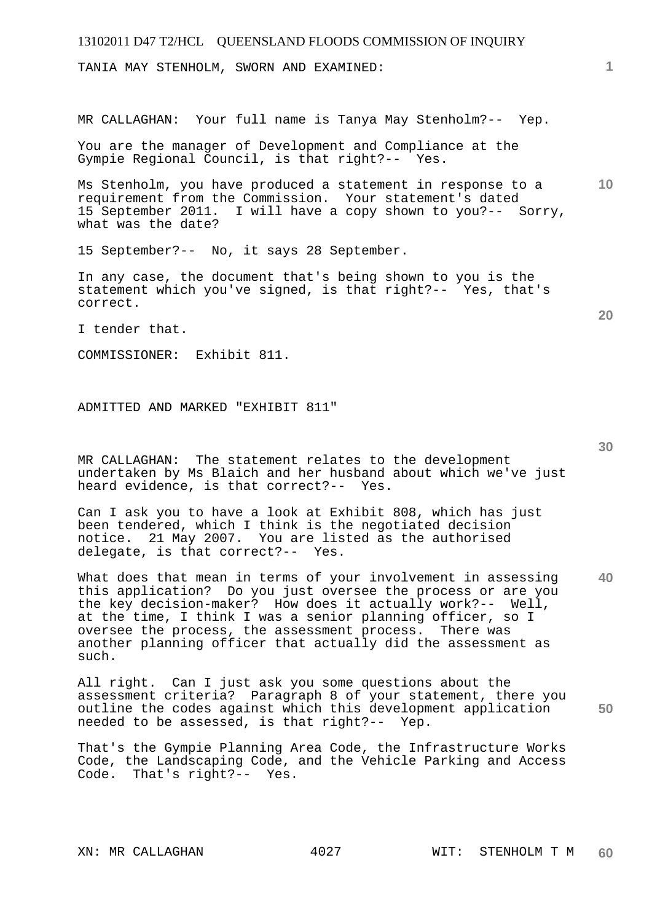TANIA MAY STENHOLM, SWORN AND EXAMINED:

MR CALLAGHAN: Your full name is Tanya May Stenholm?-- Yep.

You are the manager of Development and Compliance at the Gympie Regional Council, is that right?-- Yes.

**10**  Ms Stenholm, you have produced a statement in response to a requirement from the Commission. Your statement's dated 15 September 2011. I will have a copy shown to you?-- Sorry, what was the date?

15 September?-- No, it says 28 September.

In any case, the document that's being shown to you is the statement which you've signed, is that right?-- Yes, that's correct.

I tender that.

COMMISSIONER: Exhibit 811.

ADMITTED AND MARKED "EXHIBIT 811"

MR CALLAGHAN: The statement relates to the development undertaken by Ms Blaich and her husband about which we've just heard evidence, is that correct?-- Yes.

Can I ask you to have a look at Exhibit 808, which has just been tendered, which I think is the negotiated decision notice. 21 May 2007. You are listed as the authorised delegate, is that correct?-- Yes.

**40**  What does that mean in terms of your involvement in assessing this application? Do you just oversee the process or are you the key decision-maker? How does it actually work?-- Well, at the time, I think I was a senior planning officer, so I oversee the process, the assessment process. There was another planning officer that actually did the assessment as such.

**50**  All right. Can I just ask you some questions about the assessment criteria? Paragraph 8 of your statement, there you outline the codes against which this development application needed to be assessed, is that right?-- Yep.

That's the Gympie Planning Area Code, the Infrastructure Works Code, the Landscaping Code, and the Vehicle Parking and Access Code. That's right?-- Yes.

**30** 

**20**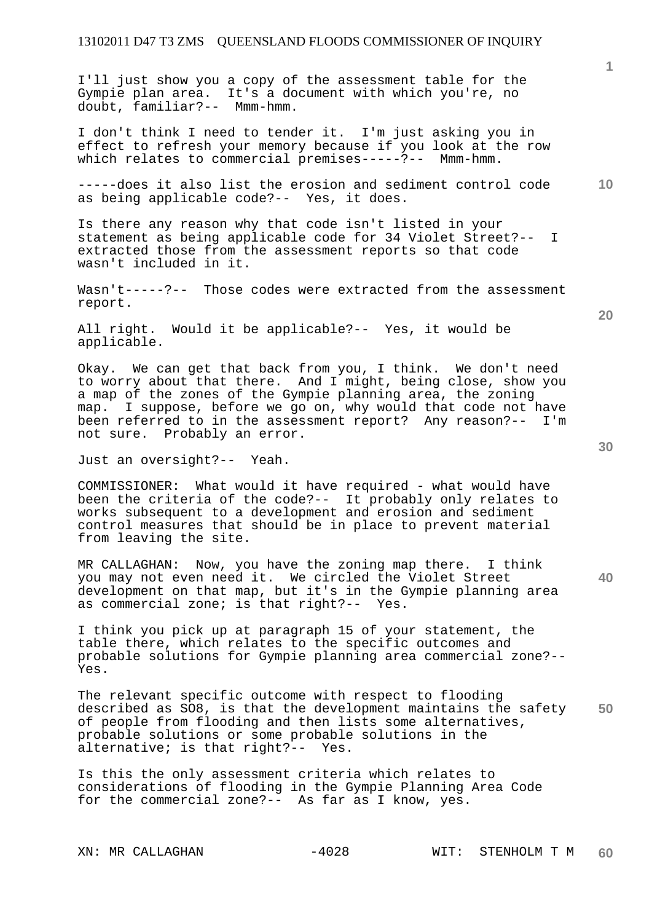I'll just show you a copy of the assessment table for the Gympie plan area. It's a document with which you're, no doubt, familiar?-- Mmm-hmm.

I don't think I need to tender it. I'm just asking you in effect to refresh your memory because if you look at the row which relates to commercial premises-----?-- Mmm-hmm.

**10**  -----does it also list the erosion and sediment control code as being applicable code?-- Yes, it does.

Is there any reason why that code isn't listed in your statement as being applicable code for 34 Violet Street?-- I extracted those from the assessment reports so that code wasn't included in it.

Wasn't-----?-- Those codes were extracted from the assessment report.

All right. Would it be applicable?-- Yes, it would be applicable.

Okay. We can get that back from you, I think. We don't need to worry about that there. And I might, being close, show you a map of the zones of the Gympie planning area, the zoning map. I suppose, before we go on, why would that code not have been referred to in the assessment report? Any reason?-- I'm not sure. Probably an error.

Just an oversight?-- Yeah.

COMMISSIONER: What would it have required - what would have been the criteria of the code?-- It probably only relates to works subsequent to a development and erosion and sediment control measures that should be in place to prevent material from leaving the site.

MR CALLAGHAN: Now, you have the zoning map there. I think you may not even need it. We circled the Violet Street development on that map, but it's in the Gympie planning area as commercial zone; is that right?-- Yes.

I think you pick up at paragraph 15 of your statement, the table there, which relates to the specific outcomes and probable solutions for Gympie planning area commercial zone?-- Yes.

**50**  The relevant specific outcome with respect to flooding described as SO8, is that the development maintains the safety of people from flooding and then lists some alternatives, probable solutions or some probable solutions in the alternative; is that right?-- Yes.

Is this the only assessment criteria which relates to considerations of flooding in the Gympie Planning Area Code for the commercial zone?-- As far as I know, yes.

**20** 

**40**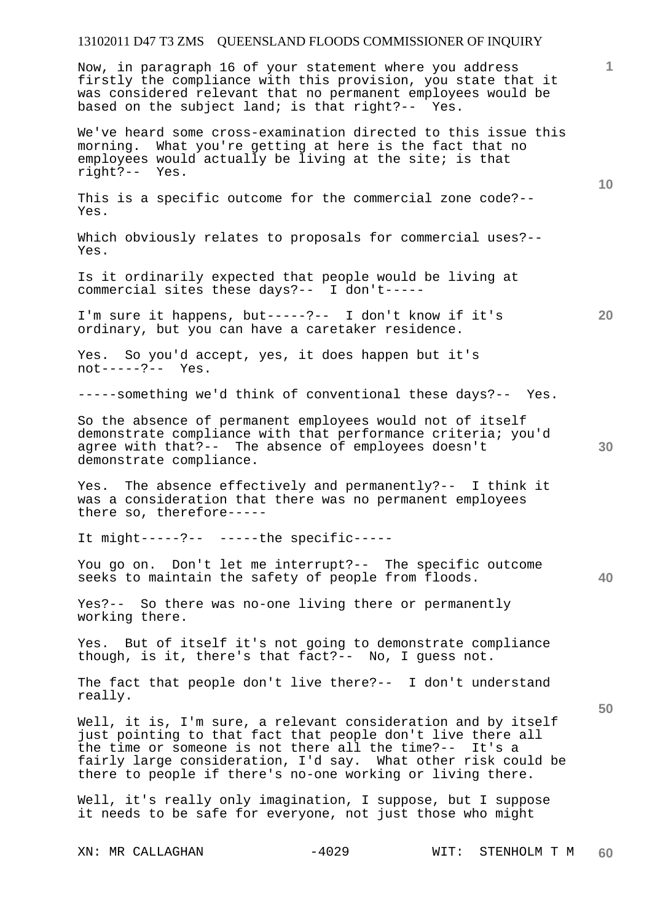Now, in paragraph 16 of your statement where you address firstly the compliance with this provision, you state that it was considered relevant that no permanent employees would be based on the subject land; is that right?-- Yes.

We've heard some cross-examination directed to this issue this morning. What you're getting at here is the fact that no employees would actually be living at the site; is that right?-- Yes.

This is a specific outcome for the commercial zone code?-- Yes.

Which obviously relates to proposals for commercial uses?-- Yes.

Is it ordinarily expected that people would be living at commercial sites these days?-- I don't-----

I'm sure it happens, but-----?-- I don't know if it's ordinary, but you can have a caretaker residence.

Yes. So you'd accept, yes, it does happen but it's<br>not-----?-- Yes.  $not---?--$ 

-----something we'd think of conventional these days?-- Yes.

So the absence of permanent employees would not of itself demonstrate compliance with that performance criteria; you'd agree with that?-- The absence of employees doesn't demonstrate compliance.

Yes. The absence effectively and permanently?-- I think it was a consideration that there was no permanent employees there so, therefore-----

It might-----?-- -----the specific-----

You go on. Don't let me interrupt?-- The specific outcome seeks to maintain the safety of people from floods.

Yes?-- So there was no-one living there or permanently working there.

Yes. But of itself it's not going to demonstrate compliance though, is it, there's that fact?-- No, I guess not.

The fact that people don't live there?-- I don't understand really.

Well, it is, I'm sure, a relevant consideration and by itself just pointing to that fact that people don't live there all the time or someone is not there all the time?-- It's a fairly large consideration, I'd say. What other risk could be there to people if there's no-one working or living there.

Well, it's really only imagination, I suppose, but I suppose it needs to be safe for everyone, not just those who might

**1**

**20** 

**10** 

**40**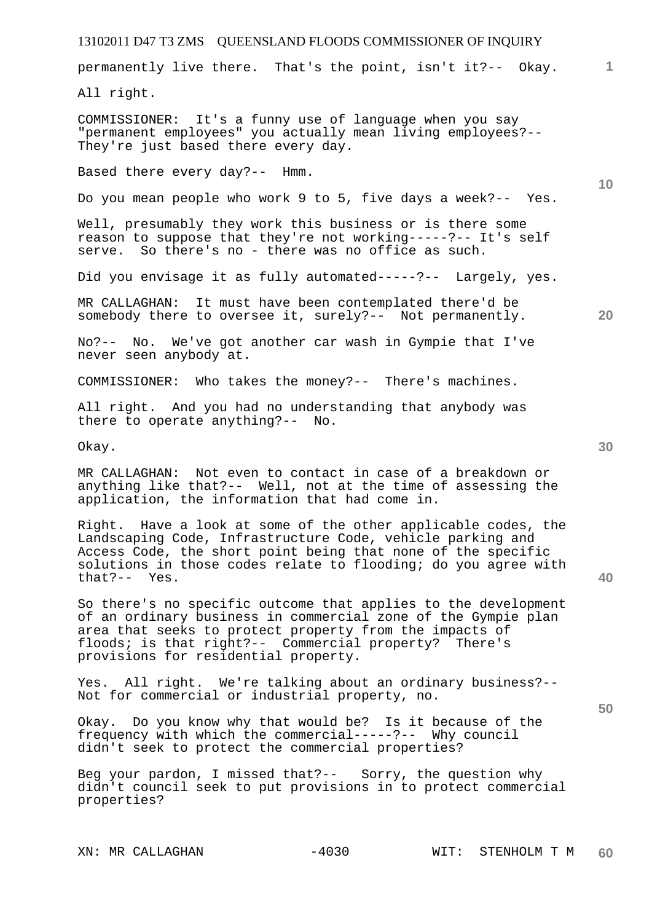| 13102011 D47 T3 ZMS QUEENSLAND FLOODS COMMISSIONER OF INQUIRY                                                                                                                                                                                                                               |                 |
|---------------------------------------------------------------------------------------------------------------------------------------------------------------------------------------------------------------------------------------------------------------------------------------------|-----------------|
| permanently live there. That's the point, isn't it ?-- Okay.                                                                                                                                                                                                                                | 1.              |
| All right.                                                                                                                                                                                                                                                                                  |                 |
| COMMISSIONER: It's a funny use of language when you say<br>"permanent employees" you actually mean living employees?--<br>They're just based there every day.                                                                                                                               |                 |
| Based there every day?-- Hmm.                                                                                                                                                                                                                                                               | 10 <sup>°</sup> |
| Do you mean people who work 9 to 5, five days a week?-- Yes.                                                                                                                                                                                                                                |                 |
| Well, presumably they work this business or is there some<br>reason to suppose that they're not working-----?-- It's self<br>serve. So there's no - there was no office as such.                                                                                                            |                 |
| Did you envisage it as fully automated-----?-- Largely, yes.                                                                                                                                                                                                                                |                 |
| MR CALLAGHAN: It must have been contemplated there'd be<br>somebody there to oversee it, surely?-- Not permanently.                                                                                                                                                                         | 20              |
| No?-- No. We've got another car wash in Gympie that I've<br>never seen anybody at.                                                                                                                                                                                                          |                 |
| COMMISSIONER: Who takes the money?-- There's machines.                                                                                                                                                                                                                                      |                 |
| All right. And you had no understanding that anybody was<br>there to operate anything?-- No.                                                                                                                                                                                                |                 |
| Okay.                                                                                                                                                                                                                                                                                       | 30              |
| MR CALLAGHAN: Not even to contact in case of a breakdown or<br>anything like that?-- Well, not at the time of assessing the<br>application, the information that had come in.                                                                                                               |                 |
| Right. Have a look at some of the other applicable codes, the<br>Landscaping Code, Infrastructure Code, vehicle parking and<br>Access Code, the short point being that none of the specific<br>solutions in those codes relate to flooding; do you agree with<br>$that? -- Yes.$            | 40              |
| So there's no specific outcome that applies to the development<br>of an ordinary business in commercial zone of the Gympie plan<br>area that seeks to protect property from the impacts of<br>floods; is that right?-- Commercial property? There's<br>provisions for residential property. |                 |
| Yes. All right. We're talking about an ordinary business?--<br>Not for commercial or industrial property, no.                                                                                                                                                                               | 50              |
| Okay. Do you know why that would be? Is it because of the<br>frequency with which the commercial-----?-- Why council<br>didn't seek to protect the commercial properties?                                                                                                                   |                 |
| Beg your pardon, I missed that?-- Sorry, the question why<br>didn't council seek to put provisions in to protect commercial                                                                                                                                                                 |                 |

properties?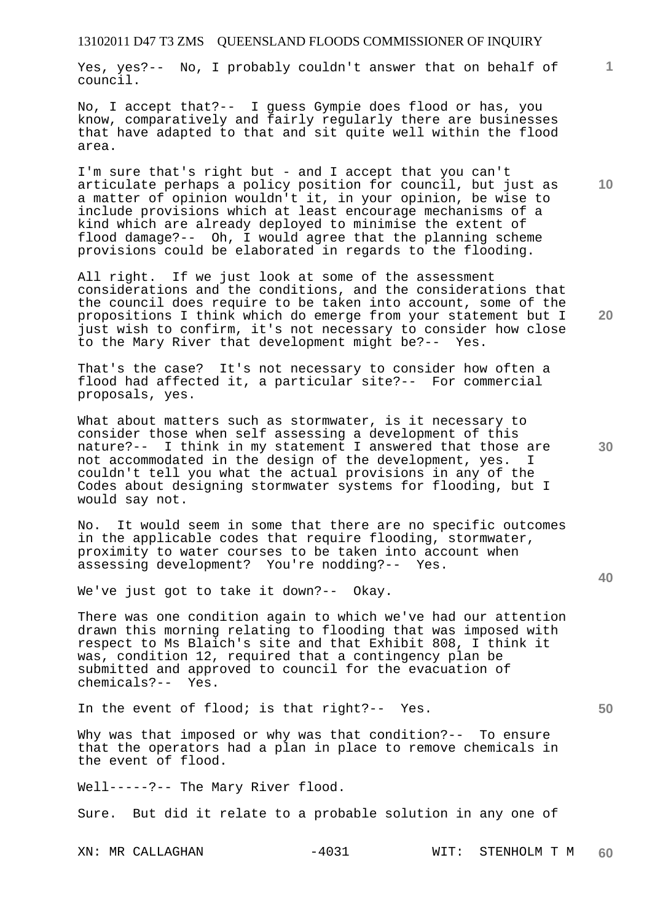Yes, yes?-- No, I probably couldn't answer that on behalf of council.

No, I accept that?-- I guess Gympie does flood or has, you know, comparatively and fairly regularly there are businesses that have adapted to that and sit quite well within the flood area.

I'm sure that's right but - and I accept that you can't articulate perhaps a policy position for council, but just as a matter of opinion wouldn't it, in your opinion, be wise to include provisions which at least encourage mechanisms of a kind which are already deployed to minimise the extent of flood damage?-- Oh, I would agree that the planning scheme provisions could be elaborated in regards to the flooding.

All right. If we just look at some of the assessment considerations and the conditions, and the considerations that the council does require to be taken into account, some of the propositions I think which do emerge from your statement but I just wish to confirm, it's not necessary to consider how close to the Mary River that development might be?-- Yes.

That's the case? It's not necessary to consider how often a flood had affected it, a particular site?-- For commercial proposals, yes.

What about matters such as stormwater, is it necessary to consider those when self assessing a development of this nature?-- I think in my statement I answered that those are not accommodated in the design of the development, yes. I couldn't tell you what the actual provisions in any of the Codes about designing stormwater systems for flooding, but I would say not.

No. It would seem in some that there are no specific outcomes in the applicable codes that require flooding, stormwater, proximity to water courses to be taken into account when assessing development? You're nodding?-- Yes.

We've just got to take it down?-- Okay.

There was one condition again to which we've had our attention drawn this morning relating to flooding that was imposed with respect to Ms Blaich's site and that Exhibit 808, I think it was, condition 12, required that a contingency plan be submitted and approved to council for the evacuation of chemicals?-- Yes.

In the event of flood; is that right?-- Yes.

Why was that imposed or why was that condition?-- To ensure that the operators had a plan in place to remove chemicals in the event of flood.

Well-----?-- The Mary River flood.

Sure. But did it relate to a probable solution in any one of

**30** 

**20** 

**40** 

**50** 

**10**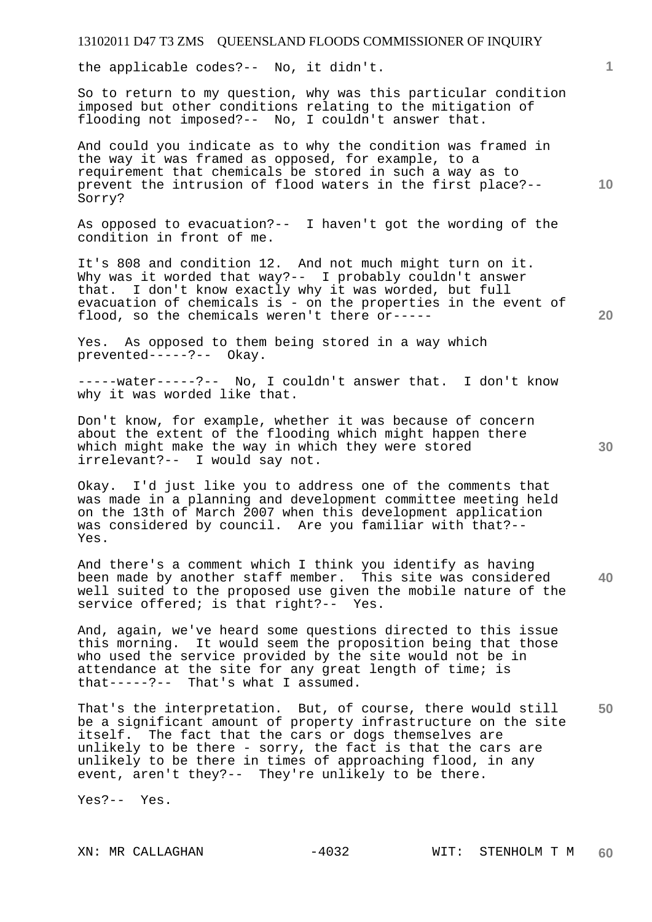the applicable codes?-- No, it didn't.

So to return to my question, why was this particular condition imposed but other conditions relating to the mitigation of flooding not imposed?-- No, I couldn't answer that.

And could you indicate as to why the condition was framed in the way it was framed as opposed, for example, to a requirement that chemicals be stored in such a way as to prevent the intrusion of flood waters in the first place?-- Sorry?

As opposed to evacuation?-- I haven't got the wording of the condition in front of me.

It's 808 and condition 12. And not much might turn on it. Why was it worded that way?-- I probably couldn't answer that. I don't know exactly why it was worded, but full evacuation of chemicals is - on the properties in the event of flood, so the chemicals weren't there or-----

Yes. As opposed to them being stored in a way which prevented-----?-- Okay.

-----water-----?-- No, I couldn't answer that. I don't know why it was worded like that.

Don't know, for example, whether it was because of concern about the extent of the flooding which might happen there which might make the way in which they were stored irrelevant?-- I would say not.

Okay. I'd just like you to address one of the comments that was made in a planning and development committee meeting held on the 13th of March 2007 when this development application was considered by council. Are you familiar with that?-- Yes.

**40**  And there's a comment which I think you identify as having been made by another staff member. This site was considered well suited to the proposed use given the mobile nature of the service offered; is that right?-- Yes.

And, again, we've heard some questions directed to this issue this morning. It would seem the proposition being that those who used the service provided by the site would not be in attendance at the site for any great length of time; is that-----?-- That's what I assumed.

**50**  That's the interpretation. But, of course, there would still be a significant amount of property infrastructure on the site itself. The fact that the cars or dogs themselves are unlikely to be there - sorry, the fact is that the cars are unlikely to be there in times of approaching flood, in any event, aren't they?-- They're unlikely to be there.

Yes?-- Yes.

**30** 

**20** 

**1**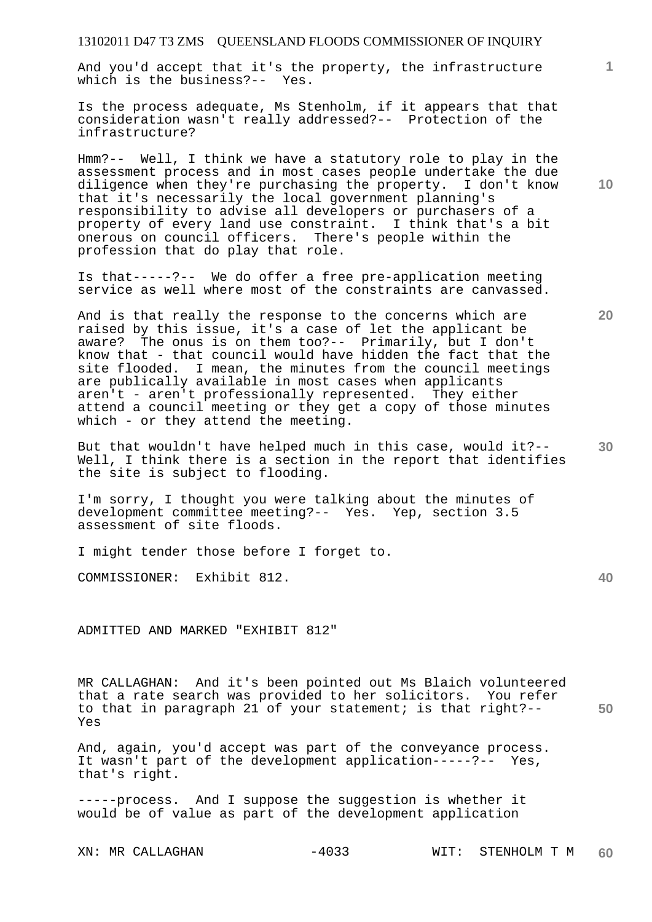And you'd accept that it's the property, the infrastructure which is the business?-- Yes.

Is the process adequate, Ms Stenholm, if it appears that that consideration wasn't really addressed?-- Protection of the infrastructure?

Hmm?-- Well, I think we have a statutory role to play in the assessment process and in most cases people undertake the due diligence when they're purchasing the property. I don't know that it's necessarily the local government planning's responsibility to advise all developers or purchasers of a property of every land use constraint. I think that's a bit onerous on council officers. There's people within the profession that do play that role.

Is that-----?-- We do offer a free pre-application meeting service as well where most of the constraints are canvassed.

And is that really the response to the concerns which are raised by this issue, it's a case of let the applicant be aware? The onus is on them too?-- Primarily, but I don't know that - that council would have hidden the fact that the site flooded. I mean, the minutes from the council meetings are publically available in most cases when applicants aren't - aren't professionally represented. They either attend a council meeting or they get a copy of those minutes which - or they attend the meeting.

**30**  But that wouldn't have helped much in this case, would it?-- Well, I think there is a section in the report that identifies the site is subject to flooding.

I'm sorry, I thought you were talking about the minutes of development committee meeting?-- Yes. Yep, section 3.5 assessment of site floods.

I might tender those before I forget to.

COMMISSIONER: Exhibit 812.

ADMITTED AND MARKED "EXHIBIT 812"

MR CALLAGHAN: And it's been pointed out Ms Blaich volunteered that a rate search was provided to her solicitors. You refer to that in paragraph 21 of your statement; is that right?-- Yes

And, again, you'd accept was part of the conveyance process. It wasn't part of the development application-----?-- Yes, that's right.

-----process. And I suppose the suggestion is whether it would be of value as part of the development application

**10** 

**1**

**20** 

**40**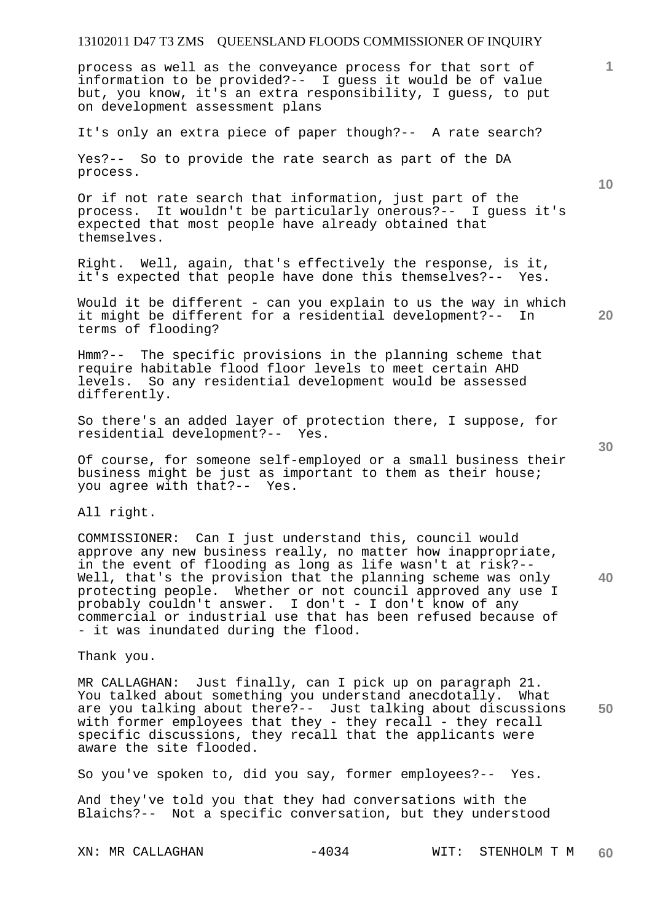process as well as the conveyance process for that sort of information to be provided?-- I guess it would be of value but, you know, it's an extra responsibility, I guess, to put on development assessment plans

It's only an extra piece of paper though?-- A rate search?

Yes?-- So to provide the rate search as part of the DA process.

Or if not rate search that information, just part of the process. It wouldn't be particularly onerous?-- I guess it's expected that most people have already obtained that themselves.

Right. Well, again, that's effectively the response, is it, it's expected that people have done this themselves?-- Yes.

Would it be different - can you explain to us the way in which it might be different for a residential development?-- In terms of flooding?

Hmm?-- The specific provisions in the planning scheme that require habitable flood floor levels to meet certain AHD<br>levels. So any residential development would be assessed So any residential development would be assessed differently.

So there's an added layer of protection there, I suppose, for residential development?-- Yes.

Of course, for someone self-employed or a small business their business might be just as important to them as their house; you agree with that?-- Yes.

All right.

COMMISSIONER: Can I just understand this, council would approve any new business really, no matter how inappropriate, in the event of flooding as long as life wasn't at risk?-- Well, that's the provision that the planning scheme was only protecting people. Whether or not council approved any use I probably couldn't answer. I don't - I don't know of any commercial or industrial use that has been refused because of - it was inundated during the flood.

Thank you.

**50**  MR CALLAGHAN: Just finally, can I pick up on paragraph 21. You talked about something you understand anecdotally. What are you talking about there?-- Just talking about discussions with former employees that they - they recall - they recall specific discussions, they recall that the applicants were aware the site flooded.

So you've spoken to, did you say, former employees?-- Yes.

And they've told you that they had conversations with the Blaichs?-- Not a specific conversation, but they understood

**10** 

**1**

**40**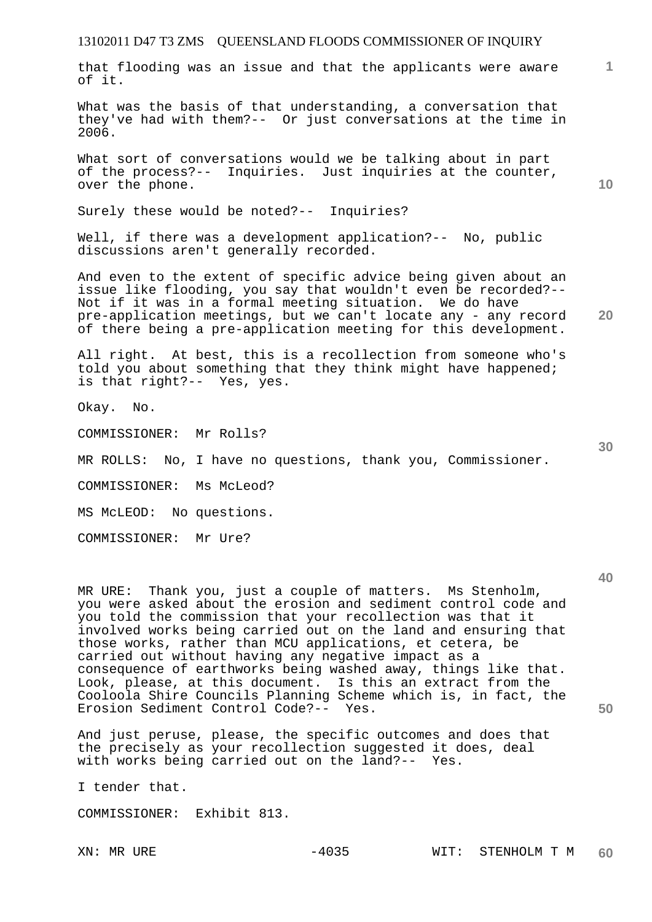that flooding was an issue and that the applicants were aware of it.

What was the basis of that understanding, a conversation that they've had with them?-- Or just conversations at the time in 2006.

What sort of conversations would we be talking about in part of the process?-- Inquiries. Just inquiries at the counter, over the phone.

Surely these would be noted?-- Inquiries?

Well, if there was a development application?-- No, public discussions aren't generally recorded.

And even to the extent of specific advice being given about an issue like flooding, you say that wouldn't even be recorded?-- Not if it was in a formal meeting situation. We do have pre-application meetings, but we can't locate any - any record of there being a pre-application meeting for this development.

All right. At best, this is a recollection from someone who's told you about something that they think might have happened; is that right?-- Yes, yes.

Okay. No.

COMMISSIONER: Mr Rolls?

MR ROLLS: No, I have no questions, thank you, Commissioner.

COMMISSIONER: Ms McLeod?

MS McLEOD: No questions.

COMMISSIONER: Mr Ure?

MR URE: Thank you, just a couple of matters. Ms Stenholm, you were asked about the erosion and sediment control code and you told the commission that your recollection was that it involved works being carried out on the land and ensuring that those works, rather than MCU applications, et cetera, be carried out without having any negative impact as a consequence of earthworks being washed away, things like that. Look, please, at this document. Is this an extract from the Cooloola Shire Councils Planning Scheme which is, in fact, the Erosion Sediment Control Code?-- Yes.

And just peruse, please, the specific outcomes and does that the precisely as your recollection suggested it does, deal with works being carried out on the land?-- Yes.

I tender that.

COMMISSIONER: Exhibit 813.

**10** 

**20** 

**1**

**40** 

**50**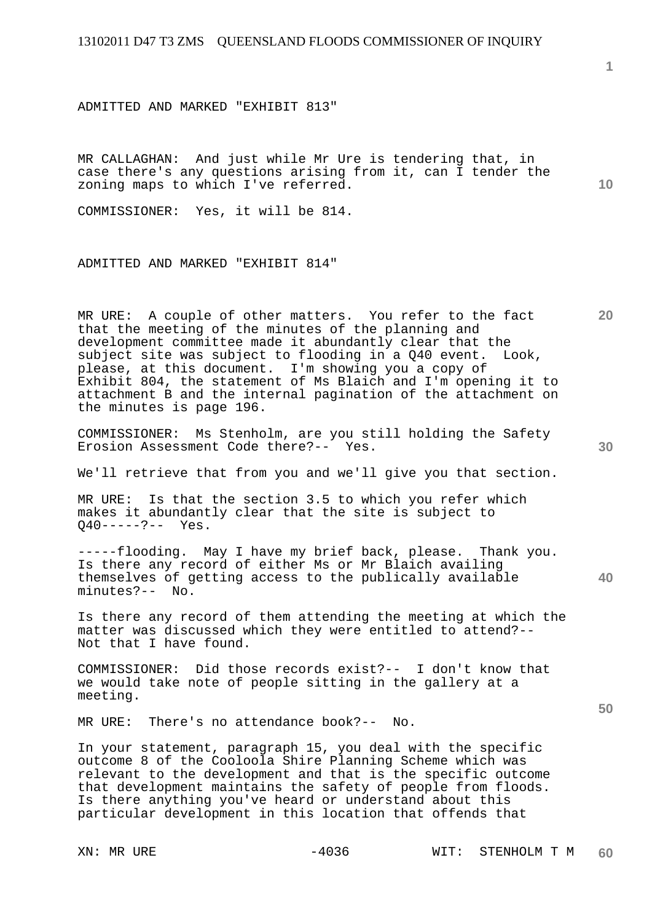ADMITTED AND MARKED "EXHIBIT 813"

MR CALLAGHAN: And just while Mr Ure is tendering that, in case there's any questions arising from it, can I tender the zoning maps to which I've referred.

COMMISSIONER: Yes, it will be 814.

ADMITTED AND MARKED "EXHIBIT 814"

MR URE: A couple of other matters. You refer to the fact that the meeting of the minutes of the planning and development committee made it abundantly clear that the subject site was subject to flooding in a Q40 event. Look, please, at this document. I'm showing you a copy of Exhibit 804, the statement of Ms Blaich and I'm opening it to attachment B and the internal pagination of the attachment on the minutes is page 196.

COMMISSIONER: Ms Stenholm, are you still holding the Safety Erosion Assessment Code there?-- Yes.

We'll retrieve that from you and we'll give you that section.

MR URE: Is that the section 3.5 to which you refer which makes it abundantly clear that the site is subject to Q40-----?-- Yes.

-----flooding. May I have my brief back, please. Thank you. Is there any record of either Ms or Mr Blaich availing themselves of getting access to the publically available minutes?-- No.

Is there any record of them attending the meeting at which the matter was discussed which they were entitled to attend?-- Not that I have found.

COMMISSIONER: Did those records exist?-- I don't know that we would take note of people sitting in the gallery at a meeting.

MR URE: There's no attendance book?-- No.

In your statement, paragraph 15, you deal with the specific outcome 8 of the Cooloola Shire Planning Scheme which was relevant to the development and that is the specific outcome that development maintains the safety of people from floods. Is there anything you've heard or understand about this particular development in this location that offends that

**1**

**10** 

**30** 

**20** 

**50**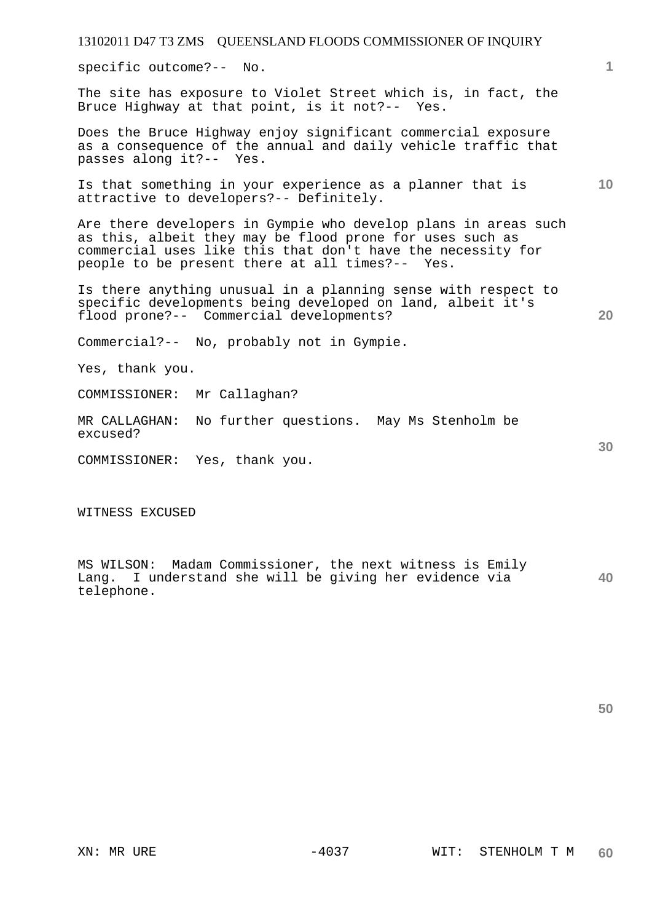13102011 D47 T3 ZMS QUEENSLAND FLOODS COMMISSIONER OF INQUIRY **1 10 20 30**  specific outcome?-- No. The site has exposure to Violet Street which is, in fact, the Bruce Highway at that point, is it not?-- Yes. Does the Bruce Highway enjoy significant commercial exposure as a consequence of the annual and daily vehicle traffic that passes along it?-- Yes. Is that something in your experience as a planner that is attractive to developers?-- Definitely. Are there developers in Gympie who develop plans in areas such as this, albeit they may be flood prone for uses such as commercial uses like this that don't have the necessity for people to be present there at all times?-- Yes. Is there anything unusual in a planning sense with respect to specific developments being developed on land, albeit it's flood prone?-- Commercial developments? Commercial?-- No, probably not in Gympie. Yes, thank you. COMMISSIONER: Mr Callaghan? MR CALLAGHAN: No further questions. May Ms Stenholm be excused? COMMISSIONER: Yes, thank you.

WITNESS EXCUSED

**40**  MS WILSON: Madam Commissioner, the next witness is Emily Lang. I understand she will be giving her evidence via telephone.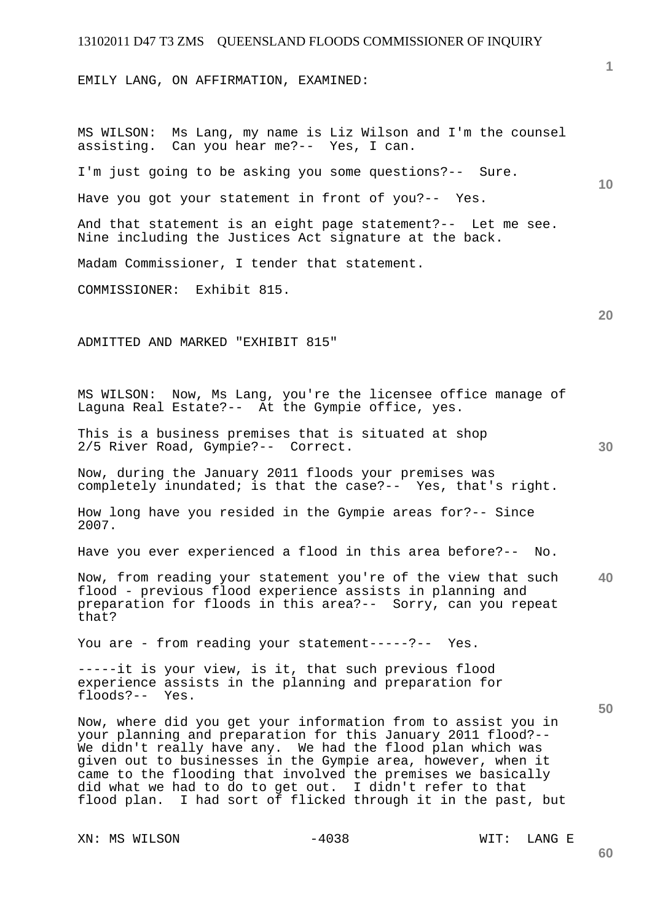EMILY LANG, ON AFFIRMATION, EXAMINED:

**10 20 30 40 50**  MS WILSON: Ms Lang, my name is Liz Wilson and I'm the counsel assisting. Can you hear me?-- Yes, I can. I'm just going to be asking you some questions?-- Sure. Have you got your statement in front of you?-- Yes. And that statement is an eight page statement?-- Let me see. Nine including the Justices Act signature at the back. Madam Commissioner, I tender that statement. COMMISSIONER: Exhibit 815. ADMITTED AND MARKED "EXHIBIT 815" MS WILSON: Now, Ms Lang, you're the licensee office manage of Laguna Real Estate?-- At the Gympie office, yes. This is a business premises that is situated at shop 2/5 River Road, Gympie?-- Correct. Now, during the January 2011 floods your premises was completely inundated; is that the case?-- Yes, that's right. How long have you resided in the Gympie areas for?-- Since 2007. Have you ever experienced a flood in this area before?-- No. Now, from reading your statement you're of the view that such flood - previous flood experience assists in planning and preparation for floods in this area?-- Sorry, can you repeat that? You are - from reading your statement-----?-- Yes. -----it is your view, is it, that such previous flood experience assists in the planning and preparation for floods?-- Yes. Now, where did you get your information from to assist you in your planning and preparation for this January 2011 flood?-- We didn't really have any. We had the flood plan which was given out to businesses in the Gympie area, however, when it came to the flooding that involved the premises we basically did what we had to do to get out. I didn't refer to that flood plan. I had sort of flicked through it in the past, but

XN: MS WILSON  $-4038$  WIT: LANG E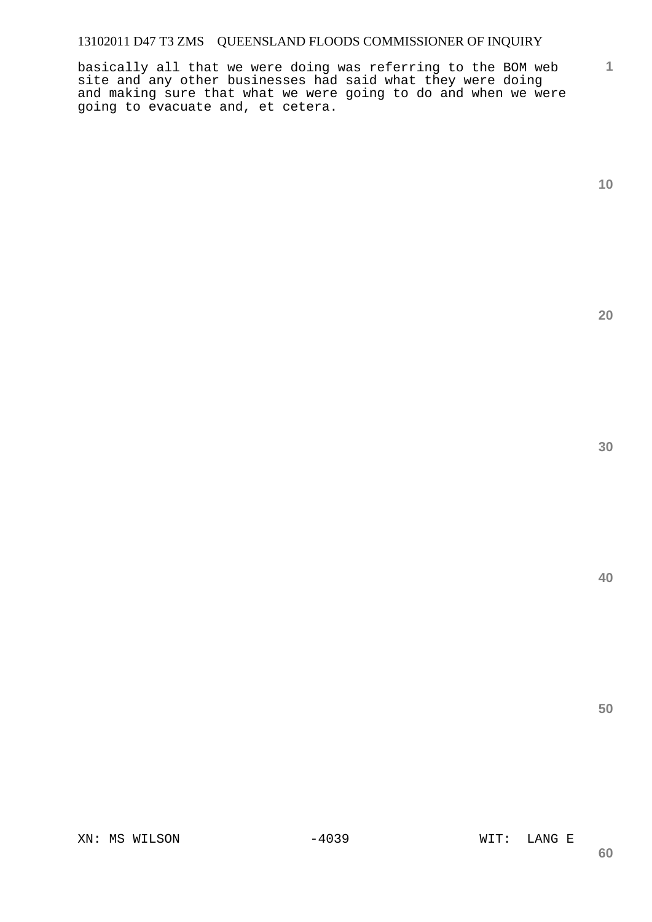basically all that we were doing was referring to the BOM web site and any other businesses had said what they were doing and making sure that what we were going to do and when we were going to evacuate and, et cetera.

**1**

**20** 

**30** 

**40**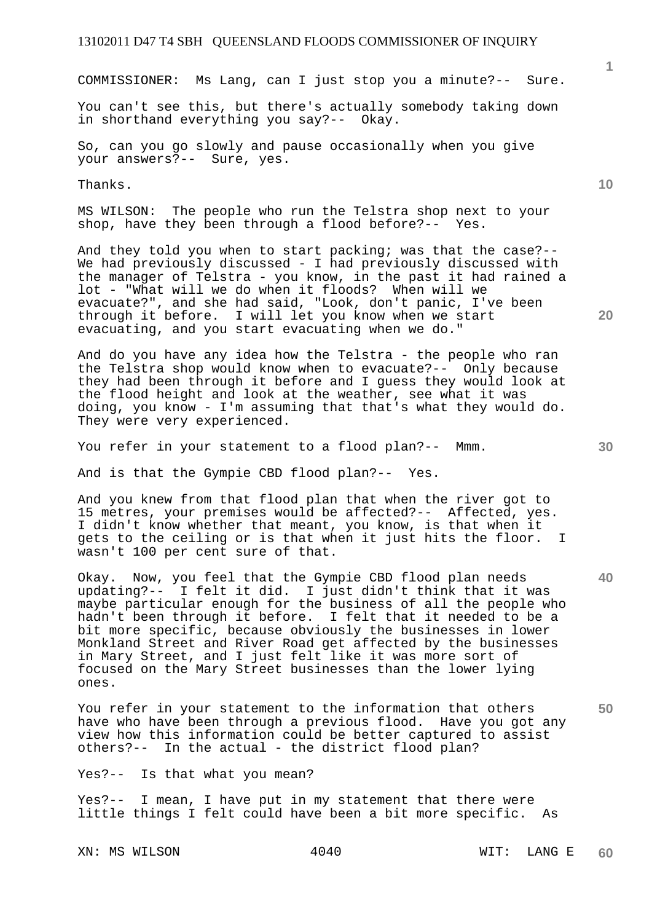COMMISSIONER: Ms Lang, can I just stop you a minute?-- Sure.

You can't see this, but there's actually somebody taking down in shorthand everything you say?-- Okay.

So, can you go slowly and pause occasionally when you give your answers?-- Sure, yes.

Thanks.

MS WILSON: The people who run the Telstra shop next to your shop, have they been through a flood before?-- Yes.

And they told you when to start packing; was that the case?-- We had previously discussed - I had previously discussed with the manager of Telstra - you know, in the past it had rained a lot - "What will we do when it floods? When will we evacuate?", and she had said, "Look, don't panic, I've been through it before. I will let you know when we start evacuating, and you start evacuating when we do."

And do you have any idea how the Telstra - the people who ran the Telstra shop would know when to evacuate?-- Only because they had been through it before and I guess they would look at the flood height and look at the weather, see what it was doing, you know - I'm assuming that that's what they would do. They were very experienced.

You refer in your statement to a flood plan?-- Mmm.

And is that the Gympie CBD flood plan?-- Yes.

And you knew from that flood plan that when the river got to 15 metres, your premises would be affected?-- Affected, yes. I didn't know whether that meant, you know, is that when it gets to the ceiling or is that when it just hits the floor. I wasn't 100 per cent sure of that.

Okay. Now, you feel that the Gympie CBD flood plan needs updating?-- I felt it did. I just didn't think that it was maybe particular enough for the business of all the people who hadn't been through it before. I felt that it needed to be a bit more specific, because obviously the businesses in lower Monkland Street and River Road get affected by the businesses in Mary Street, and I just felt like it was more sort of focused on the Mary Street businesses than the lower lying ones.

**50**  You refer in your statement to the information that others have who have been through a previous flood. Have you got any view how this information could be better captured to assist others?-- In the actual - the district flood plan?

Yes?-- Is that what you mean?

Yes?-- I mean, I have put in my statement that there were little things I felt could have been a bit more specific. As

XN: MS WILSON 4040 4040 WIT: LANG E

**20** 

**40** 

**10**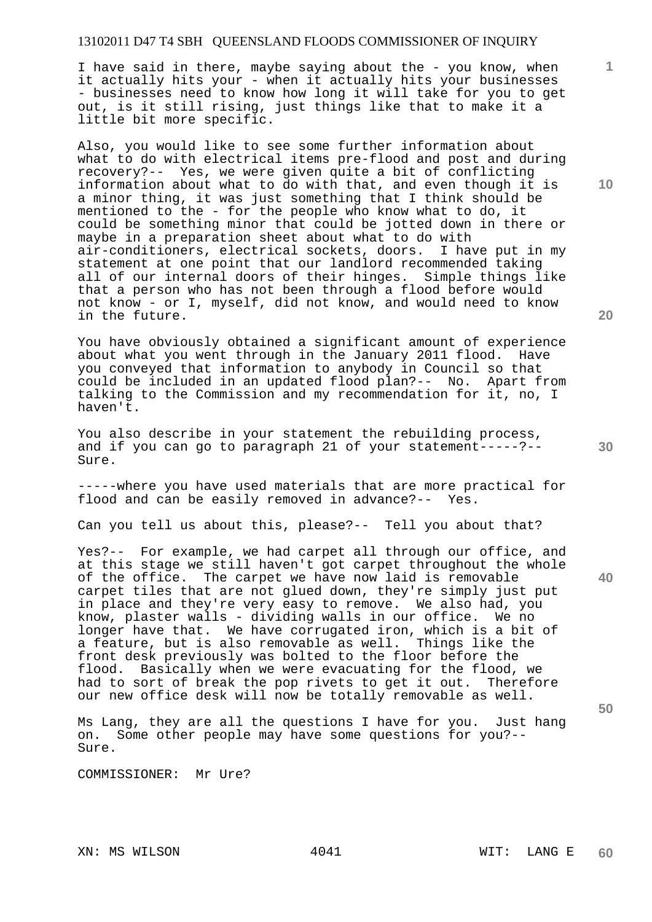I have said in there, maybe saying about the - you know, when it actually hits your - when it actually hits your businesses - businesses need to know how long it will take for you to get out, is it still rising, just things like that to make it a little bit more specific.

Also, you would like to see some further information about what to do with electrical items pre-flood and post and during recovery?-- Yes, we were given quite a bit of conflicting information about what to do with that, and even though it is a minor thing, it was just something that I think should be mentioned to the - for the people who know what to do, it could be something minor that could be jotted down in there or maybe in a preparation sheet about what to do with air-conditioners, electrical sockets, doors. I have put in my statement at one point that our landlord recommended taking all of our internal doors of their hinges. Simple things like that a person who has not been through a flood before would not know - or I, myself, did not know, and would need to know in the future.

You have obviously obtained a significant amount of experience about what you went through in the January 2011 flood. Have you conveyed that information to anybody in Council so that could be included in an updated flood plan?-- No. Apart from talking to the Commission and my recommendation for it, no, I haven't.

You also describe in your statement the rebuilding process, and if you can go to paragraph 21 of your statement-----?-- Sure.

-----where you have used materials that are more practical for flood and can be easily removed in advance?-- Yes.

Can you tell us about this, please?-- Tell you about that?

Yes?-- For example, we had carpet all through our office, and at this stage we still haven't got carpet throughout the whole of the office. The carpet we have now laid is removable carpet tiles that are not glued down, they're simply just put in place and they're very easy to remove. We also had, you know, plaster walls - dividing walls in our office. We no longer have that. We have corrugated iron, which is a bit of a feature, but is also removable as well. Things like the front desk previously was bolted to the floor before the flood. Basically when we were evacuating for the flood, we had to sort of break the pop rivets to get it out. Therefore our new office desk will now be totally removable as well.

Ms Lang, they are all the questions I have for you. Just hang on. Some other people may have some questions for you?-- Sure.

COMMISSIONER: Mr Ure?

**1**

**40**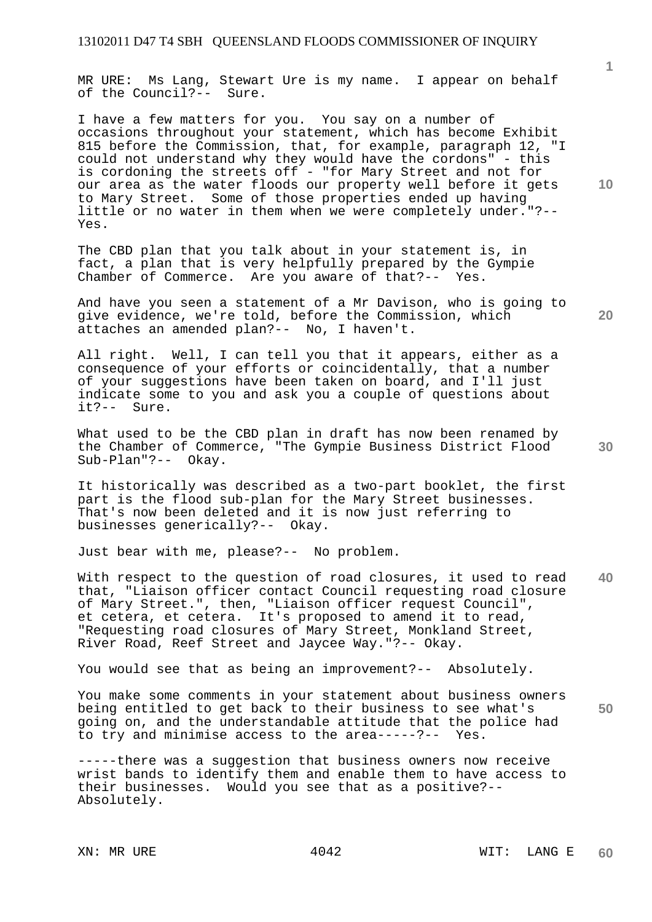MR URE: Ms Lang, Stewart Ure is my name. I appear on behalf of the Council?-- Sure.

I have a few matters for you. You say on a number of occasions throughout your statement, which has become Exhibit 815 before the Commission, that, for example, paragraph 12, "I could not understand why they would have the cordons" - this is cordoning the streets off - "for Mary Street and not for our area as the water floods our property well before it gets to Mary Street. Some of those properties ended up having little or no water in them when we were completely under."?-- Yes.

The CBD plan that you talk about in your statement is, in fact, a plan that is very helpfully prepared by the Gympie Chamber of Commerce. Are you aware of that?-- Yes.

And have you seen a statement of a Mr Davison, who is going to give evidence, we're told, before the Commission, which attaches an amended plan?-- No, I haven't.

All right. Well, I can tell you that it appears, either as a consequence of your efforts or coincidentally, that a number of your suggestions have been taken on board, and I'll just indicate some to you and ask you a couple of questions about it?-- Sure.

What used to be the CBD plan in draft has now been renamed by the Chamber of Commerce, "The Gympie Business District Flood Sub-Plan"?-- Okay.

It historically was described as a two-part booklet, the first part is the flood sub-plan for the Mary Street businesses. That's now been deleted and it is now just referring to businesses generically?-- Okay.

Just bear with me, please?-- No problem.

**40**  With respect to the question of road closures, it used to read that, "Liaison officer contact Council requesting road closure of Mary Street.", then, "Liaison officer request Council", et cetera, et cetera. It's proposed to amend it to read, "Requesting road closures of Mary Street, Monkland Street, River Road, Reef Street and Jaycee Way."?-- Okay.

You would see that as being an improvement?-- Absolutely.

**50**  You make some comments in your statement about business owners being entitled to get back to their business to see what's going on, and the understandable attitude that the police had<br>to try and minimise access to the area-----?-- Yes. to try and minimise access to the  $area-----?--$ 

-----there was a suggestion that business owners now receive wrist bands to identify them and enable them to have access to their businesses. Would you see that as a positive?-- Absolutely.

**1**

**20** 

**30**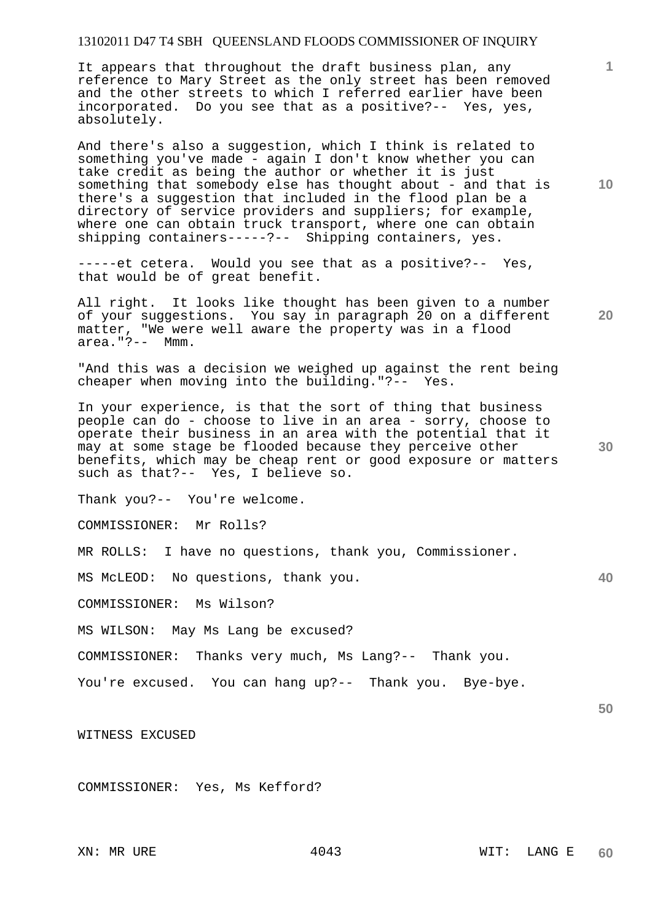It appears that throughout the draft business plan, any reference to Mary Street as the only street has been removed and the other streets to which I referred earlier have been incorporated. Do you see that as a positive?-- Yes, yes, absolutely.

And there's also a suggestion, which I think is related to something you've made - again I don't know whether you can take credit as being the author or whether it is just something that somebody else has thought about - and that is there's a suggestion that included in the flood plan be a directory of service providers and suppliers; for example, where one can obtain truck transport, where one can obtain shipping containers-----?-- Shipping containers, yes.

-----et cetera. Would you see that as a positive?-- Yes, that would be of great benefit.

All right. It looks like thought has been given to a number of your suggestions. You say in paragraph 20 on a different matter, "We were well aware the property was in a flood area."?-- Mmm.

"And this was a decision we weighed up against the rent being cheaper when moving into the building."?-- Yes.

In your experience, is that the sort of thing that business people can do - choose to live in an area - sorry, choose to operate their business in an area with the potential that it may at some stage be flooded because they perceive other benefits, which may be cheap rent or good exposure or matters such as that?-- Yes, I believe so.

Thank you?-- You're welcome.

COMMISSIONER: Mr Rolls?

MR ROLLS: I have no questions, thank you, Commissioner.

MS McLEOD: No questions, thank you.

COMMISSIONER: Ms Wilson?

MS WILSON: May Ms Lang be excused?

COMMISSIONER: Thanks very much, Ms Lang?-- Thank you.

You're excused. You can hang up?-- Thank you. Bye-bye.

WITNESS EXCUSED

COMMISSIONER: Yes, Ms Kefford?

**10** 

**1**

**20** 

**30** 

**50**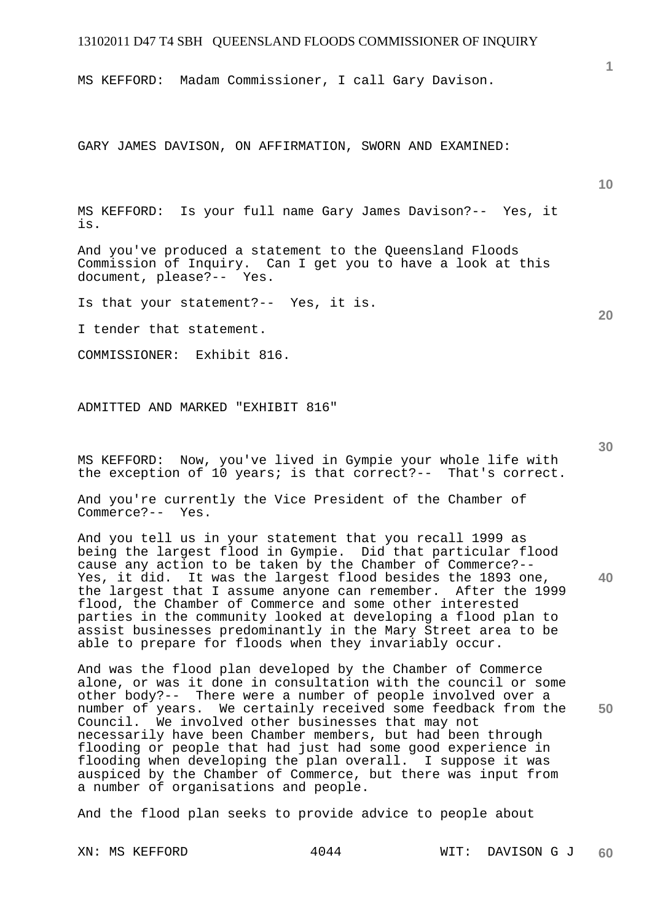MS KEFFORD: Madam Commissioner, I call Gary Davison.

GARY JAMES DAVISON, ON AFFIRMATION, SWORN AND EXAMINED:

MS KEFFORD: Is your full name Gary James Davison?-- Yes, it is.

And you've produced a statement to the Queensland Floods Commission of Inquiry. Can I get you to have a look at this document, please?-- Yes.

Is that your statement?-- Yes, it is.

I tender that statement.

COMMISSIONER: Exhibit 816.

ADMITTED AND MARKED "EXHIBIT 816"

MS KEFFORD: Now, you've lived in Gympie your whole life with the exception of 10 years; is that correct?-- That's correct.

And you're currently the Vice President of the Chamber of Commerce?-- Yes.

And you tell us in your statement that you recall 1999 as being the largest flood in Gympie. Did that particular flood cause any action to be taken by the Chamber of Commerce?-- Yes, it did. It was the largest flood besides the 1893 one, the largest that I assume anyone can remember. After the 1999 flood, the Chamber of Commerce and some other interested parties in the community looked at developing a flood plan to assist businesses predominantly in the Mary Street area to be able to prepare for floods when they invariably occur.

And was the flood plan developed by the Chamber of Commerce alone, or was it done in consultation with the council or some other body?-- There were a number of people involved over a number of years. We certainly received some feedback from the Council. We involved other businesses that may not necessarily have been Chamber members, but had been through flooding or people that had just had some good experience in flooding when developing the plan overall. I suppose it was auspiced by the Chamber of Commerce, but there was input from a number of organisations and people.

And the flood plan seeks to provide advice to people about

**20** 

**1**

**10** 

**30** 

**40**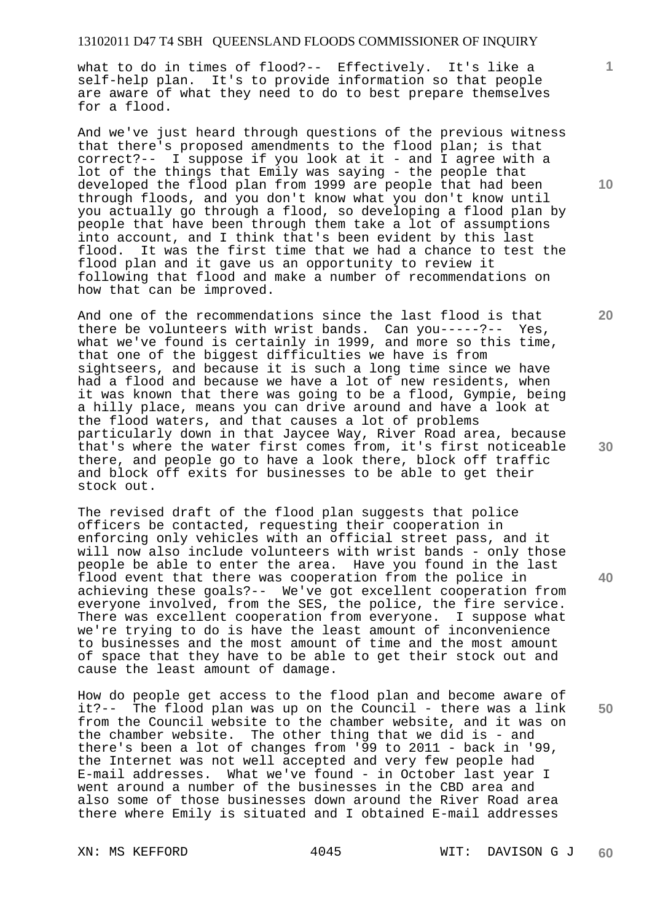what to do in times of flood?-- Effectively. It's like a self-help plan. It's to provide information so that people are aware of what they need to do to best prepare themselves for a flood.

And we've just heard through questions of the previous witness that there's proposed amendments to the flood plan; is that correct?-- I suppose if you look at it - and I agree with a lot of the things that Emily was saying - the people that developed the flood plan from 1999 are people that had been through floods, and you don't know what you don't know until you actually go through a flood, so developing a flood plan by people that have been through them take a lot of assumptions into account, and I think that's been evident by this last flood. It was the first time that we had a chance to test the flood plan and it gave us an opportunity to review it following that flood and make a number of recommendations on how that can be improved.

And one of the recommendations since the last flood is that there be volunteers with wrist bands. Can you-----?-- Yes, what we've found is certainly in 1999, and more so this time, that one of the biggest difficulties we have is from sightseers, and because it is such a long time since we have had a flood and because we have a lot of new residents, when it was known that there was going to be a flood, Gympie, being a hilly place, means you can drive around and have a look at the flood waters, and that causes a lot of problems particularly down in that Jaycee Way, River Road area, because that's where the water first comes from, it's first noticeable there, and people go to have a look there, block off traffic and block off exits for businesses to be able to get their stock out.

The revised draft of the flood plan suggests that police officers be contacted, requesting their cooperation in enforcing only vehicles with an official street pass, and it will now also include volunteers with wrist bands - only those people be able to enter the area. Have you found in the last flood event that there was cooperation from the police in achieving these goals?-- We've got excellent cooperation from everyone involved, from the SES, the police, the fire service. There was excellent cooperation from everyone. I suppose what we're trying to do is have the least amount of inconvenience to businesses and the most amount of time and the most amount of space that they have to be able to get their stock out and cause the least amount of damage.

How do people get access to the flood plan and become aware of it?-- The flood plan was up on the Council - there was a link from the Council website to the chamber website, and it was on the chamber website. The other thing that we did is - and there's been a lot of changes from '99 to 2011 - back in '99, the Internet was not well accepted and very few people had E-mail addresses. What we've found - in October last year I went around a number of the businesses in the CBD area and also some of those businesses down around the River Road area there where Emily is situated and I obtained E-mail addresses

**10** 

**1**

**20** 

**30** 

**40**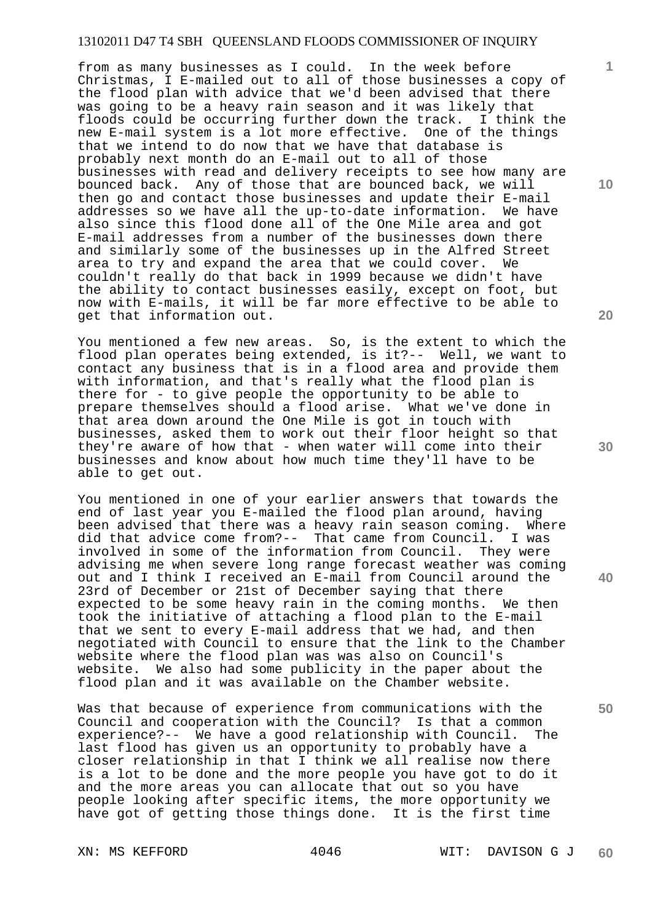from as many businesses as I could. In the week before Christmas, I E-mailed out to all of those businesses a copy of the flood plan with advice that we'd been advised that there was going to be a heavy rain season and it was likely that floods could be occurring further down the track. I think the new E-mail system is a lot more effective. One of the things that we intend to do now that we have that database is probably next month do an E-mail out to all of those businesses with read and delivery receipts to see how many are bounced back. Any of those that are bounced back, we will then go and contact those businesses and update their E-mail addresses so we have all the up-to-date information. We have also since this flood done all of the One Mile area and got E-mail addresses from a number of the businesses down there and similarly some of the businesses up in the Alfred Street area to try and expand the area that we could cover. We couldn't really do that back in 1999 because we didn't have the ability to contact businesses easily, except on foot, but now with E-mails, it will be far more effective to be able to get that information out.

You mentioned a few new areas. So, is the extent to which the flood plan operates being extended, is it?-- Well, we want to contact any business that is in a flood area and provide them with information, and that's really what the flood plan is there for - to give people the opportunity to be able to prepare themselves should a flood arise. What we've done in that area down around the One Mile is got in touch with businesses, asked them to work out their floor height so that they're aware of how that - when water will come into their businesses and know about how much time they'll have to be able to get out.

You mentioned in one of your earlier answers that towards the end of last year you E-mailed the flood plan around, having been advised that there was a heavy rain season coming. Where did that advice come from?-- That came from Council. I was involved in some of the information from Council. They were advising me when severe long range forecast weather was coming out and I think I received an E-mail from Council around the 23rd of December or 21st of December saying that there expected to be some heavy rain in the coming months. We then took the initiative of attaching a flood plan to the E-mail that we sent to every E-mail address that we had, and then negotiated with Council to ensure that the link to the Chamber website where the flood plan was was also on Council's website. We also had some publicity in the paper about the flood plan and it was available on the Chamber website.

Was that because of experience from communications with the Council and cooperation with the Council? Is that a common<br>experience?-- We have a good relationship with Council. The experience?-- We have a good relationship with Council. last flood has given us an opportunity to probably have a closer relationship in that I think we all realise now there is a lot to be done and the more people you have got to do it and the more areas you can allocate that out so you have people looking after specific items, the more opportunity we have got of getting those things done. It is the first time

**20** 

**10** 

**50** 

**40**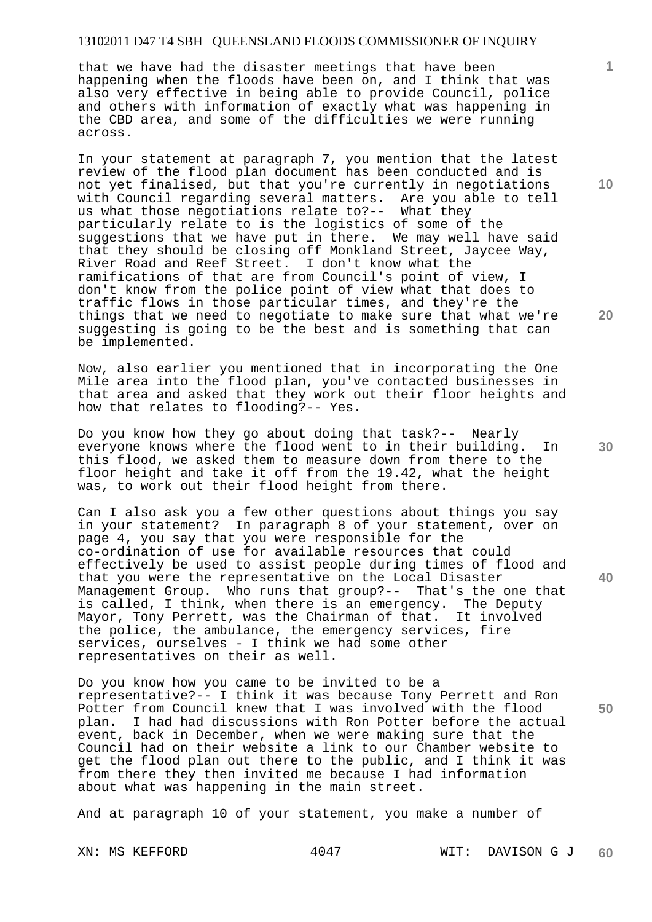that we have had the disaster meetings that have been happening when the floods have been on, and I think that was also very effective in being able to provide Council, police and others with information of exactly what was happening in the CBD area, and some of the difficulties we were running across.

In your statement at paragraph 7, you mention that the latest review of the flood plan document has been conducted and is not yet finalised, but that you're currently in negotiations with Council regarding several matters. Are you able to tell us what those negotiations relate to?-- What they particularly relate to is the logistics of some of the suggestions that we have put in there. We may well have said that they should be closing off Monkland Street, Jaycee Way, River Road and Reef Street. I don't know what the ramifications of that are from Council's point of view, I don't know from the police point of view what that does to traffic flows in those particular times, and they're the things that we need to negotiate to make sure that what we're suggesting is going to be the best and is something that can be implemented.

Now, also earlier you mentioned that in incorporating the One Mile area into the flood plan, you've contacted businesses in that area and asked that they work out their floor heights and how that relates to flooding?-- Yes.

Do you know how they go about doing that task?-- Nearly everyone knows where the flood went to in their building. In this flood, we asked them to measure down from there to the floor height and take it off from the 19.42, what the height was, to work out their flood height from there.

Can I also ask you a few other questions about things you say in your statement? In paragraph 8 of your statement, over on page 4, you say that you were responsible for the co-ordination of use for available resources that could effectively be used to assist people during times of flood and that you were the representative on the Local Disaster Management Group. Who runs that group?-- That's the one that is called, I think, when there is an emergency. The Deputy Mayor, Tony Perrett, was the Chairman of that. It involved the police, the ambulance, the emergency services, fire services, ourselves - I think we had some other representatives on their as well.

Do you know how you came to be invited to be a representative?-- I think it was because Tony Perrett and Ron Potter from Council knew that I was involved with the flood plan. I had had discussions with Ron Potter before the actual event, back in December, when we were making sure that the Council had on their website a link to our Chamber website to get the flood plan out there to the public, and I think it was from there they then invited me because I had information about what was happening in the main street.

And at paragraph 10 of your statement, you make a number of

**10** 

**1**

**20** 

**30** 

**40**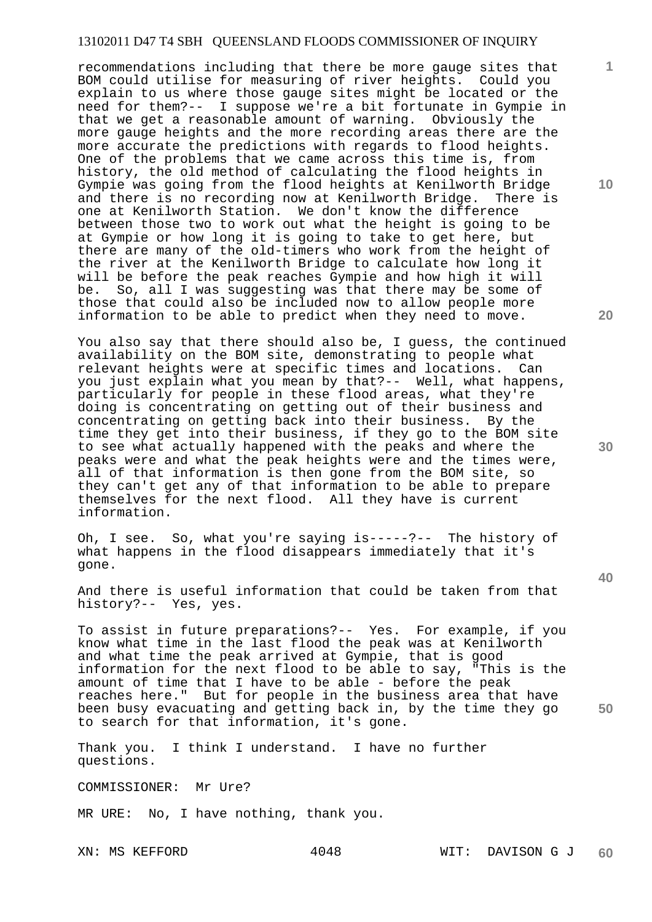recommendations including that there be more gauge sites that BOM could utilise for measuring of river heights. Could you explain to us where those gauge sites might be located or the need for them?-- I suppose we're a bit fortunate in Gympie in that we get a reasonable amount of warning. Obviously the more gauge heights and the more recording areas there are the more accurate the predictions with regards to flood heights. One of the problems that we came across this time is, from history, the old method of calculating the flood heights in Gympie was going from the flood heights at Kenilworth Bridge and there is no recording now at Kenilworth Bridge. There is one at Kenilworth Station. We don't know the difference between those two to work out what the height is going to be at Gympie or how long it is going to take to get here, but there are many of the old-timers who work from the height of the river at the Kenilworth Bridge to calculate how long it will be before the peak reaches Gympie and how high it will be. So, all I was suggesting was that there may be some of those that could also be included now to allow people more information to be able to predict when they need to move.

You also say that there should also be, I guess, the continued availability on the BOM site, demonstrating to people what relevant heights were at specific times and locations. Can you just explain what you mean by that?-- Well, what happens, particularly for people in these flood areas, what they're doing is concentrating on getting out of their business and concentrating on getting back into their business. By the time they get into their business, if they go to the BOM site to see what actually happened with the peaks and where the peaks were and what the peak heights were and the times were, all of that information is then gone from the BOM site, so they can't get any of that information to be able to prepare themselves for the next flood. All they have is current information.

Oh, I see. So, what you're saying is-----?-- The history of what happens in the flood disappears immediately that it's gone.

And there is useful information that could be taken from that history?-- Yes, yes.

To assist in future preparations?-- Yes. For example, if you know what time in the last flood the peak was at Kenilworth and what time the peak arrived at Gympie, that is good information for the next flood to be able to say, "This is the amount of time that I have to be able - before the peak reaches here." But for people in the business area that have been busy evacuating and getting back in, by the time they go to search for that information, it's gone.

Thank you. I think I understand. I have no further questions.

COMMISSIONER: Mr Ure?

MR URE: No, I have nothing, thank you.

**10** 

**1**

**20** 

**30** 

**40**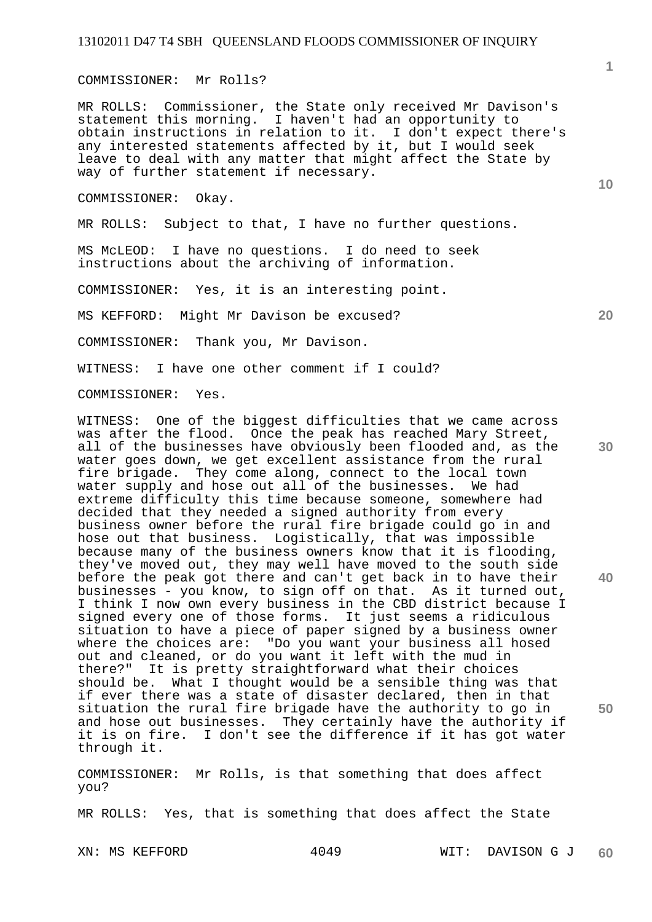COMMISSIONER: Mr Rolls?

MR ROLLS: Commissioner, the State only received Mr Davison's statement this morning. I haven't had an opportunity to obtain instructions in relation to it. I don't expect there's any interested statements affected by it, but I would seek leave to deal with any matter that might affect the State by way of further statement if necessary.

COMMISSIONER: Okay.

MR ROLLS: Subject to that, I have no further questions.

MS McLEOD: I have no questions. I do need to seek instructions about the archiving of information.

COMMISSIONER: Yes, it is an interesting point.

MS KEFFORD: Might Mr Davison be excused?

COMMISSIONER: Thank you, Mr Davison.

WITNESS: I have one other comment if I could?

COMMISSIONER: Yes.

WITNESS: One of the biggest difficulties that we came across was after the flood. Once the peak has reached Mary Street, all of the businesses have obviously been flooded and, as the water goes down, we get excellent assistance from the rural fire brigade. They come along, connect to the local town<br>water supply and hose out all of the businesses. We had water supply and hose out all of the businesses. extreme difficulty this time because someone, somewhere had decided that they needed a signed authority from every business owner before the rural fire brigade could go in and hose out that business. Logistically, that was impossible because many of the business owners know that it is flooding, they've moved out, they may well have moved to the south side before the peak got there and can't get back in to have their businesses - you know, to sign off on that. As it turned out, I think I now own every business in the CBD district because I signed every one of those forms. It just seems a ridiculous situation to have a piece of paper signed by a business owner where the choices are: "Do you want your business all hosed out and cleaned, or do you want it left with the mud in there?" It is pretty straightforward what their choices should be. What I thought would be a sensible thing was that if ever there was a state of disaster declared, then in that situation the rural fire brigade have the authority to go in and hose out businesses. They certainly have the authority if it is on fire. I don't see the difference if it has got water through it.

COMMISSIONER: Mr Rolls, is that something that does affect you?

MR ROLLS: Yes, that is something that does affect the State

**10** 

**20** 

**30** 

**40**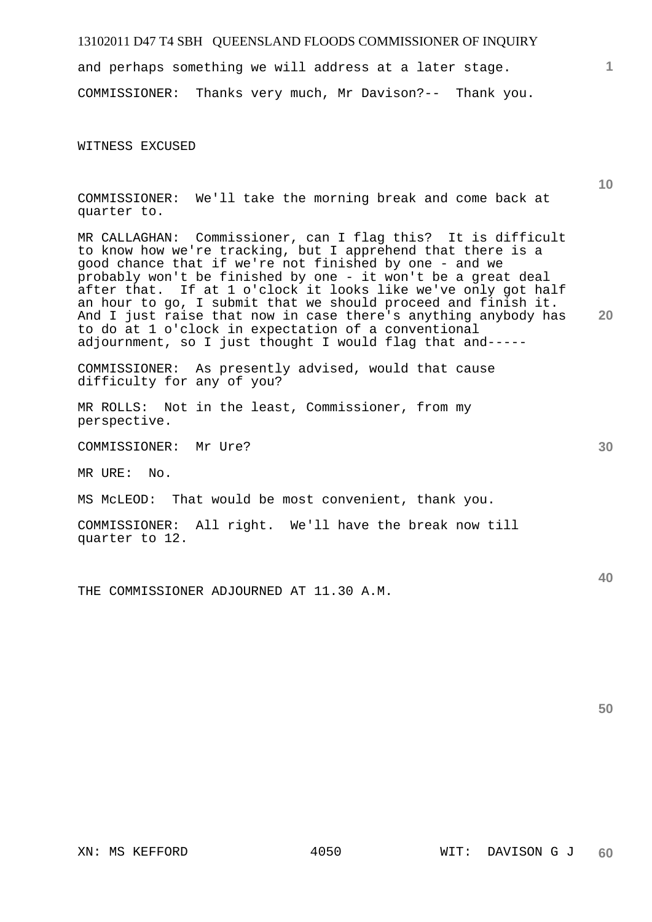and perhaps something we will address at a later stage. COMMISSIONER: Thanks very much, Mr Davison?-- Thank you.

WITNESS EXCUSED

COMMISSIONER: We'll take the morning break and come back at quarter to.

MR CALLAGHAN: Commissioner, can I flag this? It is difficult to know how we're tracking, but I apprehend that there is a good chance that if we're not finished by one - and we probably won't be finished by one - it won't be a great deal after that. If at 1 o'clock it looks like we've only got half an hour to go, I submit that we should proceed and finish it. And I just raise that now in case there's anything anybody has to do at 1 o'clock in expectation of a conventional adjournment, so I just thought I would flag that and-----

COMMISSIONER: As presently advised, would that cause difficulty for any of you?

MR ROLLS: Not in the least, Commissioner, from my perspective.

COMMISSIONER: Mr Ure?

MR URE: No.

MS McLEOD: That would be most convenient, thank you.

COMMISSIONER: All right. We'll have the break now till quarter to 12.

THE COMMISSIONER ADJOURNED AT 11.30 A.M.

**10** 

**1**

**20** 

**50**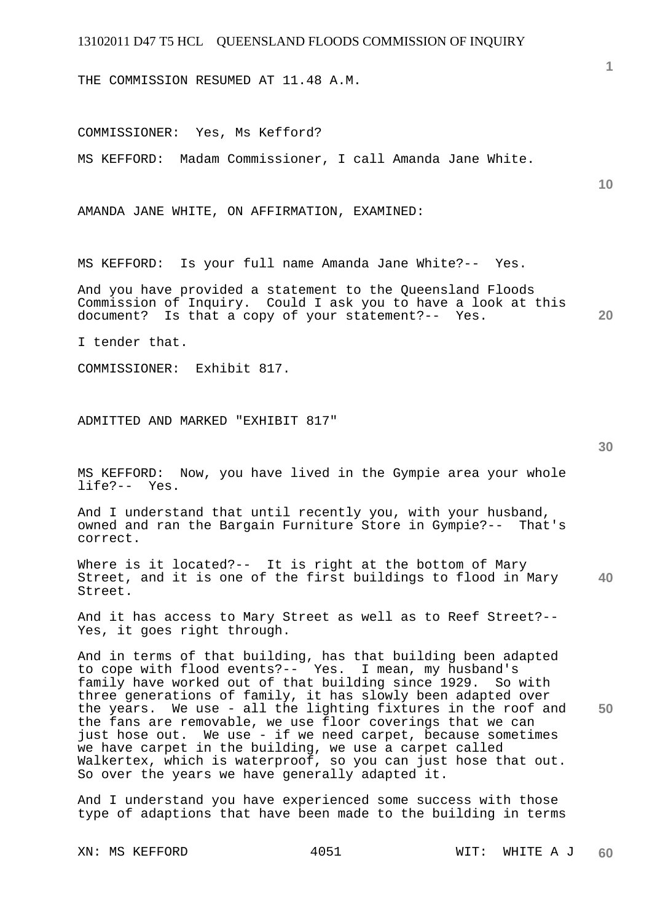THE COMMISSION RESUMED AT 11.48 A.M.

COMMISSIONER: Yes, Ms Kefford?

MS KEFFORD: Madam Commissioner, I call Amanda Jane White.

AMANDA JANE WHITE, ON AFFIRMATION, EXAMINED:

MS KEFFORD: Is your full name Amanda Jane White?-- Yes.

**20**  And you have provided a statement to the Queensland Floods Commission of Inquiry. Could I ask you to have a look at this document? Is that a copy of your statement?-- Yes. Is that a copy of your statement? -- Yes.

I tender that.

COMMISSIONER: Exhibit 817.

ADMITTED AND MARKED "EXHIBIT 817"

**30** 

**1**

**10** 

MS KEFFORD: Now, you have lived in the Gympie area your whole life?-- Yes.

And I understand that until recently you, with your husband, owned and ran the Bargain Furniture Store in Gympie?-- That's correct.

**40**  Where is it located?-- It is right at the bottom of Mary Street, and it is one of the first buildings to flood in Mary Street.

And it has access to Mary Street as well as to Reef Street?-- Yes, it goes right through.

**50**  And in terms of that building, has that building been adapted to cope with flood events?-- Yes. I mean, my husband's family have worked out of that building since 1929. So with three generations of family, it has slowly been adapted over the years. We use - all the lighting fixtures in the roof and the fans are removable, we use floor coverings that we can just hose out. We use - if we need carpet, because sometimes we have carpet in the building, we use a carpet called Walkertex, which is waterproof, so you can just hose that out. So over the years we have generally adapted it.

And I understand you have experienced some success with those type of adaptions that have been made to the building in terms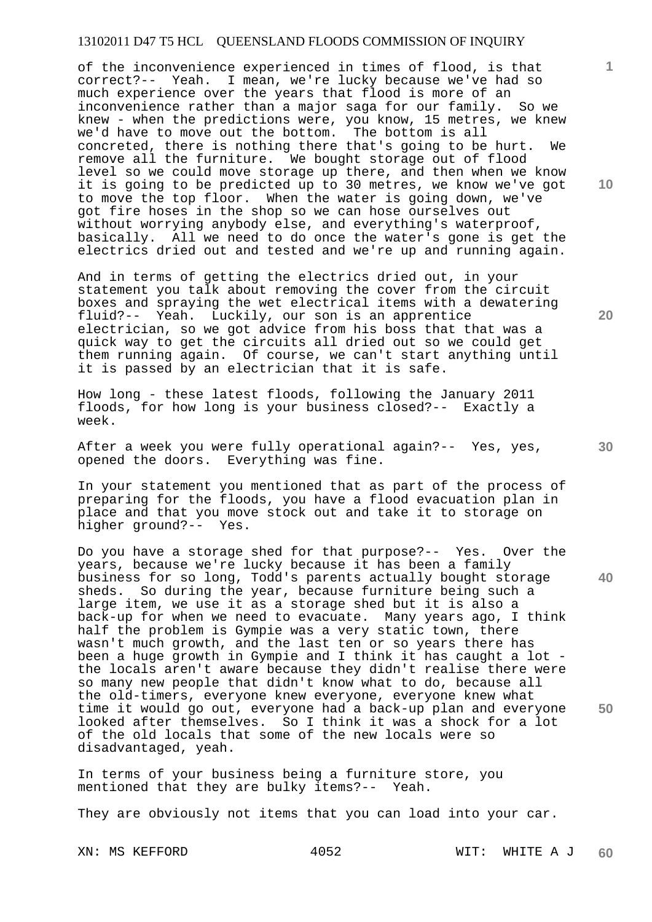of the inconvenience experienced in times of flood, is that correct?-- Yeah. I mean, we're lucky because we've had so much experience over the years that flood is more of an inconvenience rather than a major saga for our family. So we knew - when the predictions were, you know, 15 metres, we knew we'd have to move out the bottom. The bottom is all concreted, there is nothing there that's going to be hurt. We remove all the furniture. We bought storage out of flood level so we could move storage up there, and then when we know it is going to be predicted up to 30 metres, we know we've got to move the top floor. When the water is going down, we've got fire hoses in the shop so we can hose ourselves out without worrying anybody else, and everything's waterproof, basically. All we need to do once the water's gone is get the electrics dried out and tested and we're up and running again.

And in terms of getting the electrics dried out, in your statement you talk about removing the cover from the circuit boxes and spraying the wet electrical items with a dewatering fluid?-- Yeah. Luckily, our son is an apprentice electrician, so we got advice from his boss that that was a quick way to get the circuits all dried out so we could get them running again. Of course, we can't start anything until it is passed by an electrician that it is safe.

How long - these latest floods, following the January 2011 floods, for how long is your business closed?-- Exactly a week.

After a week you were fully operational again?-- Yes, yes, opened the doors. Everything was fine.

In your statement you mentioned that as part of the process of preparing for the floods, you have a flood evacuation plan in place and that you move stock out and take it to storage on higher ground?-- Yes.

**50**  Do you have a storage shed for that purpose?-- Yes. Over the years, because we're lucky because it has been a family business for so long, Todd's parents actually bought storage sheds. So during the year, because furniture being such a large item, we use it as a storage shed but it is also a back-up for when we need to evacuate. Many years ago, I think half the problem is Gympie was a very static town, there wasn't much growth, and the last ten or so years there has been a huge growth in Gympie and I think it has caught a lot the locals aren't aware because they didn't realise there were so many new people that didn't know what to do, because all the old-timers, everyone knew everyone, everyone knew what time it would go out, everyone had a back-up plan and everyone looked after themselves. So I think it was a shock for a lot of the old locals that some of the new locals were so disadvantaged, yeah.

In terms of your business being a furniture store, you mentioned that they are bulky items?-- Yeah.

They are obviously not items that you can load into your car.

**10** 

**1**

**30**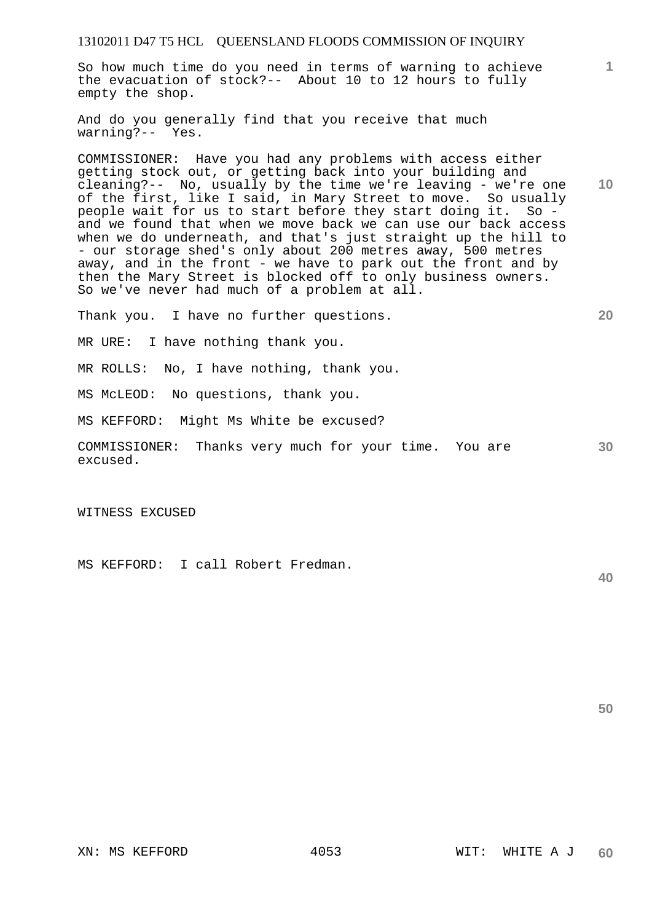So how much time do you need in terms of warning to achieve the evacuation of stock?-- About 10 to 12 hours to fully empty the shop.

And do you generally find that you receive that much warning?-- Yes.

**10**  COMMISSIONER: Have you had any problems with access either getting stock out, or getting back into your building and cleaning?-- No, usually by the time we're leaving - we're one of the first, like I said, in Mary Street to move. So usually people wait for us to start before they start doing it. So and we found that when we move back we can use our back access when we do underneath, and that's just straight up the hill to - our storage shed's only about 200 metres away, 500 metres away, and in the front - we have to park out the front and by then the Mary Street is blocked off to only business owners. So we've never had much of a problem at all.

Thank you. I have no further questions.

MR URE: I have nothing thank you.

MR ROLLS: No, I have nothing, thank you.

MS McLEOD: No questions, thank you.

MS KEFFORD: Might Ms White be excused?

COMMISSIONER: Thanks very much for your time. You are excused.

WITNESS EXCUSED

MS KEFFORD: I call Robert Fredman.

**40** 

**30** 

**50** 

**1**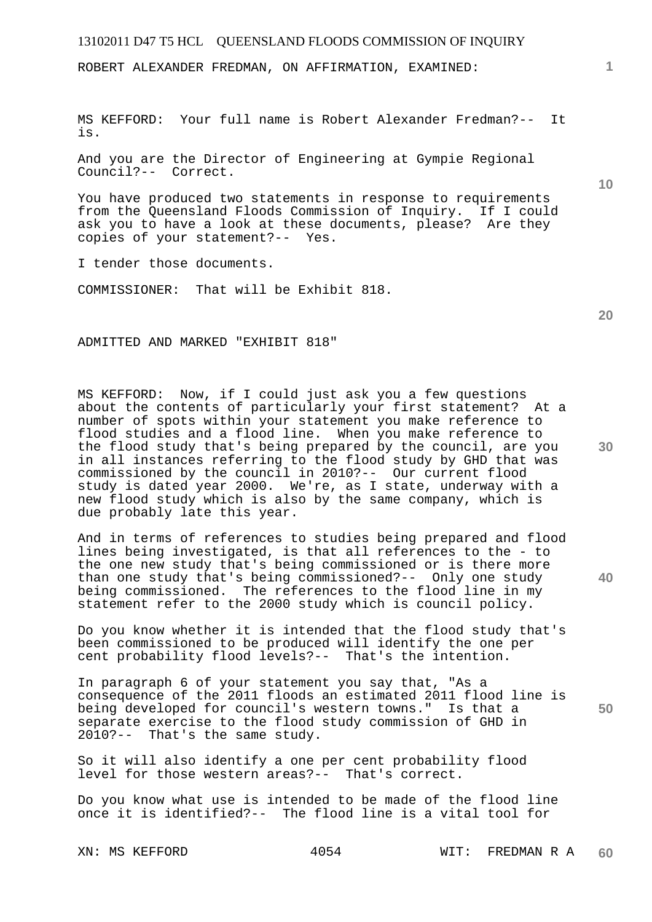ROBERT ALEXANDER FREDMAN, ON AFFIRMATION, EXAMINED:

MS KEFFORD: Your full name is Robert Alexander Fredman?-- It is.

And you are the Director of Engineering at Gympie Regional Council?-- Correct.

You have produced two statements in response to requirements from the Queensland Floods Commission of Inquiry. If I could ask you to have a look at these documents, please? Are they copies of your statement?-- Yes.

I tender those documents.

COMMISSIONER: That will be Exhibit 818.

**20** 

**30** 

**40** 

**50** 

**1**

**10** 

ADMITTED AND MARKED "EXHIBIT 818"

MS KEFFORD: Now, if I could just ask you a few questions about the contents of particularly your first statement? At a number of spots within your statement you make reference to flood studies and a flood line. When you make reference to the flood study that's being prepared by the council, are you in all instances referring to the flood study by GHD that was commissioned by the council in 2010?-- Our current flood study is dated year 2000. We're, as I state, underway with a new flood study which is also by the same company, which is due probably late this year.

And in terms of references to studies being prepared and flood lines being investigated, is that all references to the - to the one new study that's being commissioned or is there more than one study that's being commissioned?-- Only one study being commissioned. The references to the flood line in my statement refer to the 2000 study which is council policy.

Do you know whether it is intended that the flood study that's been commissioned to be produced will identify the one per cent probability flood levels?-- That's the intention.

In paragraph 6 of your statement you say that, "As a consequence of the 2011 floods an estimated 2011 flood line is being developed for council's western towns." Is that a separate exercise to the flood study commission of GHD in 2010?-- That's the same study.

So it will also identify a one per cent probability flood level for those western areas?-- That's correct.

Do you know what use is intended to be made of the flood line once it is identified?-- The flood line is a vital tool for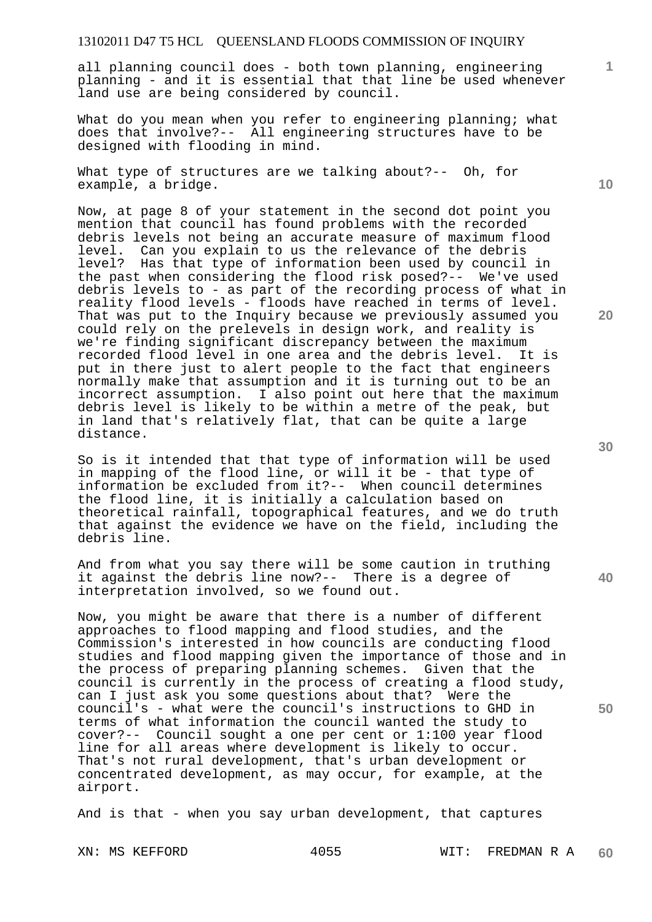all planning council does - both town planning, engineering planning - and it is essential that that line be used whenever land use are being considered by council.

What do you mean when you refer to engineering planning; what does that involve?-- All engineering structures have to be designed with flooding in mind.

What type of structures are we talking about?-- Oh, for example, a bridge.

Now, at page 8 of your statement in the second dot point you mention that council has found problems with the recorded debris levels not being an accurate measure of maximum flood level. Can you explain to us the relevance of the debris level? Has that type of information been used by council in the past when considering the flood risk posed?-- We've used debris levels to - as part of the recording process of what in reality flood levels - floods have reached in terms of level. That was put to the Inquiry because we previously assumed you could rely on the prelevels in design work, and reality is we're finding significant discrepancy between the maximum recorded flood level in one area and the debris level. It is put in there just to alert people to the fact that engineers normally make that assumption and it is turning out to be an incorrect assumption. I also point out here that the maximum debris level is likely to be within a metre of the peak, but in land that's relatively flat, that can be quite a large distance.

So is it intended that that type of information will be used in mapping of the flood line, or will it be - that type of information be excluded from it?-- When council determines the flood line, it is initially a calculation based on theoretical rainfall, topographical features, and we do truth that against the evidence we have on the field, including the debris line.

And from what you say there will be some caution in truthing it against the debris line now?-- There is a degree of interpretation involved, so we found out.

Now, you might be aware that there is a number of different approaches to flood mapping and flood studies, and the Commission's interested in how councils are conducting flood studies and flood mapping given the importance of those and in the process of preparing planning schemes. Given that the council is currently in the process of creating a flood study, can I just ask you some questions about that? Were the council's - what were the council's instructions to GHD in terms of what information the council wanted the study to cover?-- Council sought a one per cent or 1:100 year flood line for all areas where development is likely to occur. That's not rural development, that's urban development or concentrated development, as may occur, for example, at the airport.

And is that - when you say urban development, that captures

**40** 

**50** 

**20** 

**10**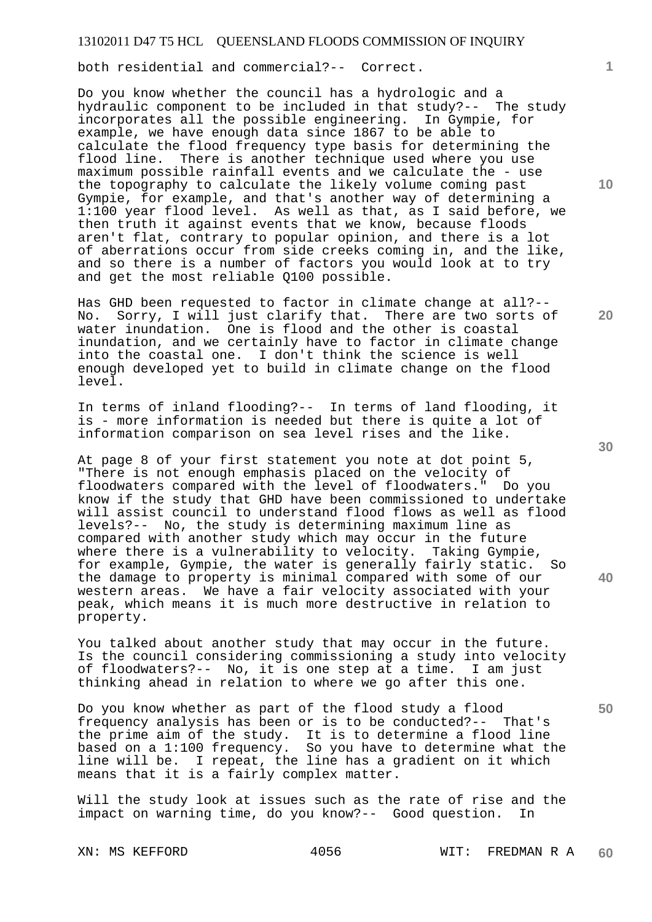both residential and commercial?-- Correct.

Do you know whether the council has a hydrologic and a hydraulic component to be included in that study?-- The study incorporates all the possible engineering. In Gympie, for example, we have enough data since 1867 to be able to calculate the flood frequency type basis for determining the flood line. There is another technique used where you use maximum possible rainfall events and we calculate the - use the topography to calculate the likely volume coming past Gympie, for example, and that's another way of determining a 1:100 year flood level. As well as that, as I said before, we then truth it against events that we know, because floods aren't flat, contrary to popular opinion, and there is a lot of aberrations occur from side creeks coming in, and the like, and so there is a number of factors you would look at to try and get the most reliable Q100 possible.

Has GHD been requested to factor in climate change at all?-- No. Sorry, I will just clarify that. There are two sorts of water inundation. One is flood and the other is coastal inundation, and we certainly have to factor in climate change into the coastal one. I don't think the science is well enough developed yet to build in climate change on the flood level.

In terms of inland flooding?-- In terms of land flooding, it is - more information is needed but there is quite a lot of information comparison on sea level rises and the like.

At page 8 of your first statement you note at dot point 5, "There is not enough emphasis placed on the velocity of floodwaters compared with the level of floodwaters." Do you know if the study that GHD have been commissioned to undertake will assist council to understand flood flows as well as flood levels?-- No, the study is determining maximum line as compared with another study which may occur in the future where there is a vulnerability to velocity. Taking Gympie, for example, Gympie, the water is generally fairly static. So the damage to property is minimal compared with some of our western areas. We have a fair velocity associated with your peak, which means it is much more destructive in relation to property.

You talked about another study that may occur in the future. Is the council considering commissioning a study into velocity of floodwaters?-- No, it is one step at a time. I am just thinking ahead in relation to where we go after this one.

Do you know whether as part of the flood study a flood frequency analysis has been or is to be conducted?-- That's the prime aim of the study. It is to determine a flood line based on a 1:100 frequency. So you have to determine what the line will be. I repeat, the line has a gradient on it which means that it is a fairly complex matter.

Will the study look at issues such as the rate of rise and the impact on warning time, do you know?-- Good question. In

**10** 

**1**

**20** 

**30** 

**40**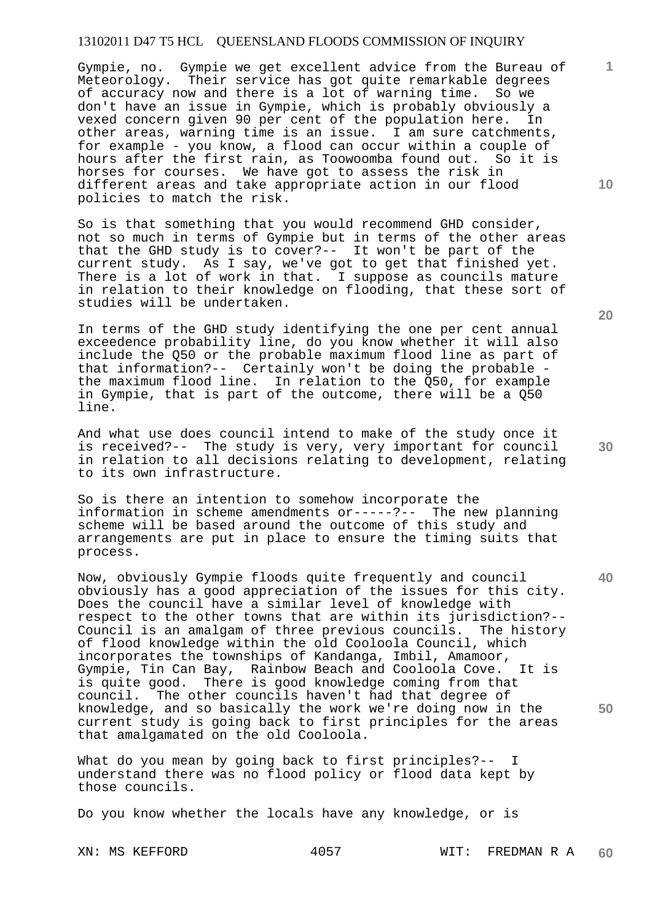Gympie, no. Gympie we get excellent advice from the Bureau of Meteorology. Their service has got quite remarkable degrees of accuracy now and there is a lot of warning time. So we don't have an issue in Gympie, which is probably obviously a vexed concern given 90 per cent of the population here. In other areas, warning time is an issue. I am sure catchments, for example - you know, a flood can occur within a couple of hours after the first rain, as Toowoomba found out. So it is horses for courses. We have got to assess the risk in different areas and take appropriate action in our flood policies to match the risk.

So is that something that you would recommend GHD consider, not so much in terms of Gympie but in terms of the other areas that the GHD study is to cover?-- It won't be part of the current study. As I say, we've got to get that finished yet. There is a lot of work in that. I suppose as councils mature in relation to their knowledge on flooding, that these sort of studies will be undertaken.

In terms of the GHD study identifying the one per cent annual exceedence probability line, do you know whether it will also include the Q50 or the probable maximum flood line as part of that information?-- Certainly won't be doing the probable the maximum flood line. In relation to the Q50, for example in Gympie, that is part of the outcome, there will be a Q50 line.

And what use does council intend to make of the study once it is received?-- The study is very, very important for council in relation to all decisions relating to development, relating to its own infrastructure.

So is there an intention to somehow incorporate the information in scheme amendments or-----?-- The new planning scheme will be based around the outcome of this study and arrangements are put in place to ensure the timing suits that process.

Now, obviously Gympie floods quite frequently and council obviously has a good appreciation of the issues for this city. Does the council have a similar level of knowledge with respect to the other towns that are within its jurisdiction?-- Council is an amalgam of three previous councils. The history of flood knowledge within the old Cooloola Council, which incorporates the townships of Kandanga, Imbil, Amamoor, Gympie, Tin Can Bay, Rainbow Beach and Cooloola Cove. It is is quite good. There is good knowledge coming from that council. The other councils haven't had that degree of knowledge, and so basically the work we're doing now in the current study is going back to first principles for the areas that amalgamated on the old Cooloola.

What do you mean by going back to first principles?-- I understand there was no flood policy or flood data kept by those councils.

Do you know whether the locals have any knowledge, or is

**20** 

**1**

**10** 

**30** 

**40**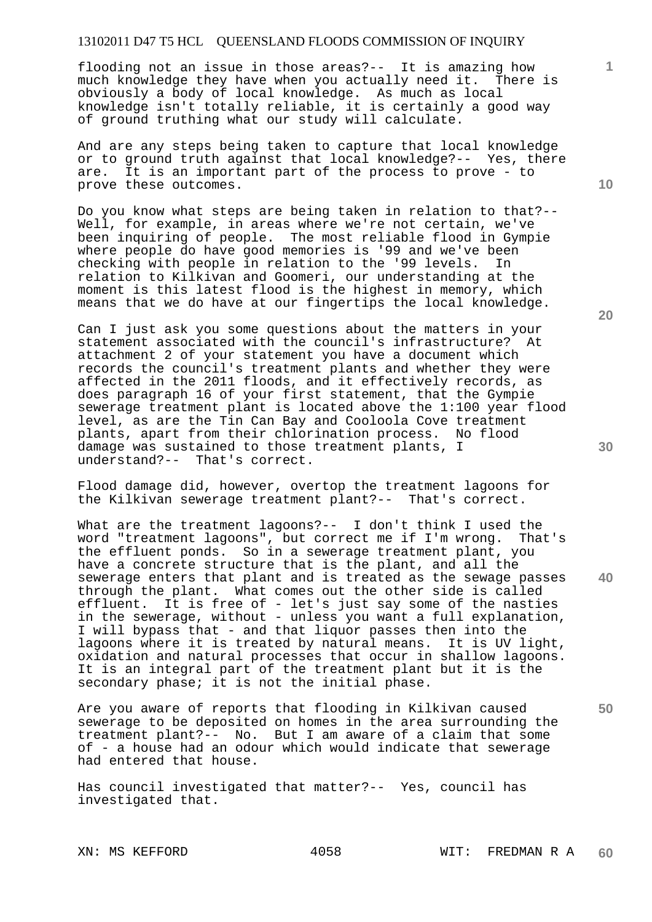flooding not an issue in those areas?-- It is amazing how much knowledge they have when you actually need it. There is obviously a body of local knowledge. As much as local knowledge isn't totally reliable, it is certainly a good way of ground truthing what our study will calculate.

And are any steps being taken to capture that local knowledge or to ground truth against that local knowledge?-- Yes, there are. It is an important part of the process to prove - to prove these outcomes.

Do you know what steps are being taken in relation to that?-- Well, for example, in areas where we're not certain, we've been inquiring of people. The most reliable flood in Gympie where people do have good memories is '99 and we've been checking with people in relation to the '99 levels. In relation to Kilkivan and Goomeri, our understanding at the moment is this latest flood is the highest in memory, which means that we do have at our fingertips the local knowledge.

Can I just ask you some questions about the matters in your statement associated with the council's infrastructure? At attachment 2 of your statement you have a document which records the council's treatment plants and whether they were affected in the 2011 floods, and it effectively records, as does paragraph 16 of your first statement, that the Gympie sewerage treatment plant is located above the 1:100 year flood level, as are the Tin Can Bay and Cooloola Cove treatment plants, apart from their chlorination process. No flood damage was sustained to those treatment plants, I understand?-- That's correct.

Flood damage did, however, overtop the treatment lagoons for the Kilkivan sewerage treatment plant?-- That's correct.

What are the treatment lagoons?-- I don't think I used the word "treatment lagoons", but correct me if I'm wrong. That's the effluent ponds. So in a sewerage treatment plant, you have a concrete structure that is the plant, and all the sewerage enters that plant and is treated as the sewage passes through the plant. What comes out the other side is called effluent. It is free of - let's just say some of the nasties in the sewerage, without - unless you want a full explanation, I will bypass that - and that liquor passes then into the lagoons where it is treated by natural means. It is UV light, oxidation and natural processes that occur in shallow lagoons. It is an integral part of the treatment plant but it is the secondary phase; it is not the initial phase.

Are you aware of reports that flooding in Kilkivan caused sewerage to be deposited on homes in the area surrounding the treatment plant?-- No. But I am aware of a claim that some of - a house had an odour which would indicate that sewerage had entered that house.

Has council investigated that matter?-- Yes, council has investigated that.

**20** 

**30** 

**50** 

**10**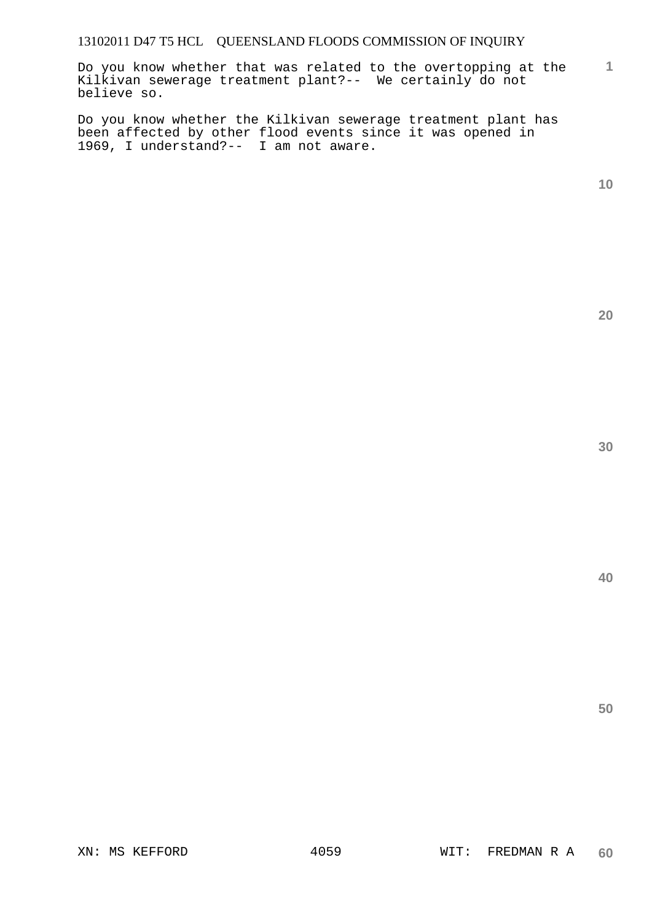Do you know whether that was related to the overtopping at the Kilkivan sewerage treatment plant?-- We certainly do not believe so.

Do you know whether the Kilkivan sewerage treatment plant has been affected by other flood events since it was opened in 1969, I understand?-- I am not aware.

**10** 

**1**

**20** 

**30**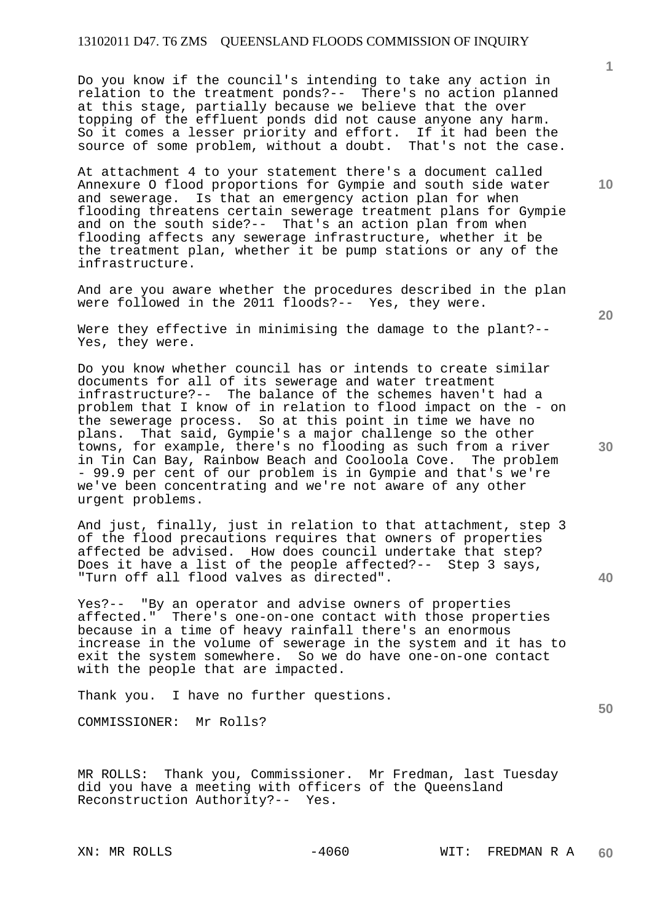Do you know if the council's intending to take any action in relation to the treatment ponds?-- There's no action planned at this stage, partially because we believe that the over topping of the effluent ponds did not cause anyone any harm. So it comes a lesser priority and effort. If it had been the source of some problem, without a doubt. That's not the case.

At attachment 4 to your statement there's a document called Annexure O flood proportions for Gympie and south side water and sewerage. Is that an emergency action plan for when flooding threatens certain sewerage treatment plans for Gympie and on the south side?-- That's an action plan from when flooding affects any sewerage infrastructure, whether it be the treatment plan, whether it be pump stations or any of the infrastructure.

And are you aware whether the procedures described in the plan were followed in the 2011 floods?-- Yes, they were.

Were they effective in minimising the damage to the plant?-- Yes, they were.

Do you know whether council has or intends to create similar documents for all of its sewerage and water treatment infrastructure?-- The balance of the schemes haven't had a problem that I know of in relation to flood impact on the - on the sewerage process. So at this point in time we have no plans. That said, Gympie's a major challenge so the other towns, for example, there's no flooding as such from a river in Tin Can Bay, Rainbow Beach and Cooloola Cove. The problem - 99.9 per cent of our problem is in Gympie and that's we're we've been concentrating and we're not aware of any other urgent problems.

And just, finally, just in relation to that attachment, step 3 of the flood precautions requires that owners of properties affected be advised. How does council undertake that step? Does it have a list of the people affected?-- Step 3 says, "Turn off all flood valves as directed".

Yes?-- "By an operator and advise owners of properties affected." There's one-on-one contact with those properties because in a time of heavy rainfall there's an enormous increase in the volume of sewerage in the system and it has to exit the system somewhere. So we do have one-on-one contact with the people that are impacted.

Thank you. I have no further questions.

COMMISSIONER: Mr Rolls?

MR ROLLS: Thank you, Commissioner. Mr Fredman, last Tuesday did you have a meeting with officers of the Queensland Reconstruction Authority?-- Yes.

**10** 

**1**

**30** 

**20** 

**40**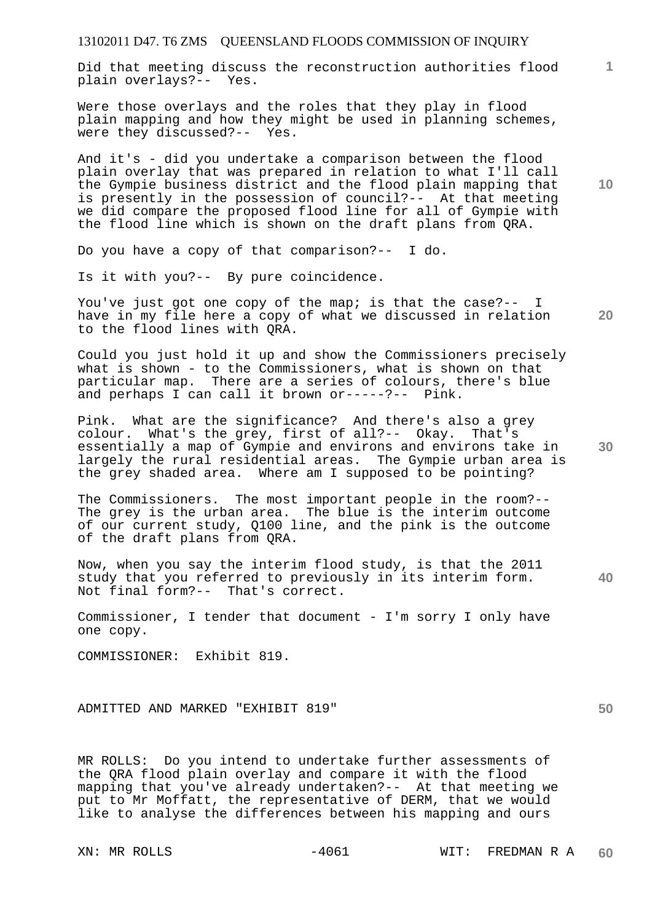Did that meeting discuss the reconstruction authorities flood plain overlays?-- Yes.

Were those overlays and the roles that they play in flood plain mapping and how they might be used in planning schemes, were they discussed?-- Yes.

And it's - did you undertake a comparison between the flood plain overlay that was prepared in relation to what I'll call the Gympie business district and the flood plain mapping that is presently in the possession of council?-- At that meeting we did compare the proposed flood line for all of Gympie with the flood line which is shown on the draft plans from QRA.

Do you have a copy of that comparison?-- I do.

Is it with you?-- By pure coincidence.

You've just got one copy of the map; is that the case?-- I have in my file here a copy of what we discussed in relation to the flood lines with QRA.

Could you just hold it up and show the Commissioners precisely what is shown - to the Commissioners, what is shown on that particular map. There are a series of colours, there's blue and perhaps I can call it brown or-----?-- Pink.

Pink. What are the significance? And there's also a grey colour. What's the grey, first of all?-- Okay. That's essentially a map of Gympie and environs and environs take in largely the rural residential areas. The Gympie urban area is the grey shaded area. Where am I supposed to be pointing?

The Commissioners. The most important people in the room?-- The grey is the urban area. The blue is the interim outcome of our current study, Q100 line, and the pink is the outcome of the draft plans from QRA.

Now, when you say the interim flood study, is that the 2011 study that you referred to previously in its interim form. Not final form?-- That's correct.

Commissioner, I tender that document - I'm sorry I only have one copy.

COMMISSIONER: Exhibit 819.

ADMITTED AND MARKED "EXHIBIT 819"

MR ROLLS: Do you intend to undertake further assessments of the QRA flood plain overlay and compare it with the flood mapping that you've already undertaken?-- At that meeting we put to Mr Moffatt, the representative of DERM, that we would like to analyse the differences between his mapping and ours

**10** 

**1**

**20** 

**30** 

**40**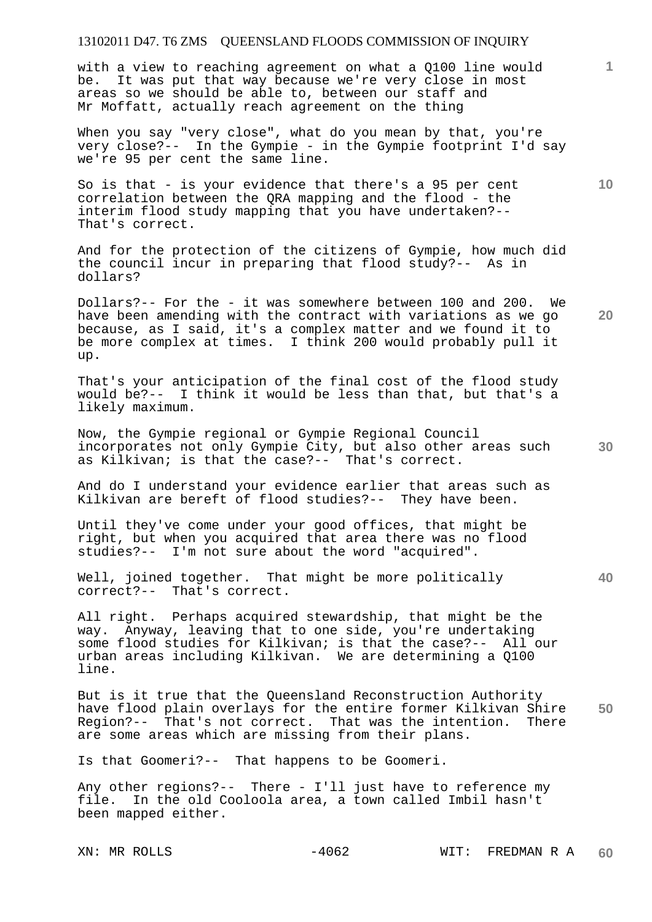with a view to reaching agreement on what a Q100 line would be. It was put that way because we're very close in most areas so we should be able to, between our staff and Mr Moffatt, actually reach agreement on the thing

When you say "very close", what do you mean by that, you're very close?-- In the Gympie - in the Gympie footprint I'd say we're 95 per cent the same line.

So is that - is your evidence that there's a 95 per cent correlation between the QRA mapping and the flood - the interim flood study mapping that you have undertaken?-- That's correct.

And for the protection of the citizens of Gympie, how much did the council incur in preparing that flood study?-- As in dollars?

Dollars?-- For the - it was somewhere between 100 and 200. We have been amending with the contract with variations as we go because, as I said, it's a complex matter and we found it to be more complex at times. I think 200 would probably pull it up.

That's your anticipation of the final cost of the flood study would be?-- I think it would be less than that, but that's a likely maximum.

Now, the Gympie regional or Gympie Regional Council incorporates not only Gympie City, but also other areas such as Kilkivan; is that the case?-- That's correct.

And do I understand your evidence earlier that areas such as Kilkivan are bereft of flood studies?-- They have been.

Until they've come under your good offices, that might be right, but when you acquired that area there was no flood studies?-- I'm not sure about the word "acquired".

Well, joined together. That might be more politically correct?-- That's correct.

All right. Perhaps acquired stewardship, that might be the way. Anyway, leaving that to one side, you're undertaking some flood studies for Kilkivan; is that the case?-- All our urban areas including Kilkivan. We are determining a Q100 line.

**50**  But is it true that the Queensland Reconstruction Authority have flood plain overlays for the entire former Kilkivan Shire Region?-- That's not correct. That was the intention. There are some areas which are missing from their plans.

Is that Goomeri?-- That happens to be Goomeri.

Any other regions?-- There - I'll just have to reference my file. In the old Cooloola area, a town called Imbil hasn't been mapped either.

**20** 

**10** 

**1**

**30**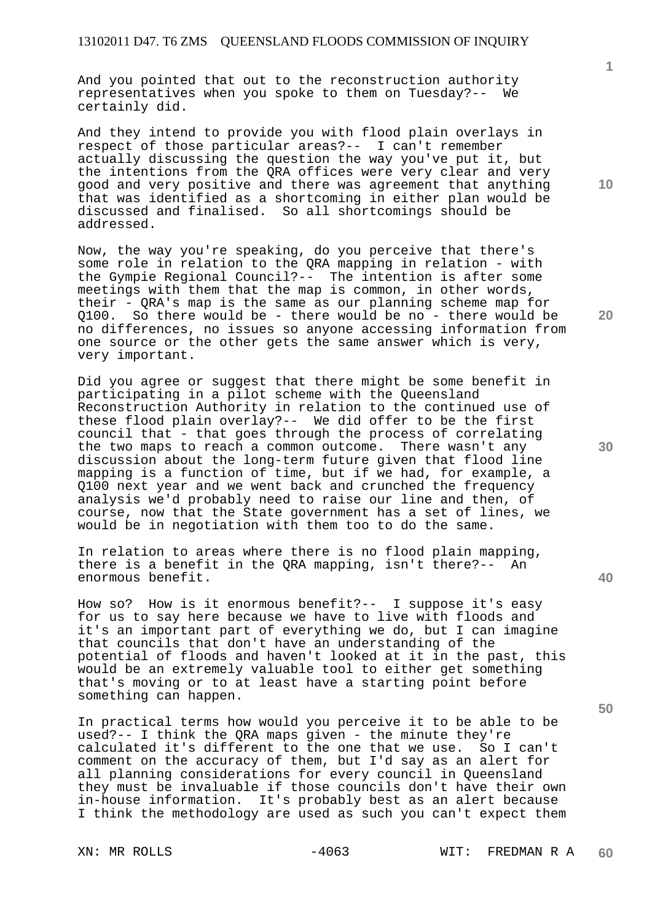And you pointed that out to the reconstruction authority representatives when you spoke to them on Tuesday?-- We certainly did.

And they intend to provide you with flood plain overlays in respect of those particular areas?-- I can't remember actually discussing the question the way you've put it, but the intentions from the QRA offices were very clear and very good and very positive and there was agreement that anything that was identified as a shortcoming in either plan would be discussed and finalised. So all shortcomings should be addressed.

Now, the way you're speaking, do you perceive that there's some role in relation to the QRA mapping in relation - with the Gympie Regional Council?-- The intention is after some meetings with them that the map is common, in other words, their - QRA's map is the same as our planning scheme map for Q100. So there would be - there would be no - there would be no differences, no issues so anyone accessing information from one source or the other gets the same answer which is very, very important.

Did you agree or suggest that there might be some benefit in participating in a pilot scheme with the Queensland Reconstruction Authority in relation to the continued use of these flood plain overlay?-- We did offer to be the first council that - that goes through the process of correlating the two maps to reach a common outcome. There wasn't any discussion about the long-term future given that flood line mapping is a function of time, but if we had, for example, a Q100 next year and we went back and crunched the frequency analysis we'd probably need to raise our line and then, of course, now that the State government has a set of lines, we would be in negotiation with them too to do the same.

In relation to areas where there is no flood plain mapping, there is a benefit in the QRA mapping, isn't there?-- An enormous benefit.

How so? How is it enormous benefit?-- I suppose it's easy for us to say here because we have to live with floods and it's an important part of everything we do, but I can imagine that councils that don't have an understanding of the potential of floods and haven't looked at it in the past, this would be an extremely valuable tool to either get something that's moving or to at least have a starting point before something can happen.

In practical terms how would you perceive it to be able to be used?-- I think the QRA maps given - the minute they're calculated it's different to the one that we use. So I can't comment on the accuracy of them, but I'd say as an alert for all planning considerations for every council in Queensland they must be invaluable if those councils don't have their own in-house information. It's probably best as an alert because I think the methodology are used as such you can't expect them

**10** 

**1**

**40**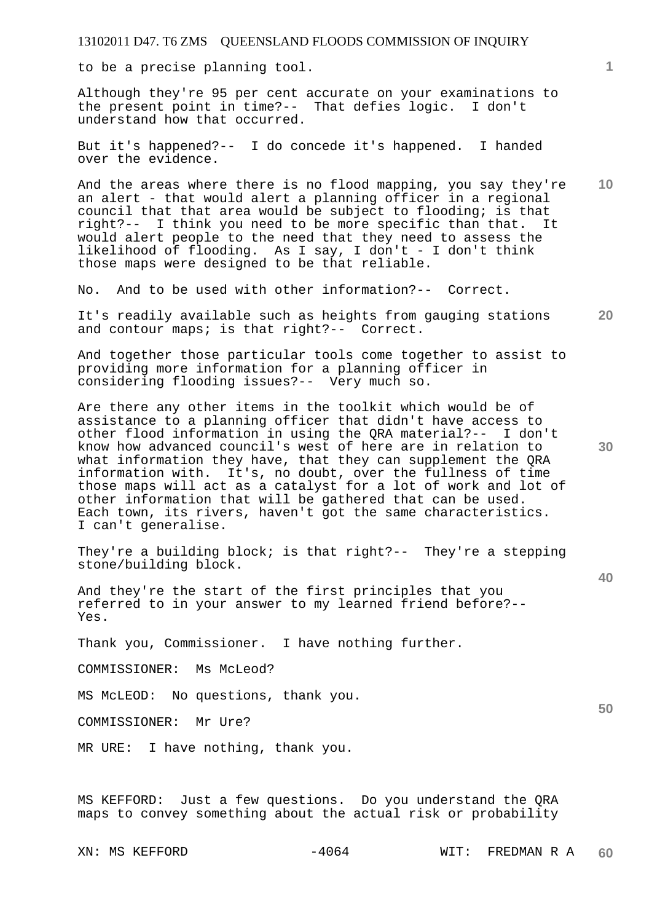to be a precise planning tool.

Although they're 95 per cent accurate on your examinations to the present point in time?-- That defies logic. I don't understand how that occurred.

But it's happened?-- I do concede it's happened. I handed over the evidence.

**10**  And the areas where there is no flood mapping, you say they're an alert - that would alert a planning officer in a regional council that that area would be subject to flooding; is that right?-- I think you need to be more specific than that. It would alert people to the need that they need to assess the likelihood of flooding. As I say, I don't - I don't think those maps were designed to be that reliable.

No. And to be used with other information?-- Correct.

**20**  It's readily available such as heights from gauging stations and contour maps; is that right?-- Correct.

And together those particular tools come together to assist to providing more information for a planning officer in considering flooding issues?-- Very much so.

Are there any other items in the toolkit which would be of assistance to a planning officer that didn't have access to other flood information in using the QRA material?-- I don't know how advanced council's west of here are in relation to what information they have, that they can supplement the QRA information with. It's, no doubt, over the fullness of time those maps will act as a catalyst for a lot of work and lot of other information that will be gathered that can be used. Each town, its rivers, haven't got the same characteristics. I can't generalise.

They're a building block; is that right?-- They're a stepping stone/building block.

And they're the start of the first principles that you referred to in your answer to my learned friend before?-- Yes.

Thank you, Commissioner. I have nothing further.

COMMISSIONER: Ms McLeod?

MS McLEOD: No questions, thank you.

COMMISSIONER: Mr Ure?

MR URE: I have nothing, thank you.

MS KEFFORD: Just a few questions. Do you understand the QRA maps to convey something about the actual risk or probability

**1**

**30** 

**40**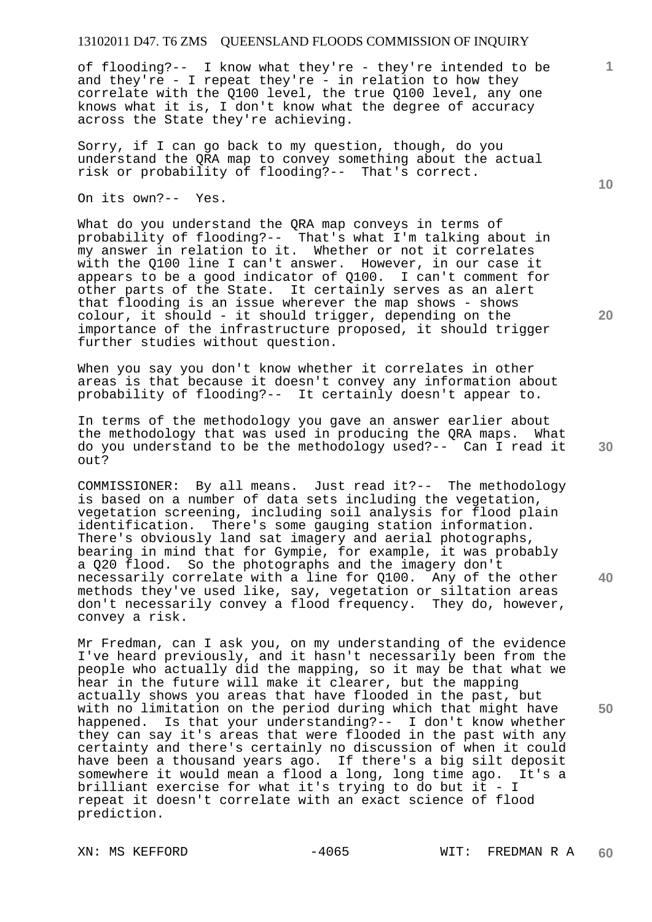of flooding?-- I know what they're - they're intended to be and they're - I repeat they're - in relation to how they correlate with the Q100 level, the true Q100 level, any one knows what it is, I don't know what the degree of accuracy across the State they're achieving.

Sorry, if I can go back to my question, though, do you understand the QRA map to convey something about the actual risk or probability of flooding?-- That's correct.

On its own?-- Yes.

What do you understand the QRA map conveys in terms of probability of flooding?-- That's what I'm talking about in my answer in relation to it. Whether or not it correlates with the Q100 line I can't answer. However, in our case it appears to be a good indicator of Q100. I can't comment for other parts of the State. It certainly serves as an alert that flooding is an issue wherever the map shows - shows colour, it should - it should trigger, depending on the importance of the infrastructure proposed, it should trigger further studies without question.

When you say you don't know whether it correlates in other areas is that because it doesn't convey any information about probability of flooding?-- It certainly doesn't appear to.

In terms of the methodology you gave an answer earlier about the methodology that was used in producing the QRA maps. What do you understand to be the methodology used?-- Can I read it out?

COMMISSIONER: By all means. Just read it?-- The methodology is based on a number of data sets including the vegetation, vegetation screening, including soil analysis for flood plain identification. There's some gauging station information. There's obviously land sat imagery and aerial photographs, bearing in mind that for Gympie, for example, it was probably a Q20 flood. So the photographs and the imagery don't necessarily correlate with a line for Q100. Any of the other methods they've used like, say, vegetation or siltation areas don't necessarily convey a flood frequency. They do, however, convey a risk.

Mr Fredman, can I ask you, on my understanding of the evidence I've heard previously, and it hasn't necessarily been from the people who actually did the mapping, so it may be that what we hear in the future will make it clearer, but the mapping actually shows you areas that have flooded in the past, but with no limitation on the period during which that might have happened. Is that your understanding?-- I don't know whether they can say it's areas that were flooded in the past with any certainty and there's certainly no discussion of when it could have been a thousand years ago. If there's a big silt deposit somewhere it would mean a flood a long, long time ago. It's a brilliant exercise for what it's trying to do but it - I repeat it doesn't correlate with an exact science of flood prediction.

**20** 

**40** 

**50** 

**10**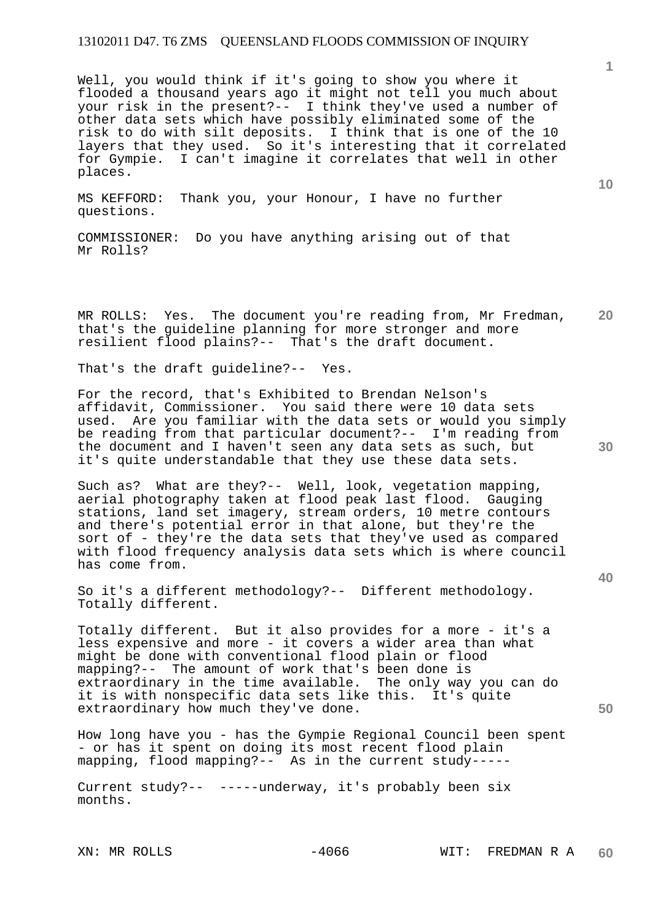Well, you would think if it's going to show you where it flooded a thousand years ago it might not tell you much about your risk in the present?-- I think they've used a number of other data sets which have possibly eliminated some of the risk to do with silt deposits. I think that is one of the 10 layers that they used. So it's interesting that it correlated for Gympie. I can't imagine it correlates that well in other places.

MS KEFFORD: Thank you, your Honour, I have no further questions.

COMMISSIONER: Do you have anything arising out of that Mr Rolls?

**20**  MR ROLLS: Yes. The document you're reading from, Mr Fredman, that's the guideline planning for more stronger and more resilient flood plains?-- That's the draft document.

That's the draft guideline?-- Yes.

For the record, that's Exhibited to Brendan Nelson's affidavit, Commissioner. You said there were 10 data sets used. Are you familiar with the data sets or would you simply be reading from that particular document?-- I'm reading from the document and I haven't seen any data sets as such, but it's quite understandable that they use these data sets.

Such as? What are they?-- Well, look, vegetation mapping, aerial photography taken at flood peak last flood. Gauging stations, land set imagery, stream orders, 10 metre contours and there's potential error in that alone, but they're the sort of - they're the data sets that they've used as compared with flood frequency analysis data sets which is where council has come from.

So it's a different methodology?-- Different methodology. Totally different.

Totally different. But it also provides for a more - it's a less expensive and more - it covers a wider area than what might be done with conventional flood plain or flood mapping?-- The amount of work that's been done is extraordinary in the time available. The only way you can do it is with nonspecific data sets like this. It's quite extraordinary how much they've done.

How long have you - has the Gympie Regional Council been spent - or has it spent on doing its most recent flood plain mapping, flood mapping?-- As in the current study-----

Current study?-- -----underway, it's probably been six months.

**1**

**10** 

**40**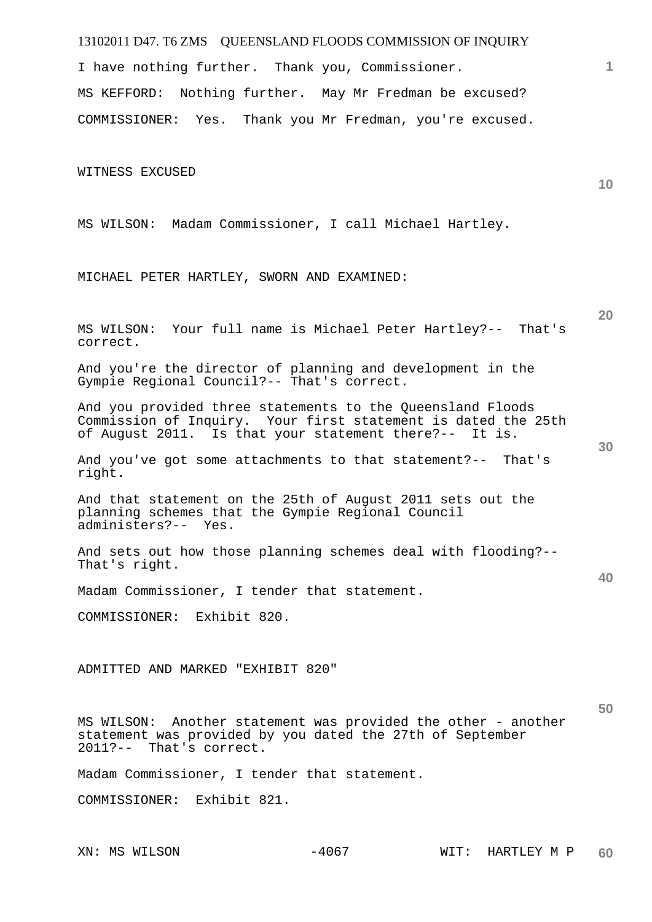I have nothing further. Thank you, Commissioner.

MS KEFFORD: Nothing further. May Mr Fredman be excused? COMMISSIONER: Yes. Thank you Mr Fredman, you're excused.

WITNESS EXCUSED

MS WILSON: Madam Commissioner, I call Michael Hartley.

MICHAEL PETER HARTLEY, SWORN AND EXAMINED:

MS WILSON: Your full name is Michael Peter Hartley?-- That's correct.

And you're the director of planning and development in the Gympie Regional Council?-- That's correct.

And you provided three statements to the Queensland Floods Commission of Inquiry. Your first statement is dated the 25th of August 2011. Is that your statement there?-- It is.

And you've got some attachments to that statement?-- That's right.

And that statement on the 25th of August 2011 sets out the planning schemes that the Gympie Regional Council administers?-- Yes.

And sets out how those planning schemes deal with flooding?-- That's right.

Madam Commissioner, I tender that statement.

COMMISSIONER: Exhibit 820.

ADMITTED AND MARKED "EXHIBIT 820"

MS WILSON: Another statement was provided the other - another statement was provided by you dated the 27th of September 2011?-- That's correct.

Madam Commissioner, I tender that statement.

COMMISSIONER: Exhibit 821.

**10** 

**20** 

**30** 

**40**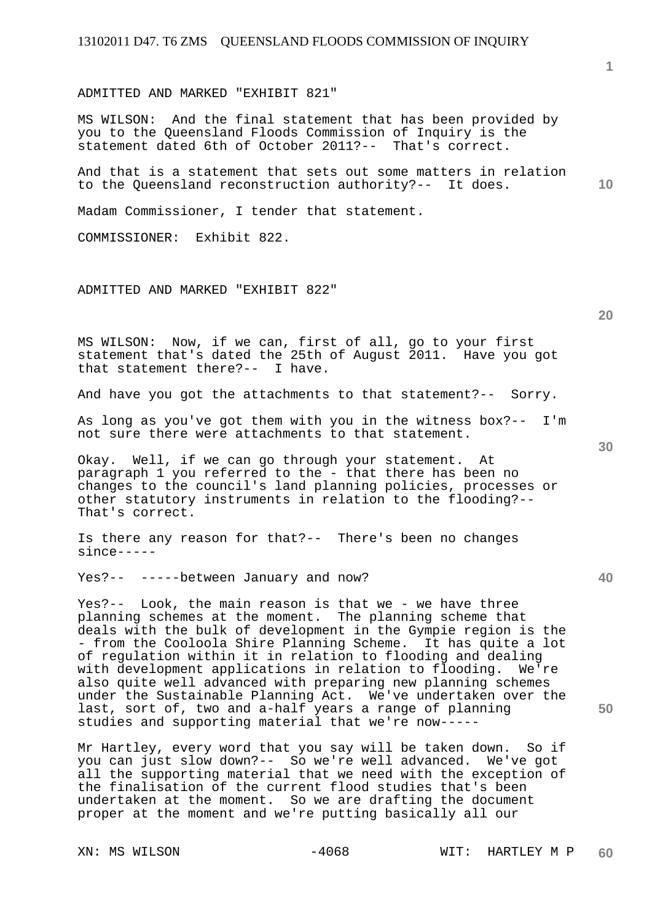ADMITTED AND MARKED "EXHIBIT 821"

MS WILSON: And the final statement that has been provided by you to the Queensland Floods Commission of Inquiry is the statement dated 6th of October 2011?-- That's correct.

And that is a statement that sets out some matters in relation to the Queensland reconstruction authority?-- It does.

Madam Commissioner, I tender that statement.

COMMISSIONER: Exhibit 822.

ADMITTED AND MARKED "EXHIBIT 822"

MS WILSON: Now, if we can, first of all, go to your first statement that's dated the 25th of August 2011. Have you got that statement there?-- I have.

And have you got the attachments to that statement?-- Sorry.

As long as you've got them with you in the witness box?-- I'm not sure there were attachments to that statement.

Okay. Well, if we can go through your statement. At paragraph 1 you referred to the - that there has been no changes to the council's land planning policies, processes or other statutory instruments in relation to the flooding?-- That's correct.

Is there any reason for that?-- There's been no changes since-----

Yes?-- -----between January and now?

Yes?-- Look, the main reason is that we - we have three planning schemes at the moment. The planning scheme that deals with the bulk of development in the Gympie region is the - from the Cooloola Shire Planning Scheme. It has quite a lot of regulation within it in relation to flooding and dealing with development applications in relation to flooding. We're also quite well advanced with preparing new planning schemes under the Sustainable Planning Act. We've undertaken over the last, sort of, two and a-half years a range of planning studies and supporting material that we're now-----

Mr Hartley, every word that you say will be taken down. So if you can just slow down?-- So we're well advanced. We've got all the supporting material that we need with the exception of the finalisation of the current flood studies that's been undertaken at the moment. So we are drafting the document proper at the moment and we're putting basically all our

**30** 

**50**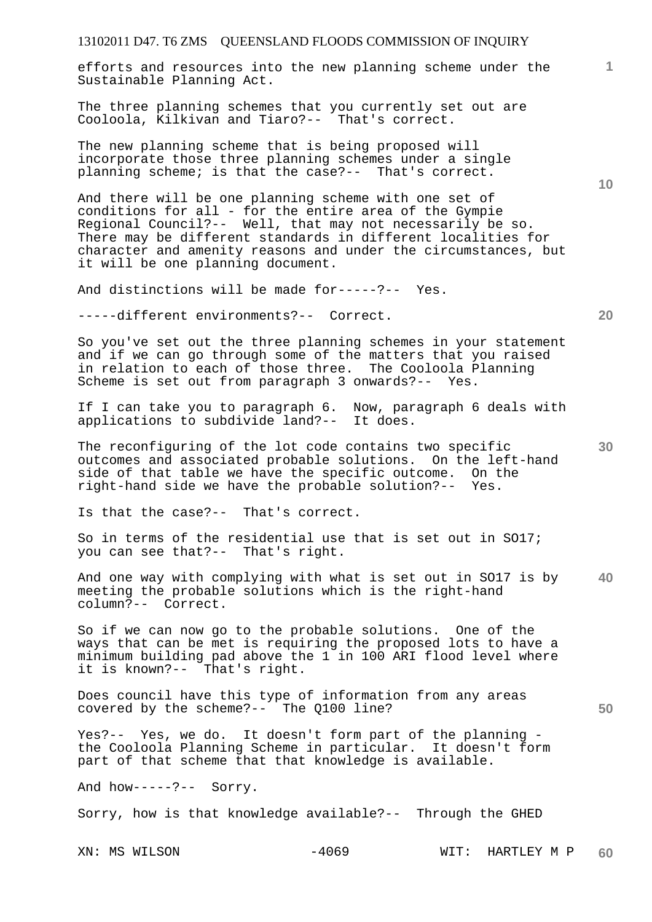| 13102011 D47. T6 ZMS QUEENSLAND FLOODS COMMISSION OF INQUIRY                                                                                                                                                                                                                                                                                        |                 |
|-----------------------------------------------------------------------------------------------------------------------------------------------------------------------------------------------------------------------------------------------------------------------------------------------------------------------------------------------------|-----------------|
| efforts and resources into the new planning scheme under the<br>Sustainable Planning Act.                                                                                                                                                                                                                                                           | 1.              |
| The three planning schemes that you currently set out are<br>Cooloola, Kilkivan and Tiaro?-- That's correct.                                                                                                                                                                                                                                        |                 |
| The new planning scheme that is being proposed will<br>incorporate those three planning schemes under a single<br>planning scheme; is that the case?-- That's correct.                                                                                                                                                                              | 10 <sup>°</sup> |
| And there will be one planning scheme with one set of<br>conditions for all - for the entire area of the Gympie<br>Regional Council?-- Well, that may not necessarily be so.<br>There may be different standards in different localities for<br>character and amenity reasons and under the circumstances, but<br>it will be one planning document. |                 |
| And distinctions will be made for-----?-- Yes.                                                                                                                                                                                                                                                                                                      |                 |
| -----different environments?-- Correct.                                                                                                                                                                                                                                                                                                             | 20              |
| So you've set out the three planning schemes in your statement<br>and if we can go through some of the matters that you raised<br>in relation to each of those three. The Cooloola Planning<br>Scheme is set out from paragraph 3 onwards?-- Yes.                                                                                                   |                 |
| If I can take you to paragraph 6. Now, paragraph 6 deals with<br>applications to subdivide land?-- It does.                                                                                                                                                                                                                                         |                 |
| The reconfiguring of the lot code contains two specific<br>outcomes and associated probable solutions. On the left-hand<br>side of that table we have the specific outcome. On the<br>right-hand side we have the probable solution?-- Yes.                                                                                                         | 30              |
| Is that the case?-- That's correct.                                                                                                                                                                                                                                                                                                                 |                 |
| So in terms of the residential use that is set out in SO17;<br>you can see that?-- That's right.                                                                                                                                                                                                                                                    |                 |
| And one way with complying with what is set out in SO17 is by<br>meeting the probable solutions which is the right-hand<br>column?-- Correct.                                                                                                                                                                                                       | 40              |
| So if we can now go to the probable solutions. One of the<br>ways that can be met is requiring the proposed lots to have a<br>minimum building pad above the 1 in 100 ARI flood level where<br>it is known?-- That's right.                                                                                                                         |                 |
| Does council have this type of information from any areas<br>covered by the scheme?-- The Q100 line?                                                                                                                                                                                                                                                | 50              |
| Yes?-- Yes, we do. It doesn't form part of the planning -<br>the Cooloola Planning Scheme in particular. It doesn't form<br>part of that scheme that that knowledge is available.                                                                                                                                                                   |                 |
| And how-----?-- Sorry.                                                                                                                                                                                                                                                                                                                              |                 |
| Sorry, how is that knowledge available?-- Through the GHED                                                                                                                                                                                                                                                                                          |                 |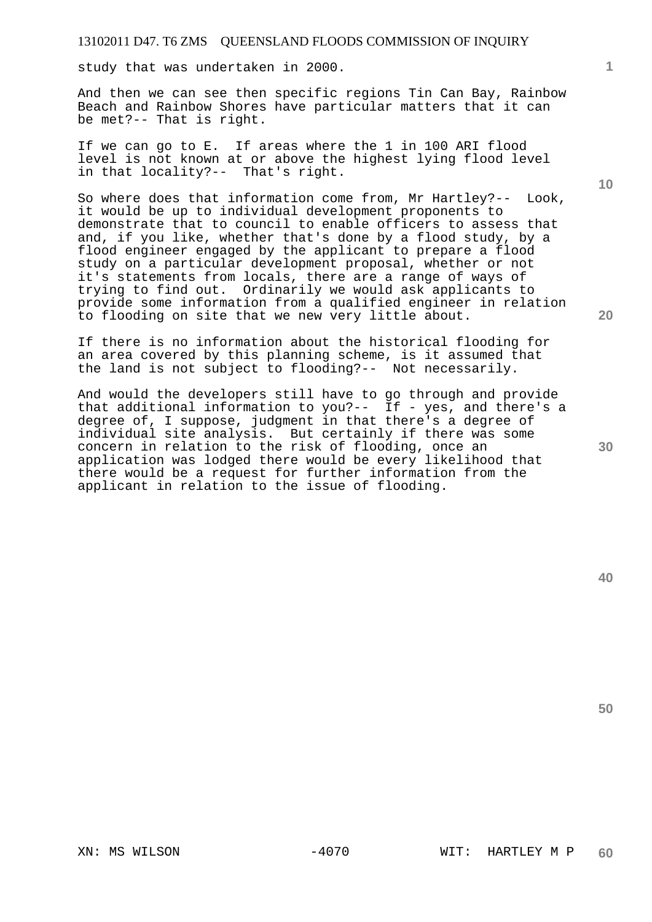study that was undertaken in 2000.

And then we can see then specific regions Tin Can Bay, Rainbow Beach and Rainbow Shores have particular matters that it can be met?-- That is right.

If we can go to E. If areas where the 1 in 100 ARI flood level is not known at or above the highest lying flood level in that locality?-- That's right.

So where does that information come from, Mr Hartley?-- Look, it would be up to individual development proponents to demonstrate that to council to enable officers to assess that and, if you like, whether that's done by a flood study, by a flood engineer engaged by the applicant to prepare a flood study on a particular development proposal, whether or not it's statements from locals, there are a range of ways of trying to find out. Ordinarily we would ask applicants to provide some information from a qualified engineer in relation to flooding on site that we new very little about.

If there is no information about the historical flooding for an area covered by this planning scheme, is it assumed that the land is not subject to flooding?-- Not necessarily.

And would the developers still have to go through and provide that additional information to you?-- If - yes, and there's a degree of, I suppose, judgment in that there's a degree of individual site analysis. But certainly if there was some concern in relation to the risk of flooding, once an application was lodged there would be every likelihood that there would be a request for further information from the applicant in relation to the issue of flooding.

**50** 

**1**

**10** 

**20**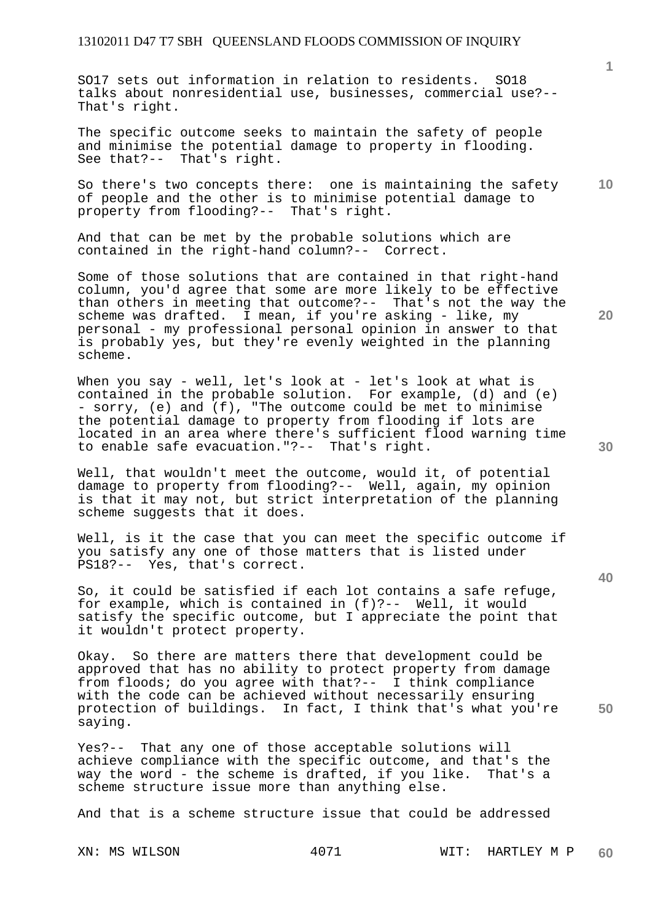SO17 sets out information in relation to residents. SO18 talks about nonresidential use, businesses, commercial use?-- That's right.

The specific outcome seeks to maintain the safety of people and minimise the potential damage to property in flooding. See that?-- That's right.

**10**  So there's two concepts there: one is maintaining the safety of people and the other is to minimise potential damage to property from flooding?-- That's right.

And that can be met by the probable solutions which are contained in the right-hand column?-- Correct.

Some of those solutions that are contained in that right-hand column, you'd agree that some are more likely to be effective than others in meeting that outcome?-- That's not the way the scheme was drafted. I mean, if you're asking - like, my personal - my professional personal opinion in answer to that is probably yes, but they're evenly weighted in the planning scheme.

When you say - well, let's look at - let's look at what is contained in the probable solution. For example, (d) and (e) - sorry, (e) and (f), "The outcome could be met to minimise the potential damage to property from flooding if lots are located in an area where there's sufficient flood warning time to enable safe evacuation."?-- That's right.

Well, that wouldn't meet the outcome, would it, of potential damage to property from flooding?-- Well, again, my opinion is that it may not, but strict interpretation of the planning scheme suggests that it does.

Well, is it the case that you can meet the specific outcome if you satisfy any one of those matters that is listed under PS18?-- Yes, that's correct.

So, it could be satisfied if each lot contains a safe refuge, for example, which is contained in (f)?-- Well, it would satisfy the specific outcome, but I appreciate the point that it wouldn't protect property.

Okay. So there are matters there that development could be approved that has no ability to protect property from damage from floods; do you agree with that?-- I think compliance with the code can be achieved without necessarily ensuring protection of buildings. In fact, I think that's what you're saying.

Yes?-- That any one of those acceptable solutions will achieve compliance with the specific outcome, and that's the way the word - the scheme is drafted, if you like. That's a scheme structure issue more than anything else.

And that is a scheme structure issue that could be addressed

**30** 

**20** 

**50**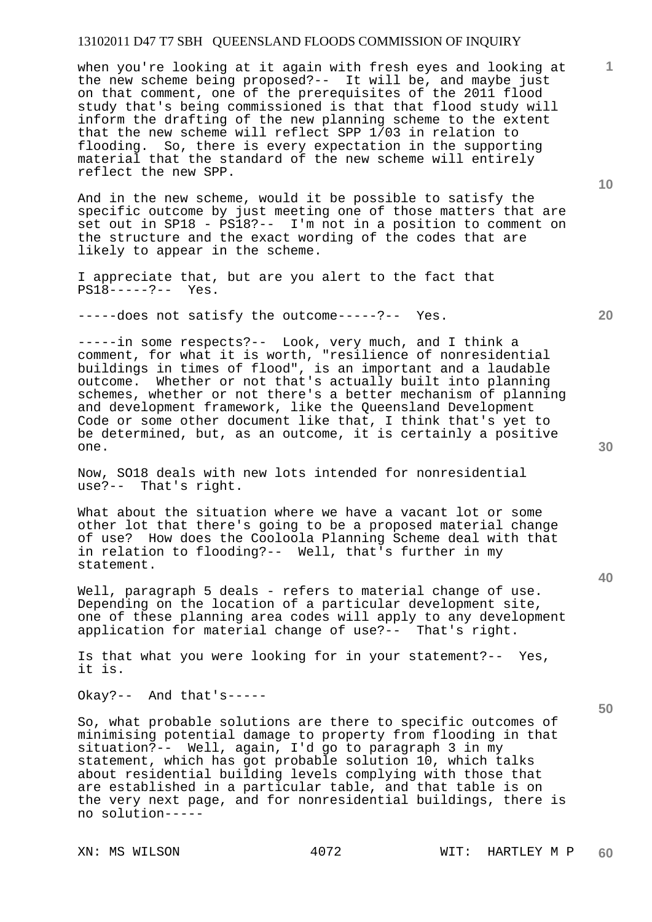when you're looking at it again with fresh eyes and looking at the new scheme being proposed?-- It will be, and maybe just on that comment, one of the prerequisites of the 2011 flood study that's being commissioned is that that flood study will inform the drafting of the new planning scheme to the extent that the new scheme will reflect SPP 1/03 in relation to flooding. So, there is every expectation in the supporting material that the standard of the new scheme will entirely reflect the new SPP.

And in the new scheme, would it be possible to satisfy the specific outcome by just meeting one of those matters that are set out in SP18 - PS18?-- I'm not in a position to comment on the structure and the exact wording of the codes that are likely to appear in the scheme.

I appreciate that, but are you alert to the fact that PS18-----?-- Yes.

-----does not satisfy the outcome-----?-- Yes.

-----in some respects?-- Look, very much, and I think a comment, for what it is worth, "resilience of nonresidential buildings in times of flood", is an important and a laudable outcome. Whether or not that's actually built into planning schemes, whether or not there's a better mechanism of planning and development framework, like the Queensland Development Code or some other document like that, I think that's yet to be determined, but, as an outcome, it is certainly a positive one.

Now, SO18 deals with new lots intended for nonresidential use?-- That's right. That's right.

What about the situation where we have a vacant lot or some other lot that there's going to be a proposed material change of use? How does the Cooloola Planning Scheme deal with that in relation to flooding?-- Well, that's further in my statement.

Well, paragraph 5 deals - refers to material change of use. Depending on the location of a particular development site, one of these planning area codes will apply to any development application for material change of use?-- That's right.

Is that what you were looking for in your statement?-- Yes, it is.

Okay?-- And that's-----

So, what probable solutions are there to specific outcomes of minimising potential damage to property from flooding in that situation?-- Well, again, I'd go to paragraph 3 in my statement, which has got probable solution 10, which talks about residential building levels complying with those that are established in a particular table, and that table is on the very next page, and for nonresidential buildings, there is no solution-----

**40** 

**50** 

**20** 

**10**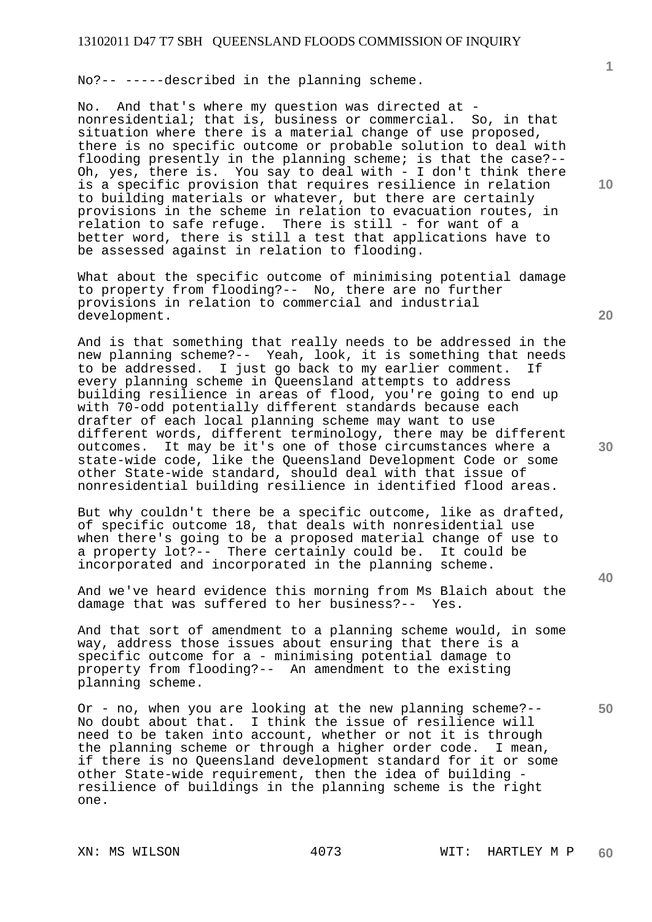No?-- -----described in the planning scheme.

No. And that's where my question was directed at nonresidential; that is, business or commercial. So, in that situation where there is a material change of use proposed, there is no specific outcome or probable solution to deal with flooding presently in the planning scheme; is that the case?-- Oh, yes, there is. You say to deal with - I don't think there is a specific provision that requires resilience in relation to building materials or whatever, but there are certainly provisions in the scheme in relation to evacuation routes, in relation to safe refuge. There is still - for want of a better word, there is still a test that applications have to be assessed against in relation to flooding.

What about the specific outcome of minimising potential damage to property from flooding?-- No, there are no further provisions in relation to commercial and industrial development.

And is that something that really needs to be addressed in the new planning scheme?-- Yeah, look, it is something that needs to be addressed. I just go back to my earlier comment. If every planning scheme in Queensland attempts to address building resilience in areas of flood, you're going to end up with 70-odd potentially different standards because each drafter of each local planning scheme may want to use different words, different terminology, there may be different outcomes. It may be it's one of those circumstances where a state-wide code, like the Queensland Development Code or some other State-wide standard, should deal with that issue of nonresidential building resilience in identified flood areas.

But why couldn't there be a specific outcome, like as drafted, of specific outcome 18, that deals with nonresidential use when there's going to be a proposed material change of use to a property lot?-- There certainly could be. It could be incorporated and incorporated in the planning scheme.

And we've heard evidence this morning from Ms Blaich about the damage that was suffered to her business?-- Yes.

And that sort of amendment to a planning scheme would, in some way, address those issues about ensuring that there is a specific outcome for a - minimising potential damage to property from flooding?-- An amendment to the existing planning scheme.

Or - no, when you are looking at the new planning scheme?-- No doubt about that. I think the issue of resilience will need to be taken into account, whether or not it is through the planning scheme or through a higher order code. I mean, if there is no Queensland development standard for it or some other State-wide requirement, then the idea of building resilience of buildings in the planning scheme is the right one.

**10** 

**1**

**20** 

**30** 

**40**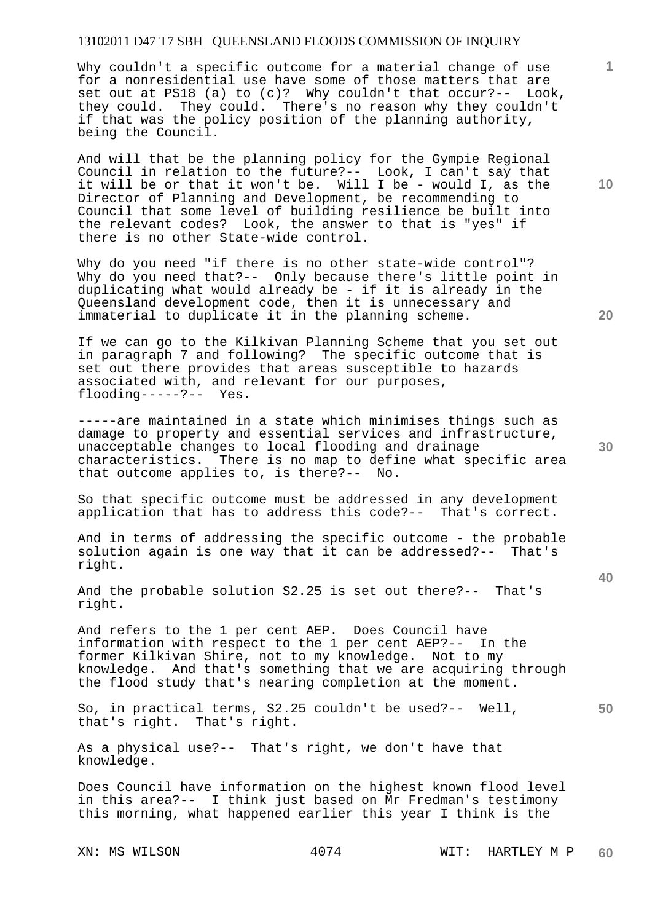Why couldn't a specific outcome for a material change of use for a nonresidential use have some of those matters that are set out at PS18 (a) to (c)? Why couldn't that occur?-- Look, they could. They could. There's no reason why they couldn't if that was the policy position of the planning authority, being the Council.

And will that be the planning policy for the Gympie Regional Council in relation to the future?-- Look, I can't say that it will be or that it won't be. Will I be - would I, as the Director of Planning and Development, be recommending to Council that some level of building resilience be built into the relevant codes? Look, the answer to that is "yes" if there is no other State-wide control.

Why do you need "if there is no other state-wide control"? Why do you need that?-- Only because there's little point in duplicating what would already be - if it is already in the Queensland development code, then it is unnecessary and immaterial to duplicate it in the planning scheme.

If we can go to the Kilkivan Planning Scheme that you set out in paragraph 7 and following? The specific outcome that is set out there provides that areas susceptible to hazards associated with, and relevant for our purposes, flooding-----?-- Yes.

-----are maintained in a state which minimises things such as damage to property and essential services and infrastructure, unacceptable changes to local flooding and drainage characteristics. There is no map to define what specific area that outcome applies to, is there?-- No.

So that specific outcome must be addressed in any development application that has to address this code?-- That's correct.

And in terms of addressing the specific outcome - the probable solution again is one way that it can be addressed?-- That's right.

And the probable solution S2.25 is set out there?-- That's right.

And refers to the 1 per cent AEP. Does Council have information with respect to the 1 per cent AEP?-- In the former Kilkivan Shire, not to my knowledge. Not to my knowledge. And that's something that we are acquiring through the flood study that's nearing completion at the moment.

So, in practical terms, S2.25 couldn't be used?-- Well, that's right. That's right.

As a physical use?-- That's right, we don't have that knowledge.

Does Council have information on the highest known flood level in this area?-- I think just based on Mr Fredman's testimony this morning, what happened earlier this year I think is the

**10** 

**1**

**20** 

**40** 

**50**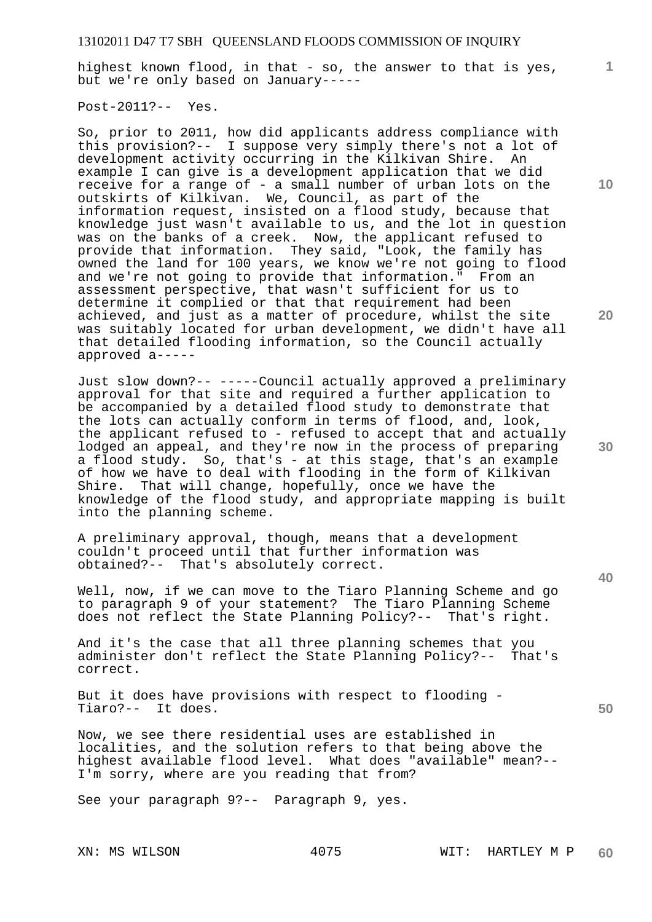highest known flood, in that - so, the answer to that is yes, but we're only based on January-----

Post-2011?-- Yes.

So, prior to 2011, how did applicants address compliance with this provision?-- I suppose very simply there's not a lot of development activity occurring in the Kilkivan Shire. An example I can give is a development application that we did receive for a range of - a small number of urban lots on the outskirts of Kilkivan. We, Council, as part of the information request, insisted on a flood study, because that knowledge just wasn't available to us, and the lot in question was on the banks of a creek. Now, the applicant refused to provide that information. They said, "Look, the family has owned the land for 100 years, we know we're not going to flood and we're not going to provide that information." From an assessment perspective, that wasn't sufficient for us to determine it complied or that that requirement had been achieved, and just as a matter of procedure, whilst the site was suitably located for urban development, we didn't have all that detailed flooding information, so the Council actually approved a-----

Just slow down?-- -----Council actually approved a preliminary approval for that site and required a further application to be accompanied by a detailed flood study to demonstrate that the lots can actually conform in terms of flood, and, look, the applicant refused to - refused to accept that and actually lodged an appeal, and they're now in the process of preparing a flood study. So, that's - at this stage, that's an example of how we have to deal with flooding in the form of Kilkivan<br>Shire. That will change, hopefully, once we have the That will change, hopefully, once we have the knowledge of the flood study, and appropriate mapping is built into the planning scheme.

A preliminary approval, though, means that a development couldn't proceed until that further information was obtained?-- That's absolutely correct.

Well, now, if we can move to the Tiaro Planning Scheme and go to paragraph 9 of your statement? The Tiaro Planning Scheme does not reflect the State Planning Policy?-- That's right.

And it's the case that all three planning schemes that you administer don't reflect the State Planning Policy?-- That's correct.

But it does have provisions with respect to flooding - Tiaro?-- It does.

Now, we see there residential uses are established in localities, and the solution refers to that being above the highest available flood level. What does "available" mean?-- I'm sorry, where are you reading that from?

See your paragraph 9?-- Paragraph 9, yes.

**10** 

**1**

**20** 

**30** 

**40**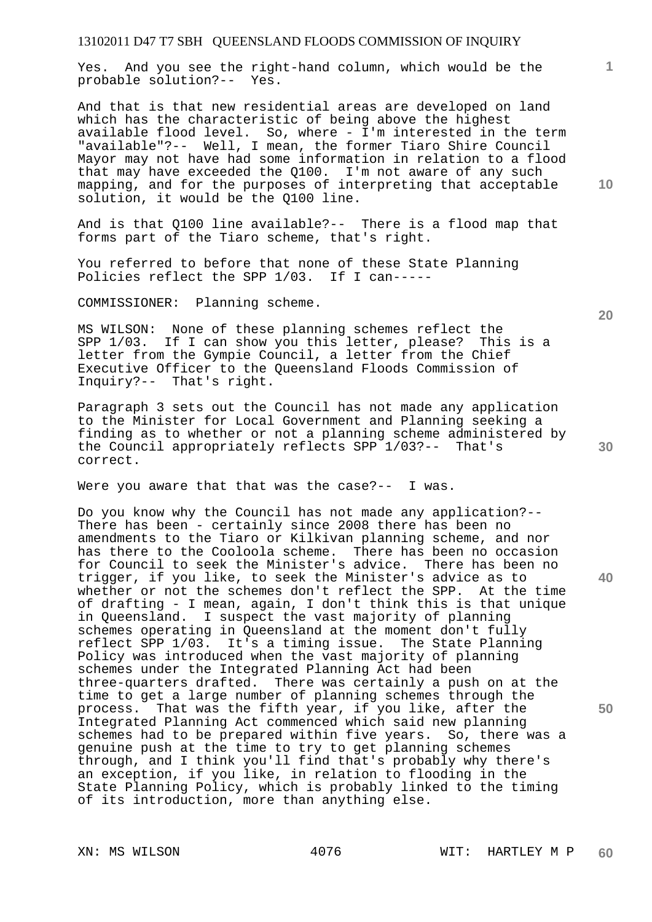Yes. And you see the right-hand column, which would be the probable solution?-- Yes.

And that is that new residential areas are developed on land which has the characteristic of being above the highest available flood level. So, where - I'm interested in the term "available"?-- Well, I mean, the former Tiaro Shire Council Mayor may not have had some information in relation to a flood that may have exceeded the Q100. I'm not aware of any such mapping, and for the purposes of interpreting that acceptable solution, it would be the Q100 line.

And is that Q100 line available?-- There is a flood map that forms part of the Tiaro scheme, that's right.

You referred to before that none of these State Planning Policies reflect the SPP 1/03. If I can-----

COMMISSIONER: Planning scheme.

MS WILSON: None of these planning schemes reflect the SPP 1/03. If I can show you this letter, please? This is a letter from the Gympie Council, a letter from the Chief Executive Officer to the Queensland Floods Commission of Inquiry?-- That's right.

Paragraph 3 sets out the Council has not made any application to the Minister for Local Government and Planning seeking a finding as to whether or not a planning scheme administered by the Council appropriately reflects SPP 1/03?-- That's correct.

Were you aware that that was the case?-- I was.

Do you know why the Council has not made any application?-- There has been - certainly since 2008 there has been no amendments to the Tiaro or Kilkivan planning scheme, and nor has there to the Cooloola scheme. There has been no occasion for Council to seek the Minister's advice. There has been no trigger, if you like, to seek the Minister's advice as to whether or not the schemes don't reflect the SPP. At the time of drafting - I mean, again, I don't think this is that unique in Queensland. I suspect the vast majority of planning schemes operating in Queensland at the moment don't fully reflect SPP 1/03. It's a timing issue. The State Planning Policy was introduced when the vast majority of planning schemes under the Integrated Planning Act had been three-quarters drafted. There was certainly a push on at the time to get a large number of planning schemes through the process. That was the fifth year, if you like, after the Integrated Planning Act commenced which said new planning schemes had to be prepared within five years. So, there was a genuine push at the time to try to get planning schemes through, and I think you'll find that's probably why there's an exception, if you like, in relation to flooding in the State Planning Policy, which is probably linked to the timing of its introduction, more than anything else.

**10** 

**1**

**20** 

**40**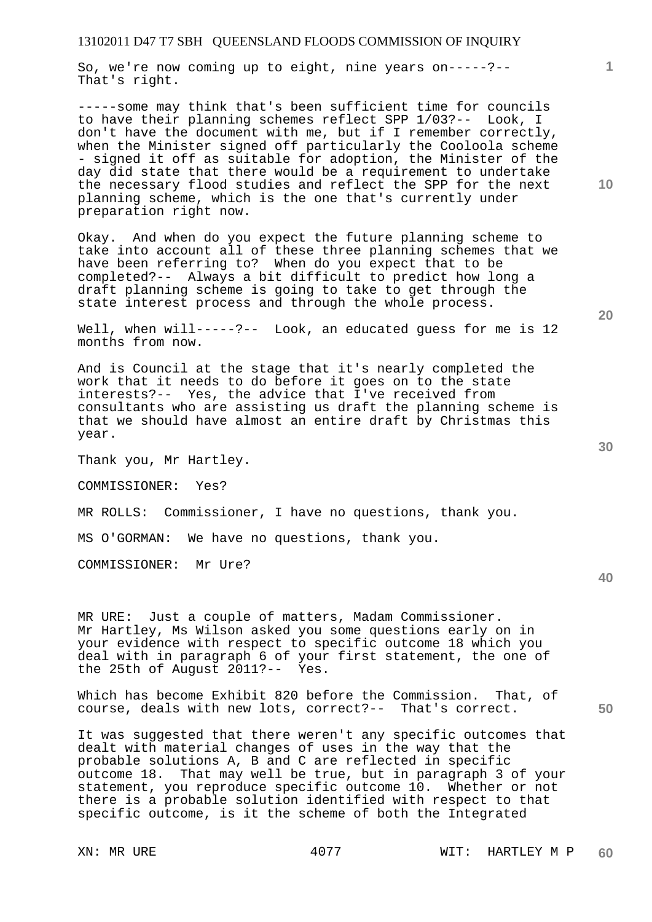So, we're now coming up to eight, nine years on-----?-- That's right.

-----some may think that's been sufficient time for councils to have their planning schemes reflect SPP 1/03?-- Look, I don't have the document with me, but if I remember correctly, when the Minister signed off particularly the Cooloola scheme - signed it off as suitable for adoption, the Minister of the day did state that there would be a requirement to undertake the necessary flood studies and reflect the SPP for the next planning scheme, which is the one that's currently under preparation right now.

Okay. And when do you expect the future planning scheme to take into account all of these three planning schemes that we have been referring to? When do you expect that to be completed?-- Always a bit difficult to predict how long a draft planning scheme is going to take to get through the state interest process and through the whole process.

Well, when will-----?-- Look, an educated guess for me is 12 months from now.

And is Council at the stage that it's nearly completed the work that it needs to do before it goes on to the state interests?-- Yes, the advice that I've received from consultants who are assisting us draft the planning scheme is that we should have almost an entire draft by Christmas this year.

Thank you, Mr Hartley.

COMMISSIONER: Yes?

MR ROLLS: Commissioner, I have no questions, thank you.

MS O'GORMAN: We have no questions, thank you.

COMMISSIONER: Mr Ure?

MR URE: Just a couple of matters, Madam Commissioner. Mr Hartley, Ms Wilson asked you some questions early on in your evidence with respect to specific outcome 18 which you deal with in paragraph 6 of your first statement, the one of the 25th of August 2011?-- Yes.

Which has become Exhibit 820 before the Commission. That, of course, deals with new lots, correct?-- That's correct.

It was suggested that there weren't any specific outcomes that dealt with material changes of uses in the way that the probable solutions A, B and C are reflected in specific outcome 18. That may well be true, but in paragraph 3 of your statement, you reproduce specific outcome 10. Whether or not there is a probable solution identified with respect to that specific outcome, is it the scheme of both the Integrated

**10** 

**1**

**40**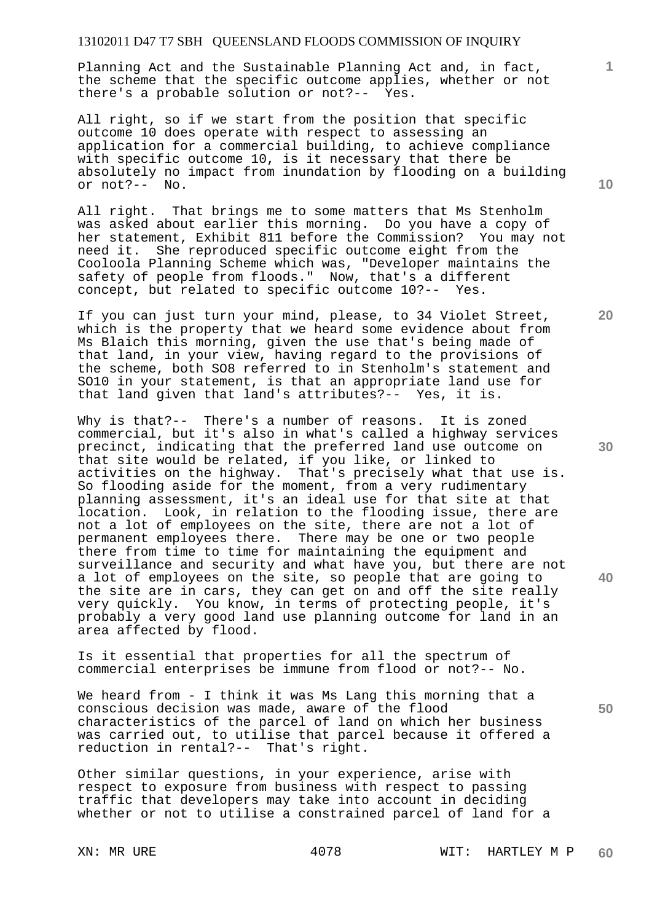Planning Act and the Sustainable Planning Act and, in fact, the scheme that the specific outcome applies, whether or not there's a probable solution or not?-- Yes.

All right, so if we start from the position that specific outcome 10 does operate with respect to assessing an application for a commercial building, to achieve compliance with specific outcome 10, is it necessary that there be absolutely no impact from inundation by flooding on a building or not?-- No.

All right. That brings me to some matters that Ms Stenholm was asked about earlier this morning. Do you have a copy of her statement, Exhibit 811 before the Commission? You may not need it. She reproduced specific outcome eight from the Cooloola Planning Scheme which was, "Developer maintains the safety of people from floods." Now, that's a different concept, but related to specific outcome 10?-- Yes.

If you can just turn your mind, please, to 34 Violet Street, which is the property that we heard some evidence about from Ms Blaich this morning, given the use that's being made of that land, in your view, having regard to the provisions of the scheme, both SO8 referred to in Stenholm's statement and SO10 in your statement, is that an appropriate land use for that land given that land's attributes?-- Yes, it is.

Why is that?-- There's a number of reasons. It is zoned commercial, but it's also in what's called a highway services precinct, indicating that the preferred land use outcome on that site would be related, if you like, or linked to activities on the highway. That's precisely what that use is. So flooding aside for the moment, from a very rudimentary planning assessment, it's an ideal use for that site at that location. Look, in relation to the flooding issue, there are not a lot of employees on the site, there are not a lot of permanent employees there. There may be one or two people there from time to time for maintaining the equipment and surveillance and security and what have you, but there are not a lot of employees on the site, so people that are going to the site are in cars, they can get on and off the site really very quickly. You know, in terms of protecting people, it's probably a very good land use planning outcome for land in an area affected by flood.

Is it essential that properties for all the spectrum of commercial enterprises be immune from flood or not?-- No.

We heard from - I think it was Ms Lang this morning that a conscious decision was made, aware of the flood characteristics of the parcel of land on which her business was carried out, to utilise that parcel because it offered a reduction in rental?-- That's right.

Other similar questions, in your experience, arise with respect to exposure from business with respect to passing traffic that developers may take into account in deciding whether or not to utilise a constrained parcel of land for a

**10** 

**1**

**20** 

**30** 

**50**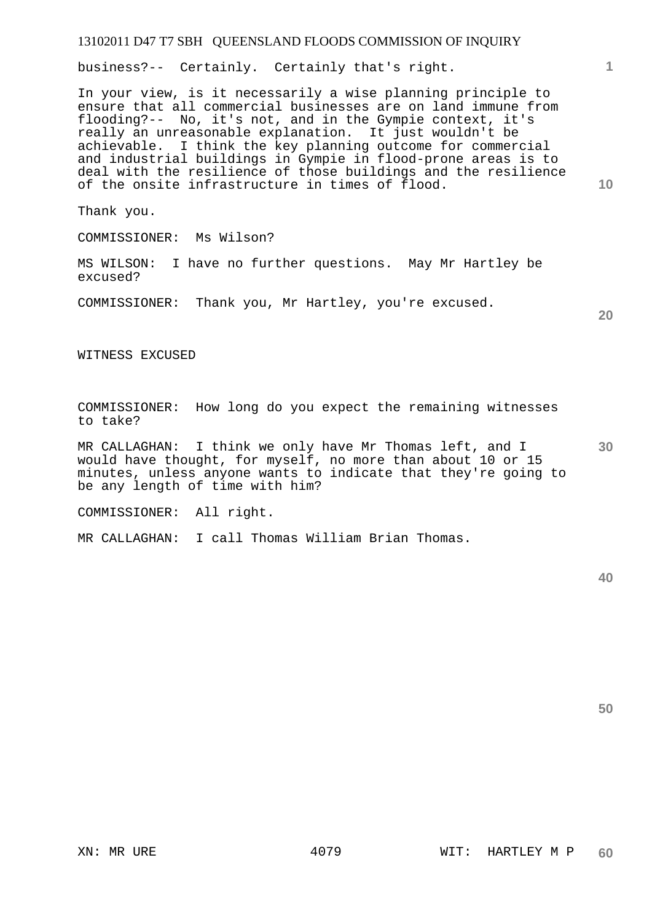business?-- Certainly. Certainly that's right.

In your view, is it necessarily a wise planning principle to ensure that all commercial businesses are on land immune from flooding?-- No, it's not, and in the Gympie context, it's really an unreasonable explanation. It just wouldn't be achievable. I think the key planning outcome for commercial and industrial buildings in Gympie in flood-prone areas is to deal with the resilience of those buildings and the resilience of the onsite infrastructure in times of flood.

Thank you.

COMMISSIONER: Ms Wilson?

MS WILSON: I have no further questions. May Mr Hartley be excused?

COMMISSIONER: Thank you, Mr Hartley, you're excused.

**20** 

**1**

**10** 

WITNESS EXCUSED

COMMISSIONER: How long do you expect the remaining witnesses to take?

**30**  MR CALLAGHAN: I think we only have Mr Thomas left, and I would have thought, for myself, no more than about 10 or 15 minutes, unless anyone wants to indicate that they're going to be any length of time with him?

COMMISSIONER: All right.

MR CALLAGHAN: I call Thomas William Brian Thomas.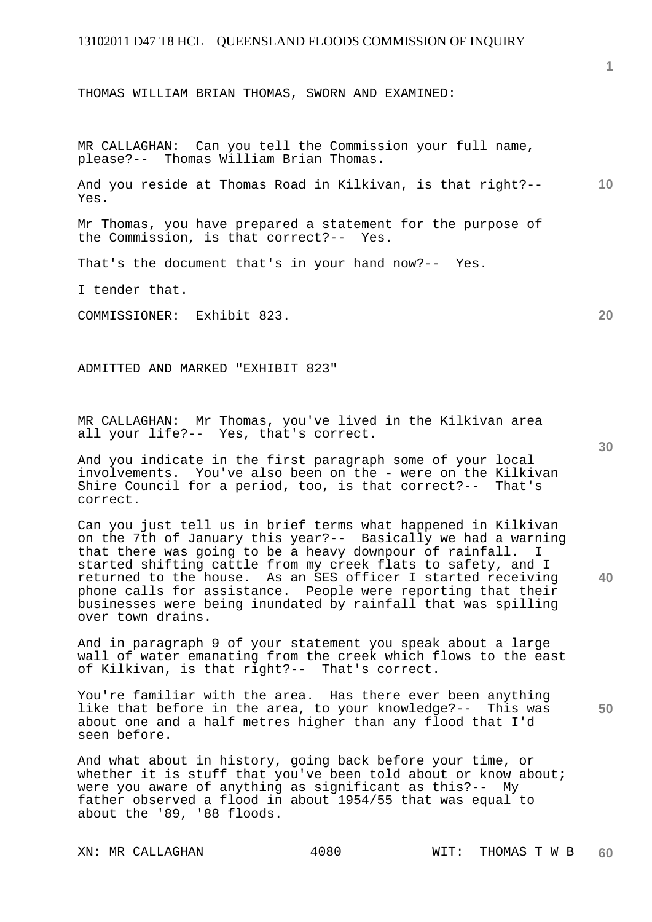THOMAS WILLIAM BRIAN THOMAS, SWORN AND EXAMINED:

MR CALLAGHAN: Can you tell the Commission your full name, please?-- Thomas William Brian Thomas.

**10**  And you reside at Thomas Road in Kilkivan, is that right?-- Yes.

Mr Thomas, you have prepared a statement for the purpose of the Commission, is that correct?-- Yes.

That's the document that's in your hand now?-- Yes.

I tender that.

COMMISSIONER: Exhibit 823.

ADMITTED AND MARKED "EXHIBIT 823"

MR CALLAGHAN: Mr Thomas, you've lived in the Kilkivan area all your life?-- Yes, that's correct.

And you indicate in the first paragraph some of your local involvements. You've also been on the - were on the Kilkivan Shire Council for a period, too, is that correct?-- That's correct.

Can you just tell us in brief terms what happened in Kilkivan on the 7th of January this year?-- Basically we had a warning that there was going to be a heavy downpour of rainfall. I started shifting cattle from my creek flats to safety, and I returned to the house. As an SES officer I started receiving phone calls for assistance. People were reporting that their businesses were being inundated by rainfall that was spilling over town drains.

And in paragraph 9 of your statement you speak about a large wall of water emanating from the creek which flows to the east of Kilkivan, is that right?-- That's correct.

You're familiar with the area. Has there ever been anything like that before in the area, to your knowledge?-- This was about one and a half metres higher than any flood that I'd seen before.

And what about in history, going back before your time, or whether it is stuff that you've been told about or know about; were you aware of anything as significant as this?-- My father observed a flood in about 1954/55 that was equal to about the '89, '88 floods.

**30** 

**20** 

**40** 

**50**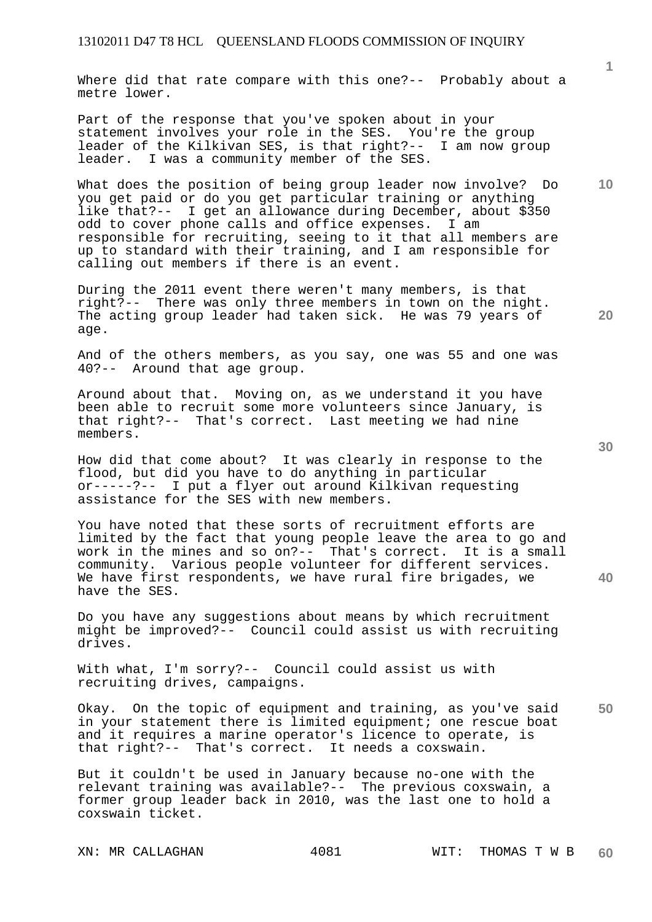Where did that rate compare with this one?-- Probably about a metre lower.

Part of the response that you've spoken about in your statement involves your role in the SES. You're the group leader of the Kilkivan SES, is that right?-- I am now group leader. I was a community member of the SES.

What does the position of being group leader now involve? Do you get paid or do you get particular training or anything like that?-- I get an allowance during December, about \$350 odd to cover phone calls and office expenses. I am responsible for recruiting, seeing to it that all members are up to standard with their training, and I am responsible for calling out members if there is an event.

During the 2011 event there weren't many members, is that right?-- There was only three members in town on the night. The acting group leader had taken sick. He was 79 years of age.

And of the others members, as you say, one was 55 and one was 40?-- Around that age group.

Around about that. Moving on, as we understand it you have been able to recruit some more volunteers since January, is that right?-- That's correct. Last meeting we had nine members.

How did that come about? It was clearly in response to the flood, but did you have to do anything in particular<br>or-----?-- I put a flyer out around Kilkivan reques I put a flyer out around Kilkivan requesting assistance for the SES with new members.

You have noted that these sorts of recruitment efforts are limited by the fact that young people leave the area to go and work in the mines and so on?-- That's correct. It is a small community. Various people volunteer for different services. We have first respondents, we have rural fire brigades, we have the SES.

Do you have any suggestions about means by which recruitment might be improved?-- Council could assist us with recruiting drives.

With what, I'm sorry?-- Council could assist us with recruiting drives, campaigns.

**50**  Okay. On the topic of equipment and training, as you've said in your statement there is limited equipment; one rescue boat and it requires a marine operator's licence to operate, is that right?-- That's correct. It needs a coxswain.

But it couldn't be used in January because no-one with the relevant training was available?-- The previous coxswain, a former group leader back in 2010, was the last one to hold a coxswain ticket.

**30** 

**40** 

**10**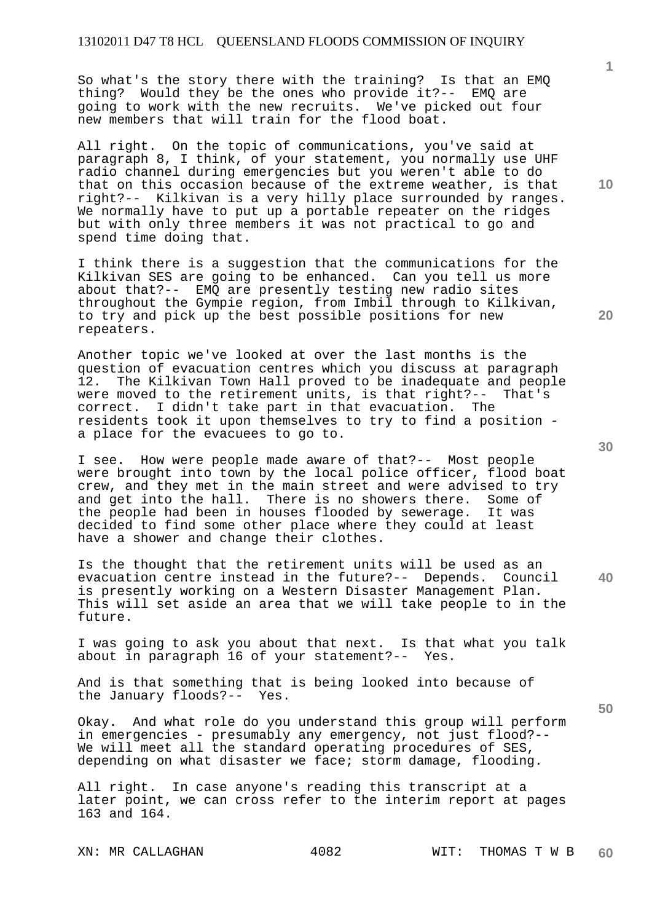So what's the story there with the training? Is that an EMQ thing? Would they be the ones who provide it?-- EMQ are going to work with the new recruits. We've picked out four new members that will train for the flood boat.

All right. On the topic of communications, you've said at paragraph 8, I think, of your statement, you normally use UHF radio channel during emergencies but you weren't able to do that on this occasion because of the extreme weather, is that right?-- Kilkivan is a very hilly place surrounded by ranges. We normally have to put up a portable repeater on the ridges but with only three members it was not practical to go and spend time doing that.

I think there is a suggestion that the communications for the Kilkivan SES are going to be enhanced. Can you tell us more about that?-- EMQ are presently testing new radio sites throughout the Gympie region, from Imbil through to Kilkivan, to try and pick up the best possible positions for new repeaters.

Another topic we've looked at over the last months is the question of evacuation centres which you discuss at paragraph 12. The Kilkivan Town Hall proved to be inadequate and people were moved to the retirement units, is that right?-- That's correct. I didn't take part in that evacuation. The residents took it upon themselves to try to find a position a place for the evacuees to go to.

I see. How were people made aware of that?-- Most people were brought into town by the local police officer, flood boat crew, and they met in the main street and were advised to try and get into the hall. There is no showers there. Some of the people had been in houses flooded by sewerage. It was decided to find some other place where they could at least have a shower and change their clothes.

**40**  Is the thought that the retirement units will be used as an evacuation centre instead in the future?-- Depends. Council is presently working on a Western Disaster Management Plan. This will set aside an area that we will take people to in the future.

I was going to ask you about that next. Is that what you talk about in paragraph 16 of your statement?-- Yes.

And is that something that is being looked into because of the January floods?-- Yes.

Okay. And what role do you understand this group will perform in emergencies - presumably any emergency, not just flood?-- We will meet all the standard operating procedures of SES, depending on what disaster we face; storm damage, flooding.

All right. In case anyone's reading this transcript at a later point, we can cross refer to the interim report at pages 163 and 164.

**10** 

**1**

**50**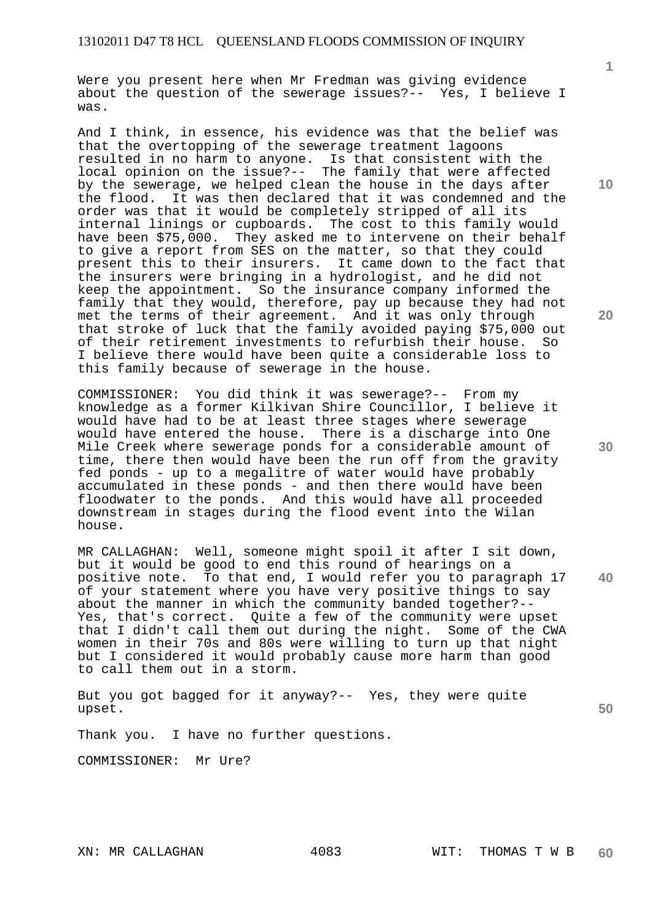Were you present here when Mr Fredman was giving evidence about the question of the sewerage issues?-- Yes, I believe I was.

And I think, in essence, his evidence was that the belief was that the overtopping of the sewerage treatment lagoons resulted in no harm to anyone. Is that consistent with the local opinion on the issue?-- The family that were affected by the sewerage, we helped clean the house in the days after the flood. It was then declared that it was condemned and the order was that it would be completely stripped of all its internal linings or cupboards. The cost to this family would have been \$75,000. They asked me to intervene on their behalf to give a report from SES on the matter, so that they could present this to their insurers. It came down to the fact that the insurers were bringing in a hydrologist, and he did not keep the appointment. So the insurance company informed the family that they would, therefore, pay up because they had not met the terms of their agreement. And it was only through that stroke of luck that the family avoided paying \$75,000 out of their retirement investments to refurbish their house. So I believe there would have been quite a considerable loss to this family because of sewerage in the house.

COMMISSIONER: You did think it was sewerage?-- From my knowledge as a former Kilkivan Shire Councillor, I believe it would have had to be at least three stages where sewerage would have entered the house. There is a discharge into One Mile Creek where sewerage ponds for a considerable amount of time, there then would have been the run off from the gravity fed ponds - up to a megalitre of water would have probably accumulated in these ponds - and then there would have been floodwater to the ponds. And this would have all proceeded downstream in stages during the flood event into the Wilan house.

**40**  MR CALLAGHAN: Well, someone might spoil it after I sit down, but it would be good to end this round of hearings on a positive note. To that end, I would refer you to paragraph 17 of your statement where you have very positive things to say about the manner in which the community banded together?-- Yes, that's correct. Quite a few of the community were upset that I didn't call them out during the night. Some of the CWA women in their 70s and 80s were willing to turn up that night but I considered it would probably cause more harm than good to call them out in a storm.

But you got bagged for it anyway?-- Yes, they were quite upset.

Thank you. I have no further questions.

COMMISSIONER: Mr Ure?

**1**

**20** 

**10** 

**30**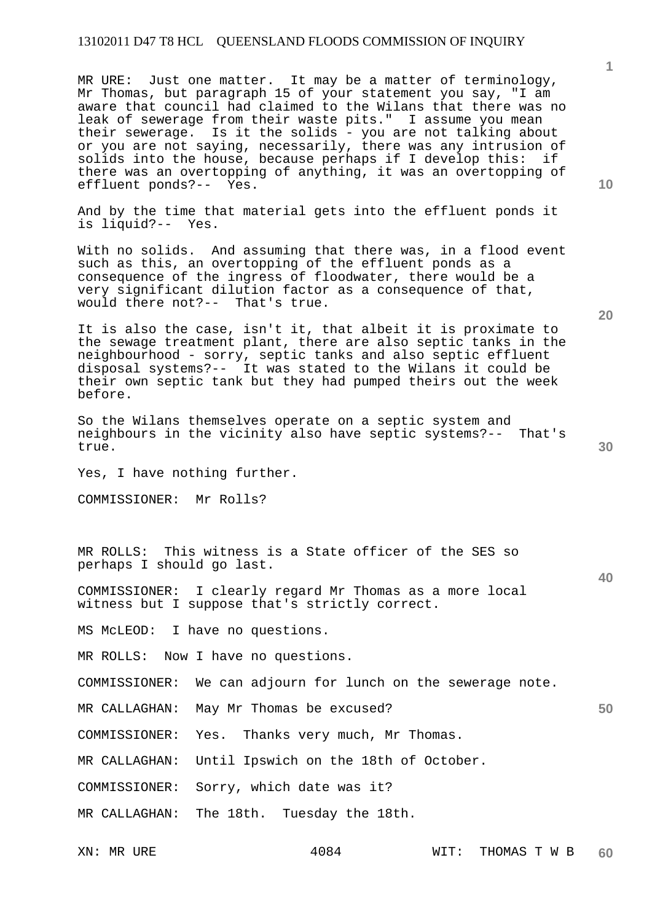## 13102011 D47 T8 HCL QUEENSLAND FLOODS COMMISSION OF INQUIRY

MR URE: Just one matter. It may be a matter of terminology, Mr Thomas, but paragraph 15 of your statement you say, "I am aware that council had claimed to the Wilans that there was no leak of sewerage from their waste pits." I assume you mean their sewerage. Is it the solids - you are not talking about or you are not saying, necessarily, there was any intrusion of solids into the house, because perhaps if I develop this: if there was an overtopping of anything, it was an overtopping of effluent ponds?-- Yes.

And by the time that material gets into the effluent ponds it is liquid?-- Yes.

With no solids. And assuming that there was, in a flood event such as this, an overtopping of the effluent ponds as a consequence of the ingress of floodwater, there would be a very significant dilution factor as a consequence of that, would there not?-- That's true.

It is also the case, isn't it, that albeit it is proximate to the sewage treatment plant, there are also septic tanks in the neighbourhood - sorry, septic tanks and also septic effluent disposal systems?-- It was stated to the Wilans it could be their own septic tank but they had pumped theirs out the week before.

So the Wilans themselves operate on a septic system and neighbours in the vicinity also have septic systems?-- That's true.

Yes, I have nothing further.

COMMISSIONER: Mr Rolls?

MR ROLLS: This witness is a State officer of the SES so perhaps I should go last.

COMMISSIONER: I clearly regard Mr Thomas as a more local witness but I suppose that's strictly correct.

MS McLEOD: I have no questions.

MR ROLLS: Now I have no questions.

COMMISSIONER: We can adjourn for lunch on the sewerage note.

MR CALLAGHAN: May Mr Thomas be excused?

COMMISSIONER: Yes. Thanks very much, Mr Thomas.

MR CALLAGHAN: Until Ipswich on the 18th of October.

COMMISSIONER: Sorry, which date was it?

MR CALLAGHAN: The 18th. Tuesday the 18th.

XN: MR URE  $4084$  WIT: THOMAS T W B **60** 

**20** 

**10** 

**1**

**30**